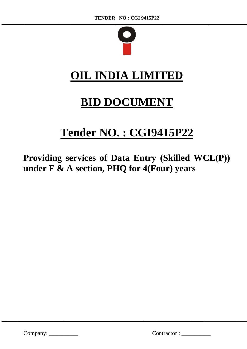

# **OIL INDIA LIMITED**

# **BID DOCUMENT**

# **Tender NO. : CGI9415P22**

**Providing services of Data Entry (Skilled WCL(P)) under F & A section, PHQ for 4(Four) years**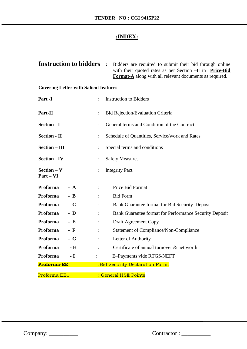# **:INDEX:**

|  | <b>Instruction to bidders</b> : Bidders are required to submit their bid through online |
|--|-----------------------------------------------------------------------------------------|
|  | with their quoted rates as per Section -II in <b>Price-Bid</b>                          |
|  | <b>Format-A</b> along with all relevant documents as required.                          |

# **Covering Letter with Salient features**

| Part -I                      |                         |                | <b>Instruction to Bidders</b>                          |
|------------------------------|-------------------------|----------------|--------------------------------------------------------|
| Part-II                      |                         | $\ddot{\cdot}$ | Bid Rejection/Evaluation Criteria                      |
| <b>Section - I</b>           |                         | $\ddot{\cdot}$ | General terms and Condition of the Contract            |
| <b>Section - II</b>          |                         |                | Schedule of Quantities, Service/work and Rates         |
| Section - III                |                         | $\ddot{\cdot}$ | Special terms and conditions                           |
| <b>Section - IV</b>          |                         |                | <b>Safety Measures</b>                                 |
| $Section - V$<br>$Part - VI$ |                         |                | <b>Integrity Pact</b>                                  |
| Proforma                     | $-$ A                   |                | Price Bid Format                                       |
| Proforma                     | $-$ B                   |                | <b>Bid Form</b>                                        |
| <b>Proforma</b>              | $-$ C                   |                | Bank Guarantee format for Bid Security Deposit         |
| Proforma                     | $-$ D                   |                | Bank Guarantee format for Performance Security Deposit |
| Proforma                     | $-$ E                   |                | Draft Agreement Copy                                   |
| Proforma                     | - F                     |                | <b>Statement of Compliance/Non-Compliance</b>          |
| Proforma                     | - G                     |                | Letter of Authority                                    |
| Proforma                     | - H                     |                | Certificate of annual turnover & net worth             |
| Proforma                     | $\overline{\mathbf{I}}$ | $\ddot{\cdot}$ | E-Payments vide RTGS/NEFT                              |
| <b>Proforma-EE</b>           |                         |                | :Bid Security Declaration Form,                        |
| Proforma EE1                 |                         |                | : General HSE Points                                   |

| Contractor: |
|-------------|
|             |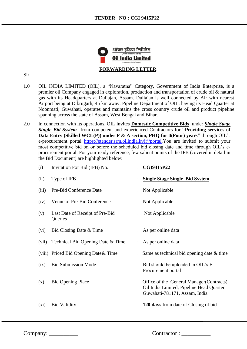

Sir,

- 1.0 OIL INDIA LIMITED (OIL), a "Navaratna" Category, Government of India Enterprise, is a premier oil Company engaged in exploration, production and transportation of crude oil & natural gas with its Headquarters at Duliajan, Assam. Duliajan is well connected by Air with nearest Airport being at Dibrugarh, 45 km away. Pipeline Department of OIL, having its Head Quarter at Noonmati, Guwahati, operates and maintains the cross country crude oil and product pipeline spanning across the state of Assam, West Bengal and Bihar.
- 2.0 In connection with its operations, OIL invites **Domestic Competitive Bids** under *Single Stage Single Bid System* from competent and experienced Contractors for **"Providing services of Data Entry (Skilled WCL(P)) under F & A section, PHQ for 4(Four) years"** through OIL's e-procurement portal [https://etender.srm.oilindia.in/irj/portal.](https://etender.srm.oilindia.in/irj/portal)You are invited to submit your most competitive bid on or before the scheduled bid closing date and time through OIL's eprocurement portal. For your ready reference, few salient points of the IFB (covered in detail in the Bid Document) are highlighted below:

| (i)     | Invitation For Bid (IFB) No.               | <b>CGI9415P22</b>                                                                                                      |
|---------|--------------------------------------------|------------------------------------------------------------------------------------------------------------------------|
| (ii)    | Type of IFB                                | <b>Single Stage Single Bid System</b>                                                                                  |
| (iii)   | Pre-Bid Conference Date                    | : Not Applicable                                                                                                       |
| (iv)    | Venue of Pre-Bid Conference                | : Not Applicable                                                                                                       |
| (v)     | Last Date of Receipt of Pre-Bid<br>Queries | Not Applicable                                                                                                         |
| (vi)    | Bid Closing Date & Time                    | : As per online data                                                                                                   |
| (vii)   | Technical Bid Opening Date & Time          | : As per online data                                                                                                   |
|         | (viii) Priced Bid Opening Date & Time      | Same as technical bid opening date $\&$ time                                                                           |
| (ix)    | <b>Bid Submission Mode</b>                 | : Bid should be uploaded in OIL's E-<br>Procurement portal                                                             |
| (x)     | <b>Bid Opening Place</b>                   | Office of the General Manager (Contracts)<br>Oil India Limited, Pipeline Head Quarter<br>Guwahati-781171, Assam, India |
| $(x_i)$ | <b>Bid Validity</b>                        | 120 days from date of Closing of bid                                                                                   |
|         |                                            |                                                                                                                        |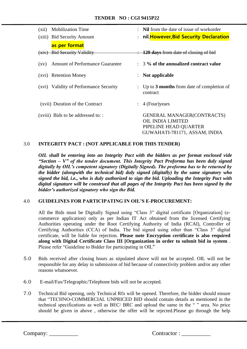| <b>Mobilization Time</b><br>(xii)                            | <b>Nil</b> from the date of issue of workorder                                                                          |
|--------------------------------------------------------------|-------------------------------------------------------------------------------------------------------------------------|
| (xiii) Bid Security Amount                                   | : nil. However, Bid Security Declaration                                                                                |
| as per format                                                |                                                                                                                         |
| (xiv) Bid Security Validity                                  | $\div$ 120 days from date of closing of bid                                                                             |
| <b>Amount of Performance Guarantee</b><br>$\left( xy\right)$ | $\therefore$ 3 % of the annualized contract value                                                                       |
| (xvi) Retention Money                                        | Not applicable                                                                                                          |
| (xvi) Validity of Performance Security                       | : Up to $3$ months from date of completion of<br>contract                                                               |
| (xvii) Duration of the Contract                              | $\therefore$ 4 (Four) years                                                                                             |
| $(xviii)$ Bids to be addressed to::                          | <b>GENERAL MANAGER(CONTRACTS)</b><br><b>OIL INDIA LIMITED</b><br>PIPELINE HEAD QUARTER<br>GUWAHATI-781171, ASSAM, INDIA |

### 3.0 **INTEGRITY PACT : (NOT APPLICABLE FOR THIS TENDER)**

*OIL shall be entering into an Integrity Pact with the bidders as per format enclosed vide "Section – V" of the tender document. This Integrity Pact Proforma has been duly signed digitally by OIL's competent signatory (Digitally Signed). The proforma has to be returned by the bidder (alongwith the technical bid) duly signed (digitally) by the same signatory who signed the bid, i.e., who is duly authorized to sign the bid. Uploading the Integrity Pact with digital signature will be construed that all pages of the Integrity Pact has been signed by the bidder's authorized signatory who sign the Bid.*

# 4.0 **GUIDELINES FOR PARTICIPATING IN OIL'S E-PROCUREMENT:**

All the Bids must be Digitally Signed using "Class 3" digital certificate [Organization] (ecommerce application) only as per Indian IT Act obtained from the licensed Certifying Authorities operating under the Root Certifying Authority of India (RCAI), Controller of Certifying Authorities (CCA) of India. The bid signed using other than "Class 3" digital certificate, will be liable for rejection. **Please note Encryption certificate is also required along with Digital Certificate Class III [Organization in order to submit bid in system** . Please refer "Guideline to Bidder for participating in OIL"

- 5.0 Bids received after closing hours as stipulated above will not be accepted. OIL will not be responsible for any delay in submission of bid because of connectivity problem and/or any other reasons whatsoever.
- 6.0 E-mail/Fax/Telegraphic/Telephone bids will not be accepted.
- 7.0 Technical Bid opening, only Technical Rfx will be opened. Therefore, the bidder should ensure that "TECHNO-COMMERCIAL UNPRICED BID should contain details as mentioned in the technical specifications as well as BEC/ BRC and upload the same in the " " area. No price should be given in above , otherwise the offer will be rejected.Please go through the help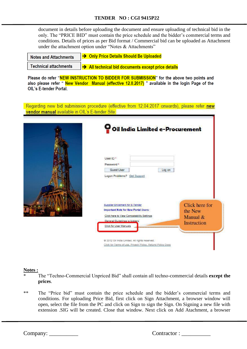document in details before uploading the document and ensure uploading of technical bid in the only. The "PRICE BID" must contain the price schedule and the bidder's commercial terms and conditions. Details of prices as per Bid format / Commercial bid can be uploaded as Attachment under the attachment option under "Notes & Attachments"

| Notes and Attachments         | → Only Price Details Should Be Uploaded          |
|-------------------------------|--------------------------------------------------|
| $\vert$ Technical attachments | All technical bid documents except price details |

Please do refer "NEW INSTRUCTION TO BIDDER FOR SUBMISSION" for the above two points and also please refer "New Vendor Manual (effective 12.0.2017) " available in the login Page of the **OIL's E-tender Portal.** 

Regarding new bid submission procedure (effective from 12.04.2017 onwards), please refer new vendor manual available in OIL's E-tender Site:



|                                                                                | Oil India Limited e-Procurement |
|--------------------------------------------------------------------------------|---------------------------------|
|                                                                                |                                 |
|                                                                                |                                 |
|                                                                                |                                 |
| User ID <sup>x</sup>                                                           |                                 |
| Paggword <sup>*</sup>                                                          |                                 |
|                                                                                |                                 |
| <b>Guest User</b>                                                              | Log on                          |
|                                                                                |                                 |
|                                                                                |                                 |
| Loggn Problems? Get Support                                                    |                                 |
|                                                                                |                                 |
|                                                                                |                                 |
|                                                                                |                                 |
|                                                                                |                                 |
|                                                                                | Click here for                  |
| Suppler Enlistment for E-Tender<br><b>Important Note for New Portal Users:</b> | the New                         |
| Click here to View Compatability Settings                                      | Manual &                        |
|                                                                                |                                 |
| General Guidelines to bidders<br>Click for User Manuals                        | Instruction                     |
|                                                                                |                                 |

**Notes :**

- \* The "Techno-Commercial Unpriced Bid" shall contain all techno-commercial details **except the prices**.
- \*\* The "Price bid" must contain the price schedule and the bidder's commercial terms and conditions. For uploading Price Bid, first click on Sign Attachment, a browser window will open, select the file from the PC and click on Sign to sign the Sign. On Signing a new file with extension .SIG will be created. Close that window. Next click on Add Atachment, a browser

| Contractor: |  |
|-------------|--|
|             |  |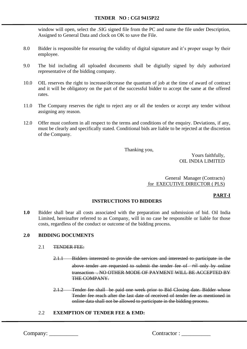window will open, select the .SIG signed file from the PC and name the file under Description, Assigned to General Data and clock on OK to save the File.

- 8.0 Bidder is responsible for ensuring the validity of digital signature and it's proper usage by their employee.
- 9.0 The bid including all uploaded documents shall be digitally signed by duly authorized representative of the bidding company.
- 10.0 OIL reserves the right to increase/decrease the quantum of job at the time of award of contract and it will be obligatory on the part of the successful bidder to accept the same at the offered rates.
- 11.0 The Company reserves the right to reject any or all the tenders or accept any tender without assigning any reason.
- 12.0 Offer must conform in all respect to the terms and conditions of the enquiry. Deviations, if any, must be clearly and specifically stated. Conditional bids are liable to be rejected at the discretion of the Company.

Thanking you,

Yours faithfully, OIL INDIA LIMITED

General Manager (Contracts) for EXECUTIVE DIRECTOR ( PLS)

# **PART-I**

# **INSTRUCTIONS TO BIDDERS**

**1.0** Bidder shall bear all costs associated with the preparation and submission of bid. Oil India Limited, hereinafter referred to as Company, will in no case be responsible or liable for those costs, regardless of the conduct or outcome of the bidding process.

#### **2.0 BIDDING DOCUMENTS**

#### 2.1 TENDER FEE:

- 2.1.1 Bidders interested to provide the services and interested to participate in the above tender are requested to submit the tender fee of nil only by online transaction . NO OTHER MODE OF PAYMENT WILL BE ACCEPTED BY THE COMPANY.
- 2.1.2 Tender fee shall be paid one week prior to Bid Closing date. Bidder whose Tender fee reach after the last date of received of tender fee as mentioned in online data shall not be allowed to participate in the bidding process.

#### 2.2 **EXEMPTION OF TENDER FEE & EMD:**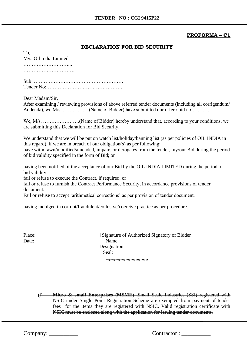# **PROFORMA – C1**

#### **DECLARATION FOR BID SECURITY**

| 10.<br>M/s. Oil India Limited |  |
|-------------------------------|--|
|                               |  |
|                               |  |
|                               |  |
| Dear Madam/Sir,<br>.          |  |

After examining / reviewing provisions of above referred tender documents (including all corrigendum/ Addenda), we M/s. ……………… (Name of Bidder) have submitted our offer / bid no…………

We, M/s. ………………….(Name of Bidder) hereby understand that, according to your conditions, we are submitting this Declaration for Bid Security.

We understand that we will be put on watch list/holiday/banning list (as per policies of OIL INDIA in this regard), if we are in breach of our obligation(s) as per following: have withdrawn/modified/amended, impairs or derogates from the tender, my/our Bid during the period of bid validity specified in the form of Bid; or

having been notified of the acceptance of our Bid by the OIL INDIA LIMITED during the period of bid validity:

fail or refuse to execute the Contract, if required, or

fail or refuse to furnish the Contract Performance Security, in accordance provisions of tender document.

Fail or refuse to accept 'arithmetical corrections' as per provision of tender document.

having indulged in corrupt/fraudulent/collusive/coercive practice as per procedure.

 $T_{\rm{c}}$ 

Place: [Signature of Authorized Signatory of Bidder] Date: Name: Designation: Seal: \*\*\*\*\*\*\*\*\*\*\*\*\*\*\*\*

(i) **Micro & small Enterprises (MSME)** ,Small Scale Industries (SSI) registered with NSIC under Single Point Registration Scheme are exempted from payment of tender fees for the items they are registered with NSIC. Valid registration certificate with NSIC must be enclosed along with the application for issuing tender documents.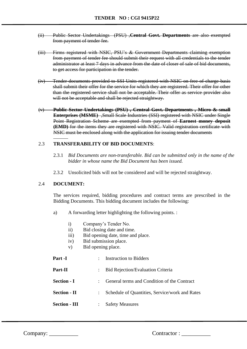- (ii) Public Sector Undertakings (PSU) ,**Central Govt. Departments** are also exempted from payment of tender fee.
- (iii) Firms registered with NSIC, PSU's & Government Departments claiming exemption from payment of tender fee should submit their request with all credentials to the tender administrator at least 7 days in advance from the date of closer of sale of bid documents, to get access for participation in the tender.
- (iv) Tender documents provided to SSI Units registered with NSIC on free of charge basis shall submit their offer for the service for which they are registered. Their offer for other than the registered service shall not be acceptable. Their offer as service provider also will not be acceptable and shall be rejected straightway.
- (v) **Public Sector Undertakings (PSU) , Central Govt. Departments , Micro & small Enterprises (MSME)** ,Small Scale Industries (SSI) registered with NSIC under Single Point Registration Scheme are exempted from payment of **Earnest money deposit (EMD)** for the items they are registered with NSIC. Valid registration certificate with NSIC must be enclosed along with the application for issuing tender documents

# 2.3 **TRANSFERABILITY OF BID DOCUMENTS**:

- 2.3.1 *Bid Documents are non-transferable. Bid can be submitted only in the name of the bidder in whose name the Bid Document has been issued.*
- 2.3.2 Unsolicited bids will not be considered and will be rejected straightway.

#### 2.4 **DOCUMENT:**

The services required, bidding procedures and contract terms are prescribed in the Bidding Documents. This bidding document includes the following:

- a) A forwarding letter highlighting the following points. :
	- i) Company's Tender No.
	- ii) Bid closing date and time.
	- iii) Bid opening date, time and place.
	- iv) Bid submission place.
	- v) Bid opening place.
- **Part -I** : Instruction to Bidders
- Part-II : Bid Rejection/Evaluation Criteria
- **Section I** : General terms and Condition of the Contract
- **Section II** : Schedule of Quantities, Service/work and Rates
- **Section III** : Safety Measures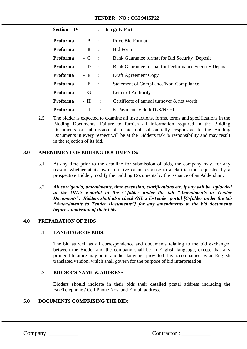#### **TENDER NO : CGI 9415P22**

| Section – IV    |               | $\mathbb{Z}^{\mathbb{Z}}$ . | <b>Integrity Pact</b>                                  |
|-----------------|---------------|-----------------------------|--------------------------------------------------------|
| <b>Proforma</b> | $-A$ :        |                             | Price Bid Format                                       |
| <b>Proforma</b> | $-B$ :        |                             | <b>Bid Form</b>                                        |
| <b>Proforma</b> | $-C$          | $\sim$ 1                    | Bank Guarantee format for Bid Security Deposit         |
| <b>Proforma</b> | $-D$ :        |                             | Bank Guarantee format for Performance Security Deposit |
| Proforma        | $- E$ :       |                             | Draft Agreement Copy                                   |
| Proforma        | $-F$ :        |                             | <b>Statement of Compliance/Non-Compliance</b>          |
| <b>Proforma</b> | $-G$ :        |                             | Letter of Authority                                    |
| <b>Proforma</b> | $- H$ :       |                             | Certificate of annual turnover & net worth             |
| Proforma        | $\mathbf{-I}$ | $\ddot{\cdot}$              | E-Payments vide RTGS/NEFT                              |

2.5 The bidder is expected to examine all instructions, forms, terms and specifications in the Bidding Documents. Failure to furnish all information required in the Bidding Documents or submission of a bid not substantially responsive to the Bidding Documents in every respect will be at the Bidder's risk & responsibility and may result in the rejection of its bid.

### **3.0 AMENDMENT OF BIDDING DOCUMENTS:**

- 3.1 At any time prior to the deadline for submission of bids, the company may, for any reason, whether at its own initiative or in response to a clarification requested by a prospective Bidder, modify the Bidding Documents by the issuance of an Addendum.
- 3.2 *All corrigenda, amendments, time extension, clarifications etc. if any will be uploaded*  in the OIL's e-portal in the C-folder under the tab "Amendments to Tender *Documents". Bidders shall also check OIL's E-Tender portal [C-folder under the tab "Amendments to Tender Documents"] for any amendments to the bid documents before submission of their bids.*

#### **4.0 PREPARATION OF BIDS**

#### 4.1 **LANGUAGE OF BIDS**:

The bid as well as all correspondence and documents relating to the bid exchanged between the Bidder and the company shall be in English language, except that any printed literature may be in another language provided it is accompanied by an English translated version, which shall govern for the purpose of bid interpretation.

# 4.2 **BIDDER'S NAME & ADDRESS**:

Bidders should indicate in their bids their detailed postal address including the Fax/Telephone / Cell Phone Nos. and E-mail address.

# **5.0 DOCUMENTS COMPRISING THE BID**: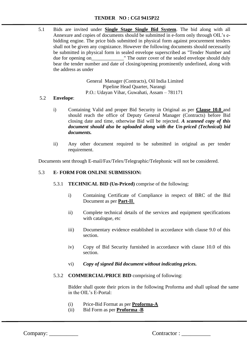5.1 Bids are invited under **Single Stage Single Bid System**. The bid along with all Annexure and copies of documents should be submitted in e-form only through OIL's ebidding engine. The price bids submitted in physical form against procurement tenders shall not be given any cognizance. However the following documents should necessarily be submitted in physical form in sealed envelope superscribed as "Tender Number and due for opening on which we are "The outer cover of the sealed envelope should duly " The outer cover of the sealed envelope should duly bear the tender number and date of closing/opening prominently underlined, along with the address as under

> General Manager (Contracts), Oil India Limited Pipeline Head Quarter, Narangi P.O.: Udayan Vihar, Guwahati, Assam – 781171

### 5.2 **Envelope**:

- i) Containing Valid and proper Bid Security in Original as per **Clause 10.0** and should reach the office of Deputy General Manager (Contracts) before Bid closing date and time, otherwise Bid will be rejected. *A scanned copy of this document should also be uploaded along with the Un-priced (Technical) bid documents.*
- ii) Any other document required to be submitted in original as per tender requirement.

Documents sent through E-mail/Fax/Telex/Telegraphic/Telephonic will not be considered.

### 5.3 **E- FORM FOR ONLINE SUBMISSION:**

- 5.3.1 **TECHNICAL BID (Un-Priced)** comprise of the following:
	- i) Containing Certificate of Compliance in respect of BRC of the Bid Document as per **Part-II**.
	- ii) Complete technical details of the services and equipment specifications with catalogue, etc
	- iii) Documentary evidence established in accordance with clause 9.0 of this section.
	- iv) Copy of Bid Security furnished in accordance with clause 10.0 of this section.
	- vi) *Copy of signed Bid document without indicating prices.*

#### 5.3.2 **COMMERCIAL/PRICE BID** comprising of following:

Bidder shall quote their prices in the following Proforma and shall upload the same in the OIL's E-Portal:

- (i) Price-Bid Format as per **Proforma-A**
- (ii) Bid Form as per **Proforma -B**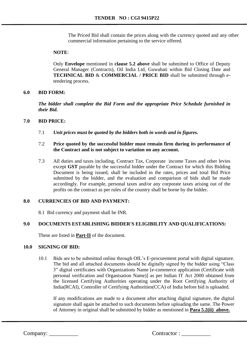The Priced Bid shall contain the prices along with the currency quoted and any other commercial information pertaining to the service offered.

#### **NOTE**:

Only **Envelope** mentioned in **clause 5.2 above** shall be submitted to Office of Deputy General Manager (Contracts), Oil India Ltd, Guwahati within Bid Closing Date and **TECHNICAL BID** & **COMMERCIAL / PRICE BID** shall be submitted through etendering process.

### **6.0 BID FORM:**

*The bidder shall complete the Bid Form and the appropriate Price Schedule furnished in their Bid.*

### **7.0 BID PRICE:**

7.1 *Unit prices must be quoted by the bidders both in words and in figures.* 

### 7.2 **Price quoted by the successful bidder must remain firm during its performance of the Contract and is not subject to variation on any account.**

7.3 All duties and taxes including, Contract Tax, Corporate income Taxes and other levies except **GST** payable by the successful bidder under the Contract for which this Bidding Document is being issued, shall be included in the rates, prices and total Bid Price submitted by the bidder, and the evaluation and comparison of bids shall be made accordingly. For example, personal taxes and/or any corporate taxes arising out of the profits on the contract as per rules of the country shall be borne by the bidder.

# **8.0 CURRENCIES OF BID AND PAYMENT:**

8.1 Bid currency and payment shall be INR.

# **9.0 DOCUMENTS ESTABLISHING BIDDER'S ELIGIBILITY AND QUALIFICATIONS:**

These are listed in **Part-II** of the document.

#### **10.0 SIGNING OF BID:**

10.1 Bids are to be submitted online through OIL's E-procurement portal with digital signature. The bid and all attached documents should be digitally signed by the bidder using "Class 3" digital certificates with Organizations Name [e-commerce application (Certificate with personal verification and Organisation Name)] as per Indian IT Act 2000 obtained from the licensed Certifying Authorities operating under the Root Certifying Authority of India(RCAI), Controller of Certifying Authorities(CCA) of India before bid is uploaded.

If any modifications are made to a document after attaching digital signature, the digital signature shall again be attached to such documents before uploading the same. The Power of Attorney in original shall be submitted by bidder as mentioned in **Para 5.2(ii) above.** 

 $Comparly:$ 

| Contractor: |  |  |
|-------------|--|--|
|-------------|--|--|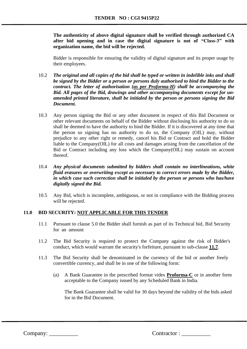**The authenticity of above digital signature shall be verified through authorized CA after bid opening and in case the digital signature is not of "Class-3" with organization name, the bid will be rejected.**

Bidder is responsible for ensuring the validity of digital signature and its proper usage by their employees.

- 10.2 *The original and all copies of the bid shall be typed or written in indelible inks and shall be signed by the Bidder or a person or persons duly authorised to bind the Bidder to the contract. The letter of authorisation (as per Proforma-H) shall be accompanying the Bid. All pages of the Bid, drawings and other accompanying documents except for unamended printed literature, shall be initialed by the person or persons signing the Bid Document.*
- 10.3 Any person signing the Bid or any other document in respect of this Bid Document or other relevant documents on behalf of the Bidder without disclosing his authority to do so shall be deemed to have the authority to bind the Bidder. If it is discovered at any time that the person so signing has no authority to do so, the Company (OIL) may, without prejudice to any other right or remedy, cancel his Bid or Contract and hold the Bidder liable to the Company(OIL) for all costs and damages arising from the cancellation of the Bid or Contract including any loss which the Company(OIL) may sustain on account thereof.
- 10.4 *Any physical documents submitted by bidders shall contain no interlineations, white fluid erasures or overwriting except as necessary to correct errors made by the Bidder, in which case such correction shall be initialed by the person or persons who has/have digitally signed the Bid.*
- 10.5 Any Bid, which is incomplete, ambiguous, or not in compliance with the Bidding process will be rejected.

# **11.0 BID SECURITY: NOT APPLICABLE FOR THIS TENDER**

- 11.1 Pursuant to clause 5.0 the Bidder shall furnish as part of its Technical bid, Bid Security for an amount
- 11.2 The Bid Security is required to protect the Company against the risk of Bidder's conduct, which would warrant the security's forfeiture, pursuant to sub-clause **11.7**.
- 11.3 The Bid Security shall be denominated in the currency of the bid or another freely convertible currency, and shall be in one of the following form:
	- (a) A Bank Guarantee in the prescribed format vides **Proforma-C** or in another form acceptable to the Company issued by any Scheduled Bank in India.

The Bank Guarantee shall be valid for 30 days beyond the validity of the bids asked for in the Bid Document.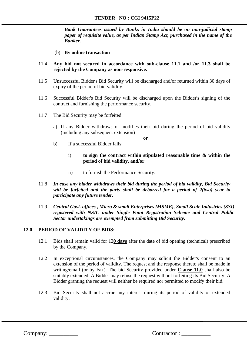*Bank Guarantees issued by Banks in India should be on non-judicial stamp paper of requisite value, as per Indian Stamp Act, purchased in the name of the Banker.*

- (b) **By online transaction**
- 11.4 **Any bid not secured in accordance with sub-clause 11.1 and /or 11.3 shall be rejected by the Company as non-responsive.**
- 11.5 Unsuccessful Bidder's Bid Security will be discharged and/or returned within 30 days of expiry of the period of bid validity.
- 11.6 Successful Bidder's Bid Security will be discharged upon the Bidder's signing of the contract and furnishing the performance security.
- 11.7 The Bid Security may be forfeited:
	- a) If any Bidder withdraws or modifies their bid during the period of bid validity (including any subsequent extension)

**or**

- b) If a successful Bidder fails:
	- i) **to sign the contract within stipulated reasonable time & within the period of bid validity, and/or**
	- ii) to furnish the Performance Security.
- 11.8 *In case any bidder withdraws their bid during the period of bid validity, Bid Security will be forfeited and the party shall be debarred for a period of 2(two) year to participate any future tender.*
- 11.9 *Central Govt. offices , Micro & small Enterprises (MSME), Small Scale Industries (SSI) registered with NSIC under Single Point Registration Scheme and Central Public Sector undertakings are exempted from submitting Bid Security.*

#### **12.0 PERIOD OF VALIDITY OF BIDS:**

- 12.1 Bids shall remain valid for 12**0 days** after the date of bid opening (technical) prescribed by the Company.
- 12.2 In exceptional circumstances, the Company may solicit the Bidder's consent to an extension of the period of validity. The request and the response thereto shall be made in writing/email (or by Fax). The bid Security provided under **Clause 11.0** shall also be suitably extended. A Bidder may refuse the request without forfeiting its Bid Security. A Bidder granting the request will neither be required nor permitted to modify their bid.
- 12.3 Bid Security shall not accrue any interest during its period of validity or extended validity.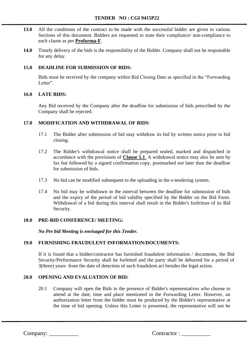- **13.0** All the conditions of the contract to be made with the successful bidder are given in various Sections of this document. Bidders are requested to state their compliance/ non-compliance to each clause as per **Proforma-F**.
- **14.0** Timely delivery of the bids is the responsibility of the Bidder. Company shall not be responsible for any delay.

# **15.0 DEADLINE FOR SUBMISSION OF BIDS:**

Bids must be received by the company within Bid Closing Date as specified in the "Forwarding Letter".

#### **16.0 LATE BIDS:**

Any Bid received by the Company after the deadline for submission of bids prescribed by the Company shall be rejected.

### **17.0 MODIFICATION AND WITHDRAWAL OF BIDS**:

- 17.1 The Bidder after submission of bid may withdraw its bid by written notice prior to bid closing.
- 17.2 The Bidder's withdrawal notice shall be prepared sealed, marked and dispatched in accordance with the provisions of **Clause 5.1**. A withdrawal notice may also be sent by fax but followed by a signed confirmation copy, postmarked not later than the deadline for submission of bids.
- 17.3 No bid can be modified subsequent to the uploading in the e-tendering system.
- 17.4 No bid may be withdrawn in the interval between the deadline for submission of bids and the expiry of the period of bid validity specified by the Bidder on the Bid Form. Withdrawal of a bid during this interval shall result in the Bidder's forfeiture of its Bid Security.

#### **18.0 PRE-BID CONFERENCE/ MEETING:**

*No Pre bid Meeting is envisaged for this Tender.* 

# **19.0 FURNISHING FRAUDULENT INFORMATION/DOCUMENTS:**

If it is found that a bidder/contractor has furnished fraudulent information / documents, the Bid Security/Performance Security shall be forfeited and the party shall be debarred for a period of 3(three) years from the date of detection of such fraudulent act besides the legal action.

#### **20.0 OPENING AND EVALUATION OF BID:**

20.1 Company will open the Bids in the presence of Bidder's representatives who choose to attend at the date, time and place mentioned in the Forwarding Letter. However, an authorization letter from the bidder must be produced by the Bidder's representative at the time of bid opening. Unless this Letter is presented, the representative will not be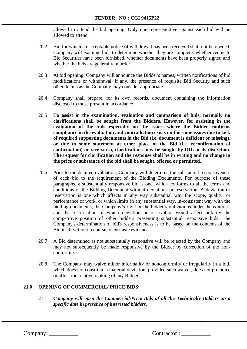allowed to attend the bid opening. Only one representative against each bid will be allowed to attend.

- 20.2 Bid for which an acceptable notice of withdrawal has been received shall not be opened. Company will examine bids to determine whether they are complete, whether requisite Bid Securities have been furnished, whether documents have been properly signed and whether the bids are generally in order.
- 20.3 At bid opening, Company will announce the Bidder's names, written notifications of bid modifications or withdrawal, if any, the presence of requisite Bid Security and such other details as the Company may consider appropriate.
- 20.4 Company shall prepare, for its own records, document containing the information disclosed to those present in accordance.
- 20.5 **To assist in the examination, evaluation and comparison of bids, normally no clarifications shall be sought from the Bidders. However, for assisting in the evaluation of the bids especially on the issues where the Bidder confirms compliance in the evaluation and contradiction exists on the same issues due to lack of required supporting documents in the Bid (i.e. document is deficient or missing), or due to some statement at other place of the Bid (i.e. reconfirmation of confirmation) or vice versa, clarifications may be sought by OIL at its discretion. The request for clarification and the response shall be in writing and no change in the price or substance of the bid shall be sought, offered or permitted.**
- 20.6 Prior to the detailed evaluation, Company will determine the substantial responsiveness of each bid to the requirement of the Bidding Documents. For purpose of these paragraphs, a substantially responsive bid is one, which conforms to all the terms and conditions of the Bidding Document without deviations or reservation. A deviation or reservation is one which affects in any way substantial way the scope, quality, or performance of work, or which limits in any substantial way, in-consistent way with the bidding documents, the Company's right or the bidder's obligations under the contract, and the rectification of which deviation or reservation would affect unfairly the competitive position of other bidders presenting substantial responsive bids. The Company's determination of bid's responsiveness is to be based on the contents of the Bid itself without recourse to extrinsic evidence.
- 20.7 A Bid determined as not substantially responsive will be rejected by the Company and may not subsequently be made responsive by the Bidder by correction of the nonconformity.
- 20.8 The Company may waive minor informality or nonconformity or irregularity in a bid, which does not constitute a material deviation, provided such waiver, does not prejudice or affect the relative ranking of any Bidder.

# **21.0 OPENING OF COMMERCIAL/ PRICE BIDS:**

21.1 *Company will open the Commercial/Price Bids of all the Technically Bidders on a specific date in presence of interested bidders.* 

| Contractor: |  |  |  |
|-------------|--|--|--|
|-------------|--|--|--|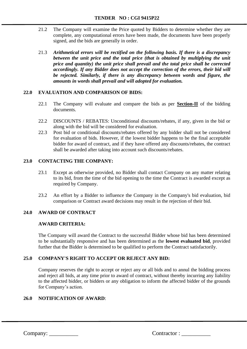- 21.2 The Company will examine the Price quoted by Bidders to determine whether they are complete, any computational errors have been made, the documents have been properly signed, and the bids are generally in order.
- 21.3 *Arithmetical errors will be rectified on the following basis. If there is a discrepancy between the unit price and the total price (that is obtained by multiplying the unit price and quantity) the unit price shall prevail and the total price shall be corrected accordingly. If any Bidder does not accept the correction of the errors, their bid will be rejected. Similarly, if there is any discrepancy between words and figure, the amounts in words shall prevail and will adopted for evaluation.*

### **22.0 EVALUATION AND COMPARISON OF BIDS:**

- 22.1 The Company will evaluate and compare the bids as per **Section-II** of the bidding documents.
- 22.2 DISCOUNTS / REBATES: Unconditional discounts/rebates, if any, given in the bid or along with the bid will be considered for evaluation.
- 22.3 Post bid or conditional discounts/rebates offered by any bidder shall not be considered for evaluation of bids. However, if the lowest bidder happens to be the final acceptable bidder for award of contract, and if they have offered any discounts/rebates, the contract shall be awarded after taking into account such discounts/rebates.

# **23.0 CONTACTING THE COMPANY:**

- 23.1 Except as otherwise provided, no Bidder shall contact Company on any matter relating to its bid, from the time of the bid opening to the time the Contract is awarded except as required by Company.
- 23.2 An effort by a Bidder to influence the Company in the Company's bid evaluation, bid comparison or Contract award decisions may result in the rejection of their bid.

# **24.0 AWARD OF CONTRACT**

# **AWARD CRITERIA:**

The Company will award the Contract to the successful Bidder whose bid has been determined to be substantially responsive and has been determined as the **lowest evaluated bid**, provided further that the Bidder is determined to be qualified to perform the Contract satisfactorily.

# **25.0 COMPANY'S RIGHT TO ACCEPT OR REJECT ANY BID:**

Company reserves the right to accept or reject any or all bids and to annul the bidding process and reject all bids, at any time prior to award of contract, without thereby incurring any liability to the affected bidder, or bidders or any obligation to inform the affected bidder of the grounds for Company's action.

# **26.0 NOTIFICATION OF AWARD**:

Company:

| Contractor: |  |  |
|-------------|--|--|
|-------------|--|--|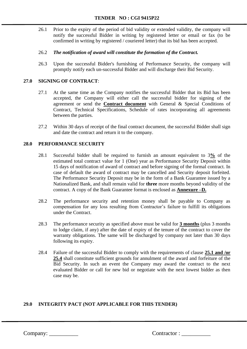26.1 Prior to the expiry of the period of bid validity or extended validity, the company will notify the successful Bidder in writing by registered letter or email or fax (to be confirmed in writing by registered / couriered letter) that its bid has been accepted.

#### 26.2 *The notification of award will constitute the formation of the Contract.*

26.3 Upon the successful Bidder's furnishing of Performance Security, the company will promptly notify each un-successful Bidder and will discharge their Bid Security.

# **27.0 SIGNING OF CONTRACT**:

- 27.1 At the same time as the Company notifies the successful Bidder that its Bid has been accepted, the Company will either call the successful bidder for signing of the agreement or send the **Contract document** with General & Special Conditions of Contract, Technical Specifications, Schedule of rates incorporating all agreements between the parties.
- 27.2 Within 30 days of receipt of the final contract document, the successful Bidder shall sign and date the contract and return it to the company.

### **28.0 PERFORMANCE SECURITY**

- 28.1 Successful bidder shall be required to furnish an amount equivalent to 3**%** of the estimated total contract value for 1 (One) year as Performance Security Deposit within 15 days of notification of award of contract and before signing of the formal contract. In case of default the award of contract may be cancelled and Security deposit forfeited. The Performance Security Deposit may be in the form of a Bank Guarantee issued by a Nationalized Bank, and shall remain valid for **three** more months beyond validity of the contract. A copy of the Bank Guarantee format is enclosed as **Annexure –D.**
- 28.2 The performance security and retention money shall be payable to Company as compensation for any loss resulting from Contractor's failure to fulfill its obligations under the Contract.
- 28.3 The performance security as specified above must be valid for **3 months** (plus 3 months to lodge claim, if any) after the date of expiry of the tenure of the contract to cover the warranty obligations. The same will be discharged by company not later than 30 days following its expiry.
- 28.4 Failure of the successful Bidder to comply with the requirements of clause **25.1 and /or 25.4** shall constitute sufficient grounds for annulment of the award and forfeiture of the Bid Security. In such an event the Company may award the contract to the next evaluated Bidder or call for new bid or negotiate with the next lowest bidder as then case may be.

# **29.0 INTEGRITY PACT (NOT APPLICABLE FOR THIS TENDER)**

| Contractor: |  |
|-------------|--|
|             |  |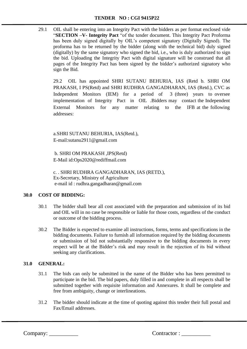29.1 OIL shall be entering into an Integrity Pact with the bidders as per format enclosed vide "**SECTION –V- Integrity Pact** "of the tender document. This Integrity Pact Proforma has been duly signed digitally by OIL's competent signatory (Digitally Signed). The proforma has to be returned by the bidder (along with the technical bid) duly signed (digitally) by the same signatory who signed the bid, i.e., who is duly authorized to sign the bid. Uploading the Integrity Pact with digital signature will be construed that all pages of the Integrity Pact has been signed by the bidder's authorized signatory who sign the Bid.

29.2 OIL has appointed SHRI SUTANU BEHURIA, IAS (Retd b. SHRI OM PRAKASH, I PS(Retd) and SHRI RUDHRA GANGADHARAN, IAS (Retd.), CVC as Independent Monitors (IEM) for a period of 3 (three) years to oversee implementation of Integrity Pact in OIL .Bidders may contact the Independent External Monitors for any matter relating to the IFB at the following addresses:

a.SHRI SUTANU BEHURIA, IAS(Retd.), E-mail[:sutanu2911@gmaiI.com](mailto:sutanu2911@gmaiI.com)

b. SHRI OM PRAKASH ,IPS(Retd) E-Mail id:Ops2020@rediffmail.com

c. . SHRI RUDHRA GANGADHARAN, IAS (RETD.), Ex-Secretary, Ministry of Agriculture e-mail id : [rudhra.gangadharan@gmail.com](mailto:rudhra.gangadharan@gmail.com)

# **30.0 COST OF BIDDING:**

- 30.1 The bidder shall bear all cost associated with the preparation and submission of its bid and OIL will in no case be responsible or liable for those costs, regardless of the conduct or outcome of the bidding process.
- 30.2 The Bidder is expected to examine all instructions, forms, terms and specifications in the bidding documents. Failure to furnish all information required by the bidding documents or submission of bid not substantially responsive to the bidding documents in every respect will be at the Bidder's risk and may result in the rejection of its bid without seeking any clarifications.

# **31.0 GENERAL:**

- 31.1 The bids can only be submitted in the name of the Bidder who has been permitted to participate in the bid. The bid papers, duly filled in and complete in all respects shall be submitted together with requisite information and Annexures. It shall be complete and free from ambiguity, change or interlineations.
- 31.2 The bidder should indicate at the time of quoting against this tender their full postal and Fax/Email addresses.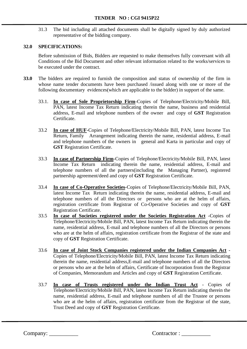31.3 The bid including all attached documents shall be digitally signed by duly authorized representative of the bidding company.

### **32.0 SPECIFICATIONS:**

Before submission of Bids, Bidders are requested to make themselves fully conversant with all Conditions of the Bid Document and other relevant information related to the works/services to be executed under the contract.

- **33.0** The bidders are required to furnish the composition and status of ownership of the firm in whose name tender documents have been purchased /issued along with one or more of the following documentary evidences(which are applicable to the bidder) in support of the same.
	- 33.1. **In case of Sole Proprietorship Firm**-Copies of Telephone/Electricity/Mobile Bill, PAN, latest Income Tax Return indicating therein the name, business and residential address, E-mail and telephone numbers of the owner and copy of **GST** Registration Certificate.
	- 33.2 **In case of HUF**-Copies of Telephone/Electricity/Mobile Bill, PAN, latest Income Tax Return, Family Arrangement indicating therein the name, residential address, E-mail and telephone numbers of the owners in general and Karta in particular and copy of **GST** Registration Certificate.
	- 33.3 **In case of Partnership Firm**-Copies of Telephone/Electricity/Mobile Bill, PAN, latest Income Tax Return indicating therein the name, residential address, E-mail and telephone numbers of all the partners(including the Managing Partner), registered partnership agreement/deed and copy of **GST** Registration Certificate.
	- 33.4 **In case of Co-Operative Societies**-Copies of Telephone/Electricity/Mobile Bill, PAN, latest Income Tax Return indicating therein the name, residential address, E-mail and telephone numbers of all the Directors or persons who are at the helm of affairs, registration certificate from Registrar of Co-Operative Societies and copy of **GST** Registration Certificate.
	- 33.5 **In case of Societies registered under the Societies Registration Act** -Copies of Telephone/Electricity/Mobile Bill, PAN, latest Income Tax Return indicating therein the name, residential address, E-mail and telephone numbers of all the Directors or persons who are at the helm of affairs, registration certificate from the Registrar of the state and copy of **GST** Registration Certificate.
	- 33.6 **In case of Joint Stock Companies registered under the Indian Companies Act** Copies of Telephone/Electricity/Mobile Bill, PAN, latest Income Tax Return indicating therein the name, residential address,E-mail and telephone numbers of all the Directors or persons who are at the helm of affairs, Certificate of Incorporation from the Registrar of Companies, Memorandum and Articles and copy of **GST** Registration Certificate.
	- 33.7 **In case of Trusts registered under the Indian Trust Act** Copies of Telephone/Electricity/Mobile Bill, PAN, latest Income Tax Return indicating therein the name, residential address, E-mail and telephone numbers of all the Trustee or persons who are at the helm of affairs, registration certificate from the Registrar of the state, Trust Deed and copy of **GST** Registration Certificate.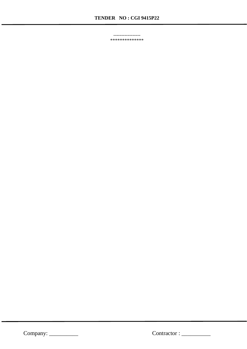----------------- \*\*\*\*\*\*\*\*\*\*\*\*\*\*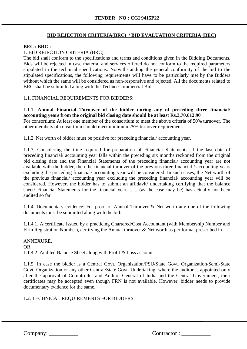# **BID REJECTION CRITERIA(BRC) / BID EVALUATION CRITERIA (BEC)**

### **BEC / BRC :**

# 1. BID REJECTION CRITERIA (BRC):

The bid shall conform to the specifications and terms and conditions given in the Bidding Documents. Bids will be rejected in case material and services offered do not conform to the required parameters stipulated in the technical specifications. Notwithstanding the general conformity of the bid to the stipulated specifications, the following requirements will have to be particularly met by the Bidders without which the same will be considered as non-responsive and rejected. All the documents related to BRC shall be submitted along with the Techno-Commercial Bid.

1.1. FINANCIAL REQUIREMENTS FOR BIDDERS:

#### 1.1.1. **Annual Financial Turnover of the bidder during any of preceding three financial/ accounting years from the original bid closing date should be at least Rs.3,70,612.90**

For consortium: At least one member of the consortium to meet the above criteria of 50% turnover. The other members of consortium should meet minimum 25% turnover requirement.

1.1.2. Net worth of bidder must be positive for preceding financial/ accounting year.

1.1.3. Considering the time required for preparation of Financial Statements, if the last date of preceding financial/ accounting year falls within the preceding six months reckoned from the original bid closing date and the Financial Statements of the preceding financial/accounting year are not available with the bidder, then the financial turnover of the previous three financial / accounting years excluding the preceding financial/ accounting year will be considered. In such cases, the Net worth of the previous financial/ accounting year excluding the preceding financial/ accounting year will be considered. However, the bidder has to submit an affidavit/ undertaking certifying that the balance sheet/ Financial Statements for the financial year ....... (as the case may be) has actually not been audited so far.

1.1.4. Documentary evidence: For proof of Annual Turnover & Net worth any one of the following documents must be submitted along with the bid:

1.1.4.1. A certificate issued by a practicing Chartered/Cost Accountant (with Membership Number and Firm Registration Number), certifying the Annual turnover & Net worth as per format prescribed in

**ANNEXURE.** OR 1.1.4.2. Audited Balance Sheet along with Profit & Loss account.

1.1.5. In case the bidder is a Central Govt. Organization/PSU/State Govt. Organization/Semi-State Govt. Organization or any other Central/State Govt. Undertaking, where the auditor is appointed only after the approval of Comptroller and Auditor General of India and the Central Government, their certificates may be accepted even though FRN is not available. However, bidder needs to provide documentary evidence for the same.

# 1.2. TECHNICAL REQUIREMENTS FOR BIDDERS

 $Comparly:$ 

| Contractor: |  |
|-------------|--|
|-------------|--|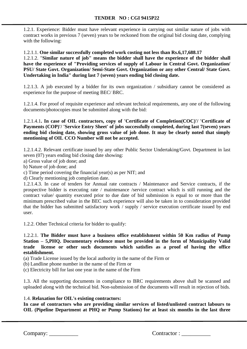1.2.1. Experience: Bidder must have relevant experience in carrying out similar nature of jobs with contract works in previous 7 (seven) years to be reckoned from the original bid closing date, complying with the following:

1.2.1.1. **One similar successfully completed work costing not less than Rs.6,17,688.17** 1.2.1.2. "**Similar nature of job" means the bidder shall have the experience of the bidder shall have the experience of "Providing services of supply of Labour in Central Govt. Organization/ PSU/ State Govt. Organization/ Semi-State Govt. Organization or any other Central/ State Govt. Undertaking in India" during last 7 (seven) years ending bid closing date.**

1.2.1.3. A job executed by a bidder for its own organization / subsidiary cannot be considered as experience for the purpose of meeting BEC/ BRC.

1.2.1.4. For proof of requisite experience and relevant technical requirements, any one of the following documents/photocopies must be submitted along with the bid:

1.2.1.4.1**. In case of OIL contractors, copy of 'Certificate of Completion(COC)'/ 'Certificate of Payments (COP)'/ 'Service Entry Sheet' of jobs successfully completed, during last 7(seven) years ending bid closing date, showing gross value of job done. It may be clearly noted that simply mentioning of OIL CCO Number will not be accepted.**

1.2.1.4.2. Relevant certificate issued by any other Public Sector Undertaking/Govt. Department in last seven (07) years ending bid closing date showing:

- a) Gross value of job done; and
- b) Nature of job done; and
- c) Time period covering the financial year(s) as per NIT; and
- d) Clearly mentioning job completion date.

1.2.1.4.3. In case of tenders for Annual rate contracts / Maintenance and Service contracts, if the prospective bidder is executing rate / maintenance /service contract which is still running and the contract value/ quantity executed prior to due date of bid submission is equal to or more than the minimum prescribed value in the BEC such experience will also be taken in to consideration provided that the bidder has submitted satisfactory work / supply / service execution certificate issued by end user.

1.2.2. Other Technical criteria for bidder to qualify:

1.2.2.1. **The Bidder must have a business office establishment within 50 Km radius of Pump Station – 5,PHQ. Documentary evidence must be provided in the form of Municipality Valid trade license or other such documents which satisfies as a proof of having the office establishment.**

(a) Trade License issued by the local authority in the name of the Firm or

(b) Landline phone number in the name of the Firm or

(c) Electricity bill for last one year in the name of the Firm

1.3. All the supporting documents in compliance to BRC requirements above shall be scanned and uploaded along with the technical bid. Non-submission of the documents will result in rejection of bids.

#### 1.4. **Relaxation for OIL's existing contractors:**

**In case of contractors who are providing similar services of listed/unlisted contract labours to OIL (Pipeline Department at PHQ or Pump Stations) for at least six months in the last three**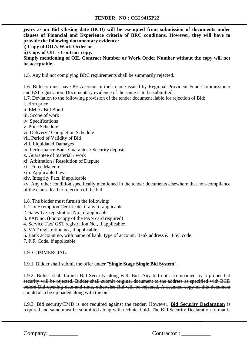**years as on Bid Closing date (BCD) will be exempted from submission of documents under clauses of Financial and Experience criteria of BRC conditions. However, they will have to provide the following documentary evidence:**

**i) Copy of OIL's Work Order or**

**ii) Copy of OIL's Contract copy.**

**Simply mentioning of OIL Contract Number or Work Order Number without the copy will not be acceptable.**

1.5. Any bid not complying BRC requirements shall be summarily rejected.

1.6. Bidders must have PF Account in their name issued by Regional Provident Fund Commissioner and ESI registration. Documentary evidence of the same is to be submitted.

1.7. Deviation to the following provision of the tender document liable for rejection of Bid:

i. Firm price

ii. EMD / Bid Bond

iii. Scope of work

iv. Specifications

- v. Price Schedule
- vi. Delivery / Completion Schedule

vii. Period of Validity of Bid

viii. Liquidated Damages

ix. Performance Bank Guarantee / Security deposit

x. Guarantee of material / work

xi. Arbitration / Resolution of Dispute

xii. Force Majeure

xiii. Applicable Laws

xiv. Integrity Pact, if applicable

xv. Any other condition specifically mentioned in the tender documents elsewhere that non-compliance of the clause lead to rejection of the bid.

1.8. The bidder must furnish the following:

- 1. Tax Exemption Certificate, if any, if applicable
- 2. Sales Tax registration No., if applicable
- 3. PAN no. (Photocopy of the PAN card required)
- 4. Service Tax/ GST registration No., if applicable:
- 5. VAT registration no., if applicable
- 6. Bank account no. with name of bank, type of account, Bank address & IFSC code.
- 7. P.F. Code, if applicable

# 1.9. COMMERCIAL:

1.9.1. Bidder shall submit the offer under "**Single Stage Single Bid System**".

1.9.2. Bidder shall furnish Bid Security along with Bid. Any bid not accompanied by a proper bid security will be rejected. Bidder shall submit original document to the address as specified with BCD before Bid opening date and time, otherwise Bid will be rejected. A scanned copy of this document should also be uploaded along with the bid.

1.9.3. Bid security/EMD is not required against the tender. However, **Bid Security Declaration** is required and same must be submitted along with technical bid. The Bid Security Declaration format is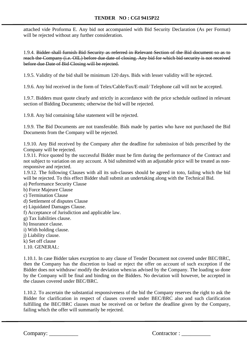attached vide Proforma E. Any bid not accompanied with Bid Security Declaration (As per Format) will be rejected without any further consideration.

1.9.4. Bidder shall furnish Bid Security as referred in Relevant Section of the Bid document so as to reach the Company (i.e. OIL) before due date of closing. Any bid for which bid security is not received before due Date of Bid Closing will be rejected.

1.9.5. Validity of the bid shall be minimum 120 days. Bids with lesser validity will be rejected.

1.9.6. Any bid received in the form of Telex/Cable/Fax/E-mail/ Telephone call will not be accepted.

1.9.7. Bidders must quote clearly and strictly in accordance with the price schedule outlined in relevant section of Bidding Documents; otherwise the bid will be rejected.

1.9.8. Any bid containing false statement will be rejected.

1.9.9. The Bid Documents are not transferable. Bids made by parties who have not purchased the Bid Documents from the Company will be rejected.

1.9.10. Any Bid received by the Company after the deadline for submission of bids prescribed by the Company will be rejected.

1.9.11. Price quoted by the successful Bidder must be firm during the performance of the Contract and not subject to variation on any account. A bid submitted with an adjustable price will be treated as nonresponsive and rejected.

1.9.12. The following Clauses with all its sub-clauses should be agreed in toto, failing which the bid will be rejected. To this effect Bidder shall submit an undertaking along with the Technical Bid.

a) Performance Security Clause

- b) Force Majeure Clause
- c) Termination Clause
- d) Settlement of disputes Clause
- e) Liquidated Damages Clause.
- f) Acceptance of Jurisdiction and applicable law.
- g) Tax liabilities clause.
- h) Insurance clause.
- i) With holding clause.
- j) Liability clause.
- k) Set off clause
- 1.10. GENERAL:

1.10.1. In case Bidder takes exception to any clause of Tender Document not covered under BEC/BRC, then the Company has the discretion to load or reject the offer on account of such exception if the Bidder does not withdraw/ modify the deviation when/as advised by the Company. The loading so done by the Company will be final and binding on the Bidders. No deviation will however, be accepted in the clauses covered under BEC/BRC.

1.10.2. To ascertain the substantial responsiveness of the bid the Company reserves the right to ask the Bidder for clarification in respect of clauses covered under BEC/BRC also and such clarification fulfilling the BEC/BRC clauses must be received on or before the deadline given by the Company, failing which the offer will summarily be rejected.

| Contractor: |  |  |
|-------------|--|--|
|-------------|--|--|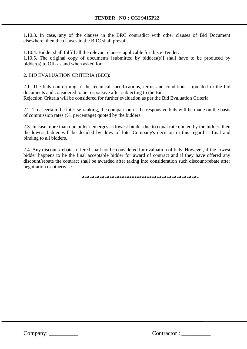1.10.3. In case, any of the clauses in the BRC contradict with other clauses of Bid Document elsewhere, then the clauses in the BRC shall prevail.

1.10.4. Bidder shall fulfill all the relevant clauses applicable for this e-Tender. 1.10.5. The original copy of documents [submitted by bidders(s)] shall have to be produced by bidder(s) to OIL as and when asked for.

### 2. BID EVALUATION CRITERIA (BEC):

2.1. The bids conforming to the technical specifications, terms and conditions stipulated in the bid documents and considered to be responsive after subjecting to the Bid Rejection Criteria will be considered for further evaluation as per the Bid Evaluation Criteria.

2.2. To ascertain the inter-se-ranking, the comparison of the responsive bids will be made on the basis of commission rates (%, percentage) quoted by the bidders.

2.3. In case more than one bidder emerges as lowest bidder due to equal rate quoted by the bidder, then the lowest bidder will be decided by draw of lots. Company's decision in this regard is final and binding to all bidders.

2.4. Any discount/rebates offered shall not be considered for evaluation of bids. However, if the lowest bidder happens to be the final acceptable bidder for award of contract and if they have offered any discount/rebate the contract shall be awarded after taking into consideration such discount/rebate after negotiation or otherwise.

 *\*\*\*\*\*\*\*\*\*\*\*\*\*\*\*\*\*\*\*\*\*\*\*\*\*\*\*\*\*\*\*\*\*\*\*\*\*\*\*\*\*\*\*\*\*\*\**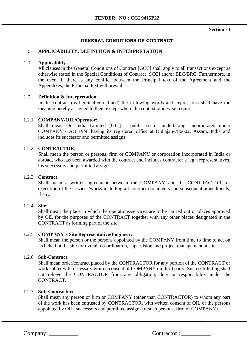#### **Section - I**

#### **GENERAL CONDITIONS OF CONTRACT**

#### 1.0 **APPLICABILITY, DEFINITION & INTERPRETATION**

#### 1.1 **Applicability**

All clauses in the General Conditions of Contract [GCC] shall apply to all transactions except as otherwise stated in the Special Conditions of Contract [SCC] and/or BEC/BRC. Furthermore, in the event if there is any conflict between the Principal text of the Agreement and the Appendixes, the Principal text will prevail.

#### 1.2 **Definition & Interpretation**

In the contract (as hereinafter defined) the following words and expressions shall have the meaning hereby assigned to them except where the context otherwise requires:

#### 1.2.1 **COMPANY/OIL/Operator:**

Shall mean Oil India Limited [OIL] a public sector undertaking, incorporated under COMPANY's Act 1956 having its registered office at Duliajan-786602, Assam, India and includes its successor and permitted assigns.

#### 1.2.2 **CONTRACTOR:**

Shall mean the person or persons, firm or COMPANY or corporation incorporated in India or abroad, who has been awarded with the contract and includes contractor's legal representatives, his successors and permitted assigns.

#### 1.2.3 **Contract:**

Shall mean a written agreement between the COMPANY and the CONTRACTOR for execution of the services/works including all contract documents and subsequent amendments, if any.

#### 1.2.4 **Site:**

Shall mean the place in which the operations/services are to be carried out or places approved by OIL for the purposes of the CONTRACT together with any other places designated in the CONTRACT as forming part of the site.

#### 1.2.5 **COMPANY's Site Representative/Engineer:**

Shall mean the person or the persons appointed by the COMPANY from time to time to act on its behalf at the site for overall co-ordination, supervision and project management at site.

#### 1.2.6 **Sub-Contract:**

Shall mean order/contract placed by the CONTRACTOR for any portion of the CONTRACT or work sublet with necessary written consent of COMPANY on third party. Such sub-letting shall not relieve the CONTRACTOR from any obligation, duty or responsibility under the CONTRACT.

# 1.2.7 **Sub-Contractor:**

Shall mean any person or firm or COMPANY (other than CONTRACTOR) to whom any part of the work has been entrusted by CONTRACTOR, with written consent of OIL or the persons appointed by OIL, successors and permitted assigns of such persons, firm or COMPANY).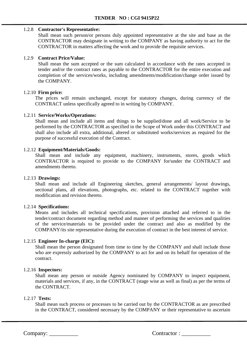# 1.2.8 **Contractor's Representative:**

Shall mean such person/or persons duly appointed representative at the site and base as the CONTRACTOR may designate in writing to the COMPANY as having authority to act for the CONTRACTOR in matters affecting the work and to provide the requisite services.

#### 1.2.9 **Contract Price/Value:**

Shall mean the sum accepted or the sum calculated in accordance with the rates accepted in tender and/or the contract rates as payable to the CONTRACTOR for the entire execution and completion of the services/works, including amendments/modification/change order issued by the COMPANY.

### 1.2.10 **Firm price:**

The prices will remain unchanged, except for statutory changes, during currency of the CONTRACT unless specifically agreed to in writing by COMPANY.

#### 1.2.11 **Service/Works/Operations:**

Shall mean and include all items and things to be supplied/done and all work/Service to be performed by the CONTRACTOR as specified in the Scope of Work under this CONTRACT and shall also include all extra, additional, altered or substituted works/services as required for the purpose of successful execution of the Contract.

### 1.2.12 **Equipment/Materials/Goods:**

Shall mean and include any equipment, machinery, instruments, stores, goods which CONTRACTOR is required to provide to the COMPANY for/under the CONTRACT and amendments thereto.

#### 1.2.13 **Drawings:**

Shall mean and include all Engineering sketches, general arrangements/ layout drawings, sectional plans, all elevations, photographs, etc. related to the CONTRACT together with modification and revision thereto.

#### 1.2.14 **Specifications:**

Means and includes all technical specifications, provision attached and referred to in the tender/contract document regarding method and manner of performing the services and qualities of the service/materials to be provided under the contract and also as modified by the COMPANY/its site representative during the execution of contract in the best interest of service.

#### 1.2.15 **Engineer In-charge (EIC):**

Shall mean the person designated from time to time by the COMPANY and shall include those who are expressly authorized by the COMPANY to act for and on its behalf for operation of the contract.

#### 1.2.16 **Inspectors:**

Shall mean any person or outside Agency nominated by COMPANY to inspect equipment, materials and services, if any, in the CONTRACT (stage wise as well as final) as per the terms of the CONTRACT.

# 1.2.17 **Tests:**

Shall mean such process or processes to be carried out by the CONTRACTOR as are prescribed in the CONTRACT, considered necessary by the COMPANY or their representative to ascertain

| Contractor: |  |  |
|-------------|--|--|
|-------------|--|--|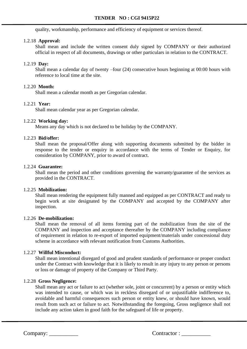quality, workmanship, performance and efficiency of equipment or services thereof.

### 1.2.18 **Approval:**

Shall mean and include the written consent duly signed by COMPANY or their authorized official in respect of all documents, drawings or other particulars in relation to the CONTRACT.

# 1.2.19 **Day:**

Shall mean a calendar day of twenty –four (24) consecutive hours beginning at 00:00 hours with reference to local time at the site.

# 1.2.20 **Month:**

Shall mean a calendar month as per Gregorian calendar.

### 1.2.21 **Year:**

Shall mean calendar year as per Gregorian calendar.

### 1.2.22 **Working day:**

Means any day which is not declared to be holiday by the COMPANY.

### 1.2.23 **Bid/offer:**

Shall mean the proposal/Offer along with supporting documents submitted by the bidder in response to the tender or enquiry in accordance with the terms of Tender or Enquiry, for consideration by COMPANY, prior to award of contract.

### 1.2.24 **Guarantee:**

Shall mean the period and other conditions governing the warranty/guarantee of the services as provided in the CONTRACT.

#### 1.2.25 **Mobilization:**

Shall mean rendering the equipment fully manned and equipped as per CONTRACT and ready to begin work at site designated by the COMPANY and accepted by the COMPANY after inspection.

#### 1.2.26 **De-mobilization:**

Shall mean the removal of all items forming part of the mobilization from the site of the COMPANY and inspection and acceptance thereafter by the COMPANY including compliance of requirement in relation to re-export of imported equipment/materials under concessional duty scheme in accordance with relevant notification from Customs Authorities.

#### 1.2.27 **Willful Misconduct:**

Shall mean intentional disregard of good and prudent standards of performance or proper conduct under the Contract with knowledge that it is likely to result in any injury to any person or persons or loss or damage of property of the Company or Third Party.

#### 1.2.28 **Gross Negligence:**

Shall mean any act or failure to act (whether sole, joint or concurrent) by a person or entity which was intended to cause, or which was in reckless disregard of or unjustifiable indifference to, avoidable and harmful consequences such person or entity knew, or should have known, would result from such act or failure to act. Notwithstanding the foregoing, Gross negligence shall not include any action taken in good faith for the safeguard of life or property.

Company:

| Contractor: |  |  |
|-------------|--|--|
|-------------|--|--|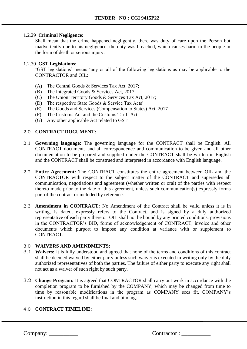#### 1.2.29 **Criminal Negligence:**

Shall mean that the crime happened negligently, there was duty of care upon the Person but inadvertently due to his negligence, the duty was breached, which causes harm to the people in the form of death or serious injury.

### 1.2.30 **GST Legislations:**

'GST legislations' means 'any or all of the following legislations as may be applicable to the CONTRACTOR and OIL:

- (A) The Central Goods & Services Tax Act, 2017;
- (B) The Integrated Goods & Services Act, 2017;
- (C) The Union Territory Goods & Services Tax Act, 2017;
- (D) The respective State Goods & Service Tax Acts'
- (E) The Goods and Services (Compensation to States) Act, 2017
- (F) The Customs Act and the Customs Tariff Act.
- (G) Any other applicable Act related to GST

#### 2.0 **CONTRACT DOCUMENT:**

- 2.1 **Governing language:** The governing language for the CONTRACT shall be English. All CONTRACT documents and all correspondence and communication to be given and all other documentation to be prepared and supplied under the CONTRACT shall be written in English and the CONTRACT shall be construed and interpreted in accordance with English language.
- 2.2 **Entire Agreement:** The CONTRACT constitutes the entire agreement between OIL and the CONTRACTOR with respect to the subject matter of the CONTRACT and supersedes all communication, negotiations and agreement (whether written or oral) of the parties with respect thereto made prior to the date of this agreement, unless such communication(s) expressly forms part of the contract or included by reference.
- 2.3 **Amendment in CONTRACT:** No Amendment of the Contract shall be valid unless it is in writing, is dated, expressly refers to the Contract, and is signed by a duly authorized representative of each party thereto. OIL shall not be bound by any printed conditions, provisions in the CONTRACTOR's BID, forms of acknowledgement of CONTRACT, invoice and other documents which purport to impose any condition at variance with or supplement to CONTRACT.

#### 3.0 **WAIVERS AND AMENDMENTS:**

- 3.1 **Waivers:** It is fully understood and agreed that none of the terms and conditions of this contract shall be deemed waived by either party unless such waiver is executed in writing only by the duly authorized representatives of both the parties. The failure of either party to execute any right shall not act as a waiver of such right by such party.
- 3.2 **Change Program:** It is agreed that CONTRACTOR shall carry out work in accordance with the completion program to be furnished by the COMPANY, which may be changed from time to time by reasonable modifications in the program as COMPANY sees fit. COMPANY's instruction in this regard shall be final and binding.

# 4.0 **CONTRACT TIMELINE:**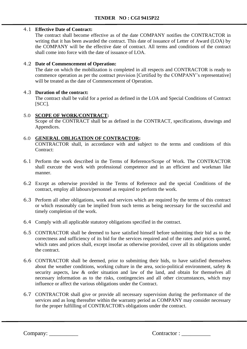### 4.1 **Effective Date of Contract:**

The contract shall become effective as of the date COMPANY notifies the CONTRACTOR in writing that it has been awarded the contract. This date of issuance of Letter of Award (LOA) by the COMPANY will be the effective date of contract. All terms and conditions of the contract shall come into force with the date of issuance of LOA.

### 4.2 **Date of Commencement of Operation:**

The date on which the mobilization is completed in all respects and CONTRACTOR is ready to commence operation as per the contract provision [Certified by the COMPANY's representative] will be treated as the date of Commencement of Operation.

#### 4.3 **Duration of the contract:**

The contract shall be valid for a period as defined in the LOA and Special Conditions of Contract [SCC].

### 5.0 **SCOPE OF WORK/CONTRACT:**

Scope of the CONTRACT shall be as defined in the CONTRACT, specifications, drawings and Appendices.

# 6.0 **GENERAL OBLIGATION OF CONTRACTOR:**

CONTRACTOR shall, in accordance with and subject to the terms and conditions of this Contract:

- 6.1 Perform the work described in the Terms of Reference/Scope of Work. The CONTRACTOR shall execute the work with professional competence and in an efficient and workman like manner.
- 6.2 Except as otherwise provided in the Terms of Reference and the special Conditions of the contract, employ all labours/personnel as required to perform the work.
- 6.3 Perform all other obligations, work and services which are required by the terms of this contract or which reasonably can be implied from such terms as being necessary for the successful and timely completion of the work.
- 6.4 Comply with all applicable statutory obligations specified in the contract.
- 6.5 CONTRACTOR shall be deemed to have satisfied himself before submitting their bid as to the correctness and sufficiency of its bid for the services required and of the rates and prices quoted, which rates and prices shall, except insofar as otherwise provided, cover all its obligations under the contract.
- 6.6 CONTRACTOR shall be deemed, prior to submitting their bids, to have satisfied themselves about the weather conditions, working culture in the area, socio-political environment, safety & security aspects, law & order situation and law of the land, and obtain for themselves all necessary information as to the risks, contingencies and all other circumstances, which may influence or affect the various obligations under the Contract.
- 6.7 CONTRACTOR shall give or provide all necessary supervision during the performance of the services and as long thereafter within the warranty period as COMPANY may consider necessary for the proper fulfilling of CONTRACTOR's obligations under the contract.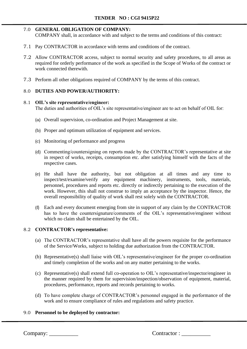# 7.0 **GENERAL OBLIGATION OF COMPANY:**

COMPANY shall, in accordance with and subject to the terms and conditions of this contract:

- 7.1 Pay CONTRACTOR in accordance with terms and conditions of the contract.
- 7.2 Allow CONTRACTOR access, subject to normal security and safety procedures, to all areas as required for orderly performance of the work as specified in the Scope of Works of the contract or work connected therewith.
- 7.3 Perform all other obligations required of COMPANY by the terms of this contract.

# 8.0 **DUTIES AND POWER/AUTHORITY:**

### 8.1 **OIL's site representative/engineer:**

The duties and authorities of OIL's site representative/engineer are to act on behalf of OIL for:

- (a) Overall supervision, co-ordination and Project Management at site.
- (b) Proper and optimum utilization of equipment and services.
- (c) Monitoring of performance and progress
- (d) Commenting/countersigning on reports made by the CONTRACTOR's representative at site in respect of works, receipts, consumption etc. after satisfying himself with the facts of the respective cases.
- (e) He shall have the authority, but not obligation at all times and any time to inspect/test/examine/verify any equipment machinery, instruments, tools, materials, personnel, procedures and reports etc. directly or indirectly pertaining to the execution of the work. However, this shall not construe to imply an acceptance by the inspector. Hence, the overall responsibility of quality of work shall rest solely with the CONTRACTOR.
- (f) Each and every document emerging from site in support of any claim by the CONTRACTOR has to have the countersignature/comments of the OIL's representative/engineer without which no claim shall be entertained by the OIL.

# 8.2 **CONTRACTOR's representative:**

- (a) The CONTRACTOR's representative shall have all the powers requisite for the performance of the Service/Works, subject to holding due authorization from the CONTRACTOR.
- (b) Representative(s) shall liaise with OIL's representative/engineer for the proper co-ordination and timely completion of the works and on any matter pertaining to the works.
- (c) Representative(s) shall extend full co-operation to OIL's representative/inspector/engineer in the manner required by them for supervision/inspection/observation of equipment, material, procedures, performance, reports and records pertaining to works.
- (d) To have complete charge of CONTRACTOR's personnel engaged in the performance of the work and to ensure compliance of rules and regulations and safety practice.

# 9.0 **Personnel to be deployed by contractor:**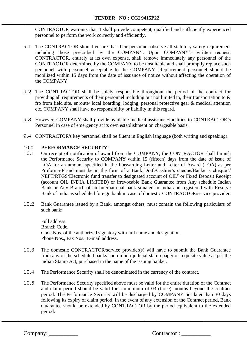CONTRACTOR warrants that it shall provide competent, qualified and sufficiently experienced personnel to perform the work correctly and efficiently.

- 9.1 The CONTRACTOR should ensure that their personnel observe all statutory safety requirement including those prescribed by the COMPANY. Upon COMPANY's written request, CONTRACTOR, entirely at its own expense, shall remove immediately any personnel of the CONTRACTOR determined by the COMPANY to be unsuitable and shall promptly replace such personnel with personnel acceptable to the COMPANY. Replacement personnel should be mobilized within 15 days from the date of issuance of notice without affecting the operation of the COMPANY.
- 9.2 The CONTRACTOR shall be solely responsible throughout the period of the contract for providing all requirements of their personnel including but not limited to, their transportation to & fro from field site, enroute/ local boarding, lodging, personal protective gear & medical attention etc. COMPANY shall have no responsibility or liability in this regard.
- 9.3 However, COMPANY shall provide available medical assistance/facilities to CONTRACTOR's Personnel in case of emergency at its own establishment on chargeable basis.
- 9.4 CONTRACTOR's key personnel shall be fluent in English language (both writing and speaking).

# <span id="page-31-0"></span>10.0 **PERFORMANCE SECURITY:**

- 10.1 On receipt of notification of award from the COMPANY, the CONTRACTOR shall furnish the Performance Security to COMPANY within 15 (fifteen) days from the date of issue of LOA for an amount specified in the Forwarding Letter and Letter of Award (LOA) as per Proforma-F and must be in the form of a Bank Draft/Cashier's cheque/Banker's cheque\*/ NEFT/RTGS/Electronic fund transfer to designated account of OIL<sup>#</sup> or Fixed Deposit Receipt (account OIL INDIA LIMITED) or irrevocable Bank Guarantee from Any schedule Indian Bank or Any Branch of an International bank situated in India and registered with Reserve Bank of India as scheduled foreign bank in case of domestic CONTRACTOR/service provider.
- 10.2 Bank Guarantee issued by a Bank, amongst others, must contain the following particulars of such bank:

Full address. Branch Code. Code Nos. of the authorized signatory with full name and designation. Phone Nos., Fax Nos., E-mail address.

- 10.3 The domestic CONTRACTOR/service provider(s) will have to submit the Bank Guarantee from any of the scheduled banks and on non-judicial stamp paper of requisite value as per the Indian Stamp Act, purchased in the name of the issuing banker.
- 10.4 The Performance Security shall be denominated in the currency of the contract.
- 10.5 The Performance Security specified above must be valid for the entire duration of the Contract and claim period should be valid for a minimum of 03 (three) months beyond the contract period. The Performance Security will be discharged by COMPANY not later than 30 days following its expiry of claim period. In the event of any extension of the Contract period, Bank Guarantee should be extended by CONTRACTOR by the period equivalent to the extended period.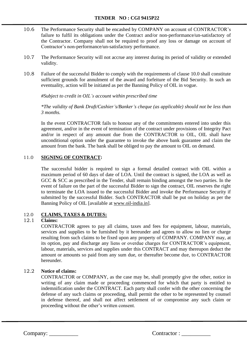- 10.6 The Performance Security shall be encashed by COMPANY on account of CONTRACTOR's failure to fulfil its obligations under the Contract and/or non-performance/un-satisfactory of the Contractor. Company shall not be required to proof any loss or damage on account of Contractor's non-performance/un-satisfactory performance.
- 10.7 The Performance Security will not accrue any interest during its period of validity or extended validity.
- 10.8 Failure of the successful Bidder to comply with the requirements of clause [10.0](#page-31-0) shall constitute sufficient grounds for annulment of the award and forfeiture of the Bid Security. In such an eventuality, action will be initiated as per the Banning Policy of OIL in vogue.

*#Subject to credit in OIL's account within prescribed time* 

*\*The validity of Bank Draft/Cashier's/Banker's cheque (as applicable) should not be less than 3 months.*

In the event CONTRACTOR fails to honour any of the commitments entered into under this agreement, and/or in the event of termination of the contract under provisions of Integrity Pact and/or in respect of any amount due from the CONTRACTOR to OIL, OIL shall have unconditional option under the guarantee to invoke the above bank guarantee and claim the amount from the bank. The bank shall be obliged to pay the amount to OIL on demand.

# 11.0 **SIGNING OF CONTRACT:**

The successful bidder is required to sign a formal detailed contract with OIL within a maximum period of 60 days of date of LOA. Until the contract is signed, the LOA as well as GCC & SCC as prescribed in the Tender, shall remain binding amongst the two parties. In the event of failure on the part of the successful Bidder to sign the contract, OIL reserves the right to terminate the LOA issued to the successful Bidder and invoke the Performance Security if submitted by the successful Bidder. Such CONTRACTOR shall be put on holiday as per the Banning Policy of OIL [available at [www.oil-india.in\]](http://www.oil-india.in/).

# 12.0 **CLAIMS, TAXES & DUTIES:**

# 12.1 **Claims:**

CONTRACTOR agrees to pay all claims, taxes and fees for equipment, labour, materials, services and supplies to be furnished by it hereunder and agrees to allow no lien or charge resulting from such claims to be fixed upon any property of COMPANY. COMPANY may, at its option, pay and discharge any liens or overdue charges for CONTRACTOR's equipment, labour, materials, services and supplies under this CONTRACT and may thereupon deduct the amount or amounts so paid from any sum due, or thereafter become due, to CONTRACTOR hereunder.

# 12.2 **Notice of claims:**

CONTRACTOR or COMPANY, as the case may be, shall promptly give the other, notice in writing of any claim made or proceeding commenced for which that party is entitled to indemnification under the CONTRACT. Each party shall confer with the other concerning the defense of any such claims or proceeding, shall permit the other to be represented by counsel in defense thereof, and shall not affect settlement of or compromise any such claim or proceeding without the other's written consent.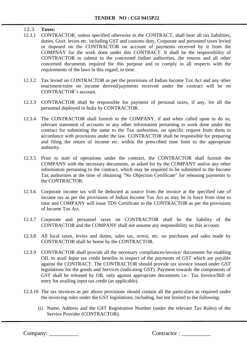# 12.3 **Taxes:**

- 12.3.1 CONTRACTOR, unless specified otherwise in the CONTRACT, shall bear all tax liabilities, duties, Govt. levies etc. including GST and customs duty, Corporate and personnel taxes levied or imposed on the CONTRACTOR on account of payments received by it from the COMPNAY for the work done under this CONTRACT. It shall be the responsibility of CONTRACTOR to submit to the concerned Indian authorities, the returns and all other concerned documents required for this purpose and to comply in all respects with the requirements of the laws in this regard, in time.
- 12.3.2 Tax levied on CONTRACTOR as per the provisions of Indian Income Tax Act and any other enactment/rules on income derived/payments received under the contract will be on CONTRACTOR's account.
- 12.3.3 CONTRACTOR shall be responsible for payment of personal taxes, if any, for all the personnel deployed in India by CONTRACTOR.
- 12.3.4 The CONTRACTOR shall furnish to the COMPANY, if and when called upon to do so, relevant statement of accounts or any other information pertaining to work done under the contract for submitting the same to the Tax authorities, on specific request from them in accordance with provisions under the law. CONTRACTOR shall be responsible for preparing and filing the return of income etc. within the prescribed time limit to the appropriate authority.
- 12.3.5 Prior to start of operations under the contract, the CONTRACTOR shall furnish the COMPANY with the necessary documents, as asked for by the COMPANY and/or any other information pertaining to the contract, which may be required to be submitted to the Income Tax authorities at the time of obtaining "No Objection Certificate" for releasing payments to the CONTRACTOR.
- 12.3.6 Corporate income tax will be deducted at source from the invoice at the specified rate of income tax as per the provisions of Indian Income Tax Act as may be in force from time to time and COMPANY will issue TDS Certificate to the CONTRACTOR as per the provisions of Income Tax Act.
- 12.3.7 Corporate and personnel taxes on CONTRACTOR shall be the liability of the CONTRACTOR and the COMPANY shall not assume any responsibility on this account.
- 12.3.8 All local taxes, levies and duties, sales tax, octroi, etc. on purchases and sales made by CONTRACTOR shall be borne by the CONTRACTOR.
- 12.3.9 CONTRACTOR shall provide all the necessary compliances/invoice/ documents for enabling OIL to avail Input tax credit benefits in respect of the payments of GST which are payable against the CONTRACT. The CONTRACTOR should provide tax invoice issued under GST legislations for the goods and Services (indicating GST). Payment towards the components of GST shall be released by OIL only against appropriate documents i.e.: Tax Invoice/Bill of entry for availing input tax credit (as applicable).
- 12.3.10 The tax invoices as per above provisions should contain all the particulars as required under the invoicing rules under the GST legislations, including, but not limited to the following:
	- (i) Name, Address and the GST Registration Number (under the relevant Tax Rules) of the Service Provider (CONTRACTOR).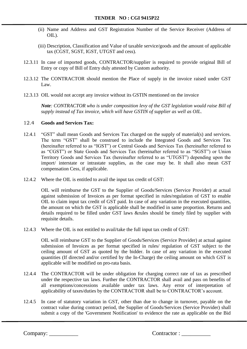- (ii) Name and Address and GST Registration Number of the Service Receiver (Address of OIL).
- (iii) Description, Classification and Value of taxable service/goods and the amount of applicable tax (CGST, SGST, IGST, UTGST and cess).
- 12.3.11 In case of imported goods, CONTRACTOR/supplier is required to provide original Bill of Entry or copy of Bill of Entry duly attested by Custom authority.
- 12.3.12 The CONTRACTOR should mention the Place of supply in the invoice raised under GST Law.
- 12.3.13 OIL would not accept any invoice without its GSTIN mentioned on the invoice

*Note: CONTRACTOR who is under composition levy of the GST legislation would raise Bill of supply instead of Tax invoice, which will have GSTIN of supplier as well as OIL.*

#### 12.4 **Goods and Services Tax:**

- 12.4.1 "GST" shall mean Goods and Services Tax charged on the supply of material(s) and services. The term "GST" shall be construed to include the Integrated Goods and Services Tax (hereinafter referred to as "IGST") or Central Goods and Services Tax (hereinafter referred to as "CGST") or State Goods and Services Tax (hereinafter referred to as "SGST") or Union Territory Goods and Services Tax (hereinafter referred to as "UTGST") depending upon the import/ interstate or intrastate supplies, as the case may be. It shall also mean GST compensation Cess, if applicable.
- 12.4.2 Where the OIL is entitled to avail the input tax credit of GST:

OIL will reimburse the GST to the Supplier of Goods/Services (Service Provider) at actual against submission of Invoices as per format specified in rules/regulation of GST to enable OIL to claim input tax credit of GST paid. In case of any variation in the executed quantities, the amount on which the GST is applicable shall be modified in same proportion. Returns and details required to be filled under GST laws &rules should be timely filed by supplier with requisite details.

12.4.3 Where the OIL is not entitled to avail/take the full input tax credit of GST:

OIL will reimburse GST to the Supplier of Goods/Services (Service Provider) at actual against submission of Invoices as per format specified in rules/ regulation of GST subject to the ceiling amount of GST as quoted by the bidder. In case of any variation in the executed quantities (If directed and/or certified by the In-Charge) the ceiling amount on which GST is applicable will be modified on pro-rata basis.

- 12.4.4 The CONTRACTOR will be under obligation for charging correct rate of tax as prescribed under the respective tax laws. Further the CONTRACTOR shall avail and pass on benefits of all exemptions/concessions available under tax laws. Any error of interpretation of applicability of taxes/duties by the CONTRACTOR shall be to CONTRACTOR's account.
- 12.4.5 In case of statutory variation in GST, other than due to change in turnover, payable on the contract value during contract period, the Supplier of Goods/Services (Service Provider) shall submit a copy of the 'Government Notification' to evidence the rate as applicable on the Bid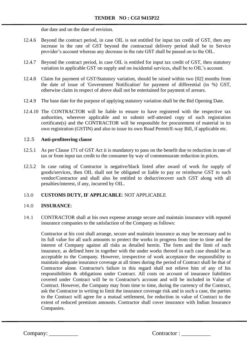due date and on the date of revision.

- 12.4.6 Beyond the contract period, in case OIL is not entitled for input tax credit of GST, then any increase in the rate of GST beyond the contractual delivery period shall be to Service provider's account whereas any decrease in the rate GST shall be passed on to the OIL.
- 12.4.7 Beyond the contract period, in case OIL is entitled for input tax credit of GST, then statutory variation in applicable GST on supply and on incidental services, shall be to OIL's account.
- 12.4.8 Claim for payment of GST/Statutory variation, should be raised within two [02] months from the date of issue of 'Government Notification' for payment of differential (in %) GST, otherwise claim in respect of above shall not be entertained for payment of arrears.
- 12.4.9 The base date for the purpose of applying statutory variation shall be the Bid Opening Date.
- 12.4.10 The CONTRACTOR will be liable to ensure to have registered with the respective tax authorities, wherever applicable and to submit self-attested copy of such registration certificate(s) and the CONTRACTOR will be responsible for procurement of material in its own registration (GSTIN) and also to issue its own Road Permit/E-way Bill, if applicable etc.

#### 12.5 **Anti-profiteering clause**

- 12.5.1 As per Clause 171 of GST Act it is mandatory to pass on the benefit due to reduction in rate of tax or from input tax credit to the consumer by way of commensurate reduction in prices.
- 12.5.2 In case rating of Contractor is negative/black listed after award of work for supply of goods/services, then OIL shall not be obligated or liable to pay or reimburse GST to such vendor/Contractor and shall also be entitled to deduct/recover such GST along with all penalties/interest, if any, incurred by OIL.

#### 13.0 **CUSTOMS DUTY, IF APPLICABLE**: NOT APPLICABLE

#### 14.0 **INSURANCE**:

14.1 CONTRACTOR shall at his own expense arrange secure and maintain insurance with reputed insurance companies to the satisfaction of the Company as follows:

Contractor at his cost shall arrange, secure and maintain insurance as may be necessary and to its full value for all such amounts to protect the works in progress from time to time and the interest of Company against all risks as detailed herein. The form and the limit of such insurance, as defined here in together with the under works thereof in each case should be as acceptable to the Company. However, irrespective of work acceptance the responsibility to maintain adequate insurance coverage at all times during the period of Contract shall be that of Contractor alone. Contractor's failure in this regard shall not relieve him of any of his responsibilities & obligations under Contract. All costs on account of insurance liabilities covered under Contract will be to Contractor's account and will be included in Value of Contract. However, the Company may from time to time, during the currency of the Contract, ask the Contractor in writing to limit the insurance coverage risk and in such a case, the parties to the Contract will agree for a mutual settlement, for reduction in value of Contract to the extent of reduced premium amounts. Contractor shall cover insurance with Indian Insurance Companies.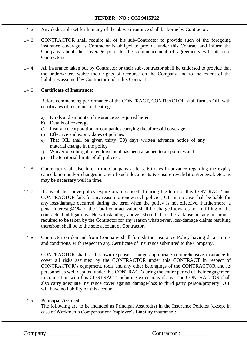- 14.2 Any deductible set forth in any of the above insurance shall be borne by Contractor.
- 14.3 CONTRACTOR shall require all of his sub-Contractor to provide such of the foregoing insurance coverage as Contractor is obliged to provide under this Contract and inform the Company about the coverage prior to the commencement of agreements with its sub-Contractors.
- 14.4 All insurance taken out by Contractor or their sub-contractor shall be endorsed to provide that the underwriters waive their rights of recourse on the Company and to the extent of the liabilities assumed by Contractor under this Contract.

#### 14.5 **Certificate of Insurance:**

Before commencing performance of the CONTRACT, CONTRACTOR shall furnish OIL with certificates of insurance indicating:

- a) Kinds and amounts of insurance as required herein
- b) Details of coverage
- c) Insurance corporation or companies carrying the aforesaid coverage
- d) Effective and expiry dates of policies
- e) That OIL shall be given thirty (30) days written advance notice of any material change in the policy
- f) Waiver of subrogation endorsement has been attached to all policies and
- g) The territorial limits of all policies.
- 14.6 Contractor shall also inform the Company at least 60 days in advance regarding the expiry cancellation and/or changes in any of such documents & ensure revalidation/renewal, etc., as may be necessary well in time.
- 14.7 If any of the above policy expire or/are cancelled during the term of this CONTRACT and CONTRACTOR fails for any reason to renew such policies, OIL in no case shall be liable for any loss/damage occurred during the term when the policy is not effective. Furthermore, a penal interest @1% of the Total contract value shall be charged towards not fulfilling of the contractual obligations. Notwithstanding above, should there be a lapse in any insurance required to be taken by the Contractor for any reason whatsoever, loss/damage claims resulting therefrom shall be to the sole account of Contractor.
- 14.8 Contractor on demand from Company shall furnish the Insurance Policy having detail terms and conditions, with respect to any Certificate of Insurance submitted to the Company.

CONTRACTOR shall, at his own expense, arrange appropriate comprehensive insurance to cover all risks assumed by the CONTRACTOR under this CONTRACT in respect of CONTRACTOR's equipment, tools and any other belongings of the CONTRACTOR and its personnel as well deputed under this CONTRACT during the entire period of their engagement in connection with this CONTRACT including extensions if any. The CONTRACTOR shall also carry adequate insurance cover against damage/loss to third party person/property. OIL will have no liability on this account.

#### 14.9 **Principal Assured**

The following are to be included as Principal Assured(s) in the Insurance Policies (except in case of Workmen's Compensation/Employer's Liability insurance):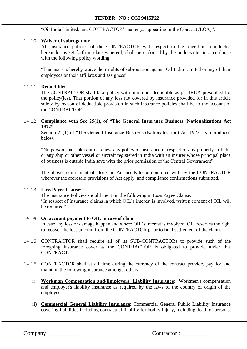"Oil India Limited, and CONTRACTOR's name (as appearing in the Contract /LOA)".

#### 14.10 **Waiver of subrogation:**

All insurance policies of the CONTRACTOR with respect to the operations conducted hereunder as set forth in clauses hereof, shall be endorsed by the underwriter in accordance with the following policy wording:

"The insurers hereby waive their rights of subrogation against Oil India Limited or any of their employees or their affiliates and assignees".

#### 14.11 **Deductible:**

The CONTRACTOR shall take policy with minimum deductible as per IRDA prescribed for the policy(ies). That portion of any loss not covered by insurance provided for in this article solely by reason of deductible provision in such insurance policies shall be to the account of the CONTRACTOR.

#### 14.12 **Compliance with Sec 25(1), of "The General Insurance Business (Nationalization) Act 1972"**

Section 25(1) of "The General Insurance Business (Nationalization) Act 1972" is reproduced below:

"No person shall take out or renew any policy of insurance in respect of any property in India or any ship or other vessel or aircraft registered in India with an insurer whose principal place of business is outside India save with the prior permission of the Central Government".

The above requirement of aforesaid Act needs to be complied with by the CONTRACTOR wherever the aforesaid provisions of Act apply, and compliance confirmations submitted.

#### 14.13 **Loss Payee Clause:**

The Insurance Policies should mention the following in Loss Payee Clause: "In respect of Insurance claims in which OIL's interest is involved, written consent of OIL will be required".

#### 14.14 **On account payment to OIL in case of claim**

In case any loss or damage happen and where OIL's interest is involved, OIL reserves the right to recover the loss amount from the CONTRACTOR prior to final settlement of the claim.

- 14.15 CONTRACTOR shall require all of its SUB-CONTRACTORs to provide such of the foregoing insurance cover as the CONTRACTOR is obligated to provide under this CONTRACT.
- 14.16 CONTRACTOR shall at all time during the currency of the contract provide, pay for and maintain the following insurance amongst others:
	- i) **Workman Compensation and/Employers' Liability Insurance**: Workmen's compensation and employer's liability insurance as required by the laws of the country of origin of the employee.
	- ii) **Commercial General Liability Insurance**: Commercial General Public Liability Insurance covering liabilities including contractual liability for bodily injury, including death of persons,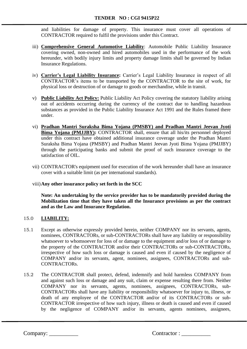and liabilities for damage of property. This insurance must cover all operations of CONTRACTOR required to fulfil the provisions under this Contract.

- iii) **Comprehensive General Automotive Liability**: Automobile Public Liability Insurance covering owned, non-owned and hired automobiles used in the performance of the work hereunder, with bodily injury limits and property damage limits shall be governed by Indian Insurance Regulations.
- iv) **Carrier's Legal Liability Insurance:** Carrier's Legal Liability Insurance in respect of all CONTRACTOR's items to be transported by the CONTRACTOR to the site of work, for physical loss or destruction of or damage to goods or merchandise, while in transit.
- v) **Public Liability Act Policy:** Public Liability Act Policy covering the statutory liability arising out of accidents occurring during the currency of the contract due to handling hazardous substances as provided in the Public Liability Insurance Act 1991 and the Rules framed there under.
- vi) **Pradhan Mantri Suraksha Bima Yojana (PMSBY) and Pradhan Mantri Jeevan Jyoti Bima Yojana (PMJJBY):** CONTRACTOR shall, ensure that all his/its personnel deployed under this contract have obtained additional insurance coverage under the Pradhan Mantri Suraksha Bima Yojana (PMSBY) and Pradhan Mantri Jeevan Jyoti Bima Yojana (PMJJBY) through the participating banks and submit the proof of such insurance coverage to the satisfaction of OIL.
- vii) CONTRACTOR's equipment used for execution of the work hereunder shall have an insurance cover with a suitable limit (as per international standards).
- viii)**Any other insurance policy set forth in the SCC**

**Note: An undertaking by the service provider has to be mandatorily provided during the Mobilization time that they have taken all the Insurance provisions as per the contract and as the Law and Insurance Regulation.**

#### 15.0 **LIABILITY:**

- 15.1 Except as otherwise expressly provided herein, neither COMPANY nor its servants, agents, nominees, CONTRACTORs, or sub-CONTRACTORs shall have any liability or responsibility whatsoever to whomsoever for loss of or damage to the equipment and/or loss of or damage to the property of the CONTRACTOR and/or their CONTRACTORs or sub-CONTRACTORs, irrespective of how such loss or damage is caused and even if caused by the negligence of COMPANY and/or its servants, agent, nominees, assignees, CONTRACTORs and sub-CONTRACTORs.
- 15.2 The CONTRACTOR shall protect, defend, indemnify and hold harmless COMPANY from and against such loss or damage and any suit, claim or expense resulting there from. Neither COMPANY nor its servants, agents, nominees, assignees, CONTRACTORs, sub-CONTRACTORs shall have any liability or responsibility whatsoever for injury to, illness, or death of any employee of the CONTRACTOR and/or of its CONTRACTORs or sub-CONTRACTOR irrespective of how such injury, illness or death is caused and even if caused by the negligence of COMPANY and/or its servants, agents nominees, assignees,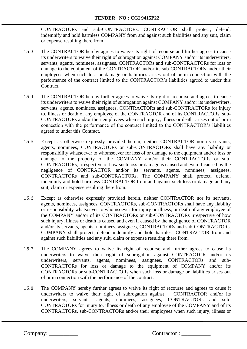CONTRACTORs and sub-CONTRACTORs. CONTRACTOR shall protect, defend, indemnify and hold harmless COMPANY from and against such liabilities and any suit, claim or expense resulting there from.

- 15.3 The CONTRACTOR hereby agrees to waive its right of recourse and further agrees to cause its underwriters to waive their right of subrogation against COMPANY and/or its underwriters, servants, agents, nominees, assignees, CONTRACTORs and sub-CONTRACTORs for loss or damage to the equipment of the CONTRACTOR and/or its sub-CONTRACTORs and/or their employees when such loss or damage or liabilities arises out of or in connection with the performance of the contract limited to the CONTRACTOR's liabilities agreed to under this Contract.
- 15.4 The CONTRACTOR hereby further agrees to waive its right of recourse and agrees to cause its underwriters to waive their right of subrogation against COMPANY and/or its underwriters, servants, agents, nominees, assignees, CONTRACTORs and sub-CONTRACTORs for injury to, illness or death of any employee of the CONTRACTOR and of its CONTRACTORs, sub-CONTRACTORs and/or their employees when such injury, illness or death arises out of or in connection with the performance of the contract limited to the CONTRACTOR's liabilities agreed to under this Contract.
- 15.5 Except as otherwise expressly provided herein, neither CONTRACTOR nor its servants, agents, nominees, CONTRACTORs or sub-CONTRACTORs shall have any liability or responsibility whatsoever to whomsoever for loss of or damage to the equipment and/or loss or damage to the property of the COMPANY and/or their CONTRACTORs or sub-CONTRACTORs, irrespective of how such loss or damage is caused and even if caused by the negligence of CONTRACTOR and/or its servants, agents, nominees, assignees, CONTRACTORs and sub-CONTRACTORs. The COMPANY shall protect, defend, indemnify and hold harmless CONTRACTOR from and against such loss or damage and any suit, claim or expense resulting there from.
- 15.6 Except as otherwise expressly provided herein, neither CONTRACTOR nor its servants, agents, nominees, assignees, CONTRACTORs, sub-CONTRACTORs shall have any liability or responsibility whatsoever to whomsoever for injury or illness, or death of any employee of the COMPANY and/or of its CONTRACTORs or sub-CONTRACTORs irrespective of how such injury, illness or death is caused and even if caused by the negligence of CONTRACTOR and/or its servants, agents, nominees, assignees, CONTRACTORs and sub-CONTRACTORs. COMPANY shall protect, defend indemnify and hold harmless CONTRACTOR from and against such liabilities and any suit, claim or expense resulting there from.
- 15.7 The COMPANY agrees to waive its right of recourse and further agrees to cause its underwriters to waive their right of subrogation against CONTRACTOR and/or its underwriters, servants, agents, nominees, assignees, CONTRACTORs and sub-CONTRACTORs for loss or damage to the equipment of COMPANY and/or its CONTRACTORs or sub-CONTRACTORs when such loss or damage or liabilities arises out of or in connection with the performance of the contract.
- 15.8 The COMPANY hereby further agrees to waive its right of recourse and agrees to cause it underwriters to waive their right of subrogation against CONTRACTOR and/or its underwriters, servants, agents, nominees, assignees, CONTRACTORs and sub-CONTRACTORs for injury to, illness or death of any employee of the COMPANY and of its CONTRACTORs, sub-CONTRACTORs and/or their employees when such injury, illness or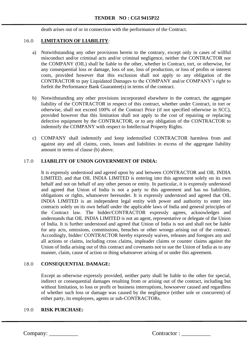death arises out of or in connection with the performance of the Contract.

# 16.0 **LIMITATION OF LIABILITY**:

- a) Notwithstanding any other provisions herein to the contrary, except only in cases of willful misconduct and/or criminal acts and/or criminal negligence, neither the CONTRACTOR nor the COMPANY (OIL) shall be liable to the other, whether in Contract, tort, or otherwise, for any consequential loss or damage, loss of use, loss of production, or loss of profits or interest costs, provided however that this exclusion shall not apply to any obligation of the CONTRACTOR to pay Liquidated Damages to the COMPANY and/or COMPANY's right to forfeit the Performance Bank Guarantee(s) in terms of the contract.
- b) Notwithstanding any other provisions incorporated elsewhere in the contract, the aggregate liability of the CONTRACTOR in respect of this contract, whether under Contract, in tort or otherwise, shall not exceed 100% of the Contract Price (if not specified otherwise in SCC), provided however that this limitation shall not apply to the cost of repairing or replacing defective equipment by the CONTRACTOR, or to any obligation of the CONTRACTOR to indemnify the COMPANY with respect to Intellectual Property Rights.
- c) COMPANY shall indemnify and keep indemnified CONTRACTOR harmless from and against any and all claims, costs, losses and liabilities in excess of the aggregate liability amount in terms of clause (b) above.

# 17.0 **LIABILITY OF UNION GOVERNMENT OF INDIA:**

It is expressly understood and agreed upon by and between CONTRACTOR and OIL INDIA LIMITED, and that OIL INDIA LIMITED is entering into this agreement solely on its own behalf and not on behalf of any other person or entity. In particular, it is expressly understood and agreed that Union of India is not a party to this agreement and has no liabilities, obligations or rights, whatsoever hereunder. It is expressly understood and agreed that OIL INDIA LIMITED is an independent legal entity with power and authority to enter into contracts solely on its own behalf under the applicable laws of India and general principles of the Contract law. The bidder/CONTRACTOR expressly agrees, acknowledges and understands that OIL INDIA LIMITED is not an agent, representative or delegate of the Union of India. It is further understood and agreed that Union of India is not and shall not be liable for any acts, omissions, commissions, breaches or other wrongs arising out of the contract. Accordingly, bidder/ CONTRACTOR hereby expressly waives, releases and foregoes any and all actions or claims, including cross claims, impleader claims or counter claims against the Union of India arising out of this contract and covenants not to sue the Union of India as to any manner, claim, cause of action or thing whatsoever arising of or under this agreement.

# 18.0 **CONSEQUENTIAL DAMAGE:**

Except as otherwise expressly provided, neither party shall be liable to the other for special, indirect or consequential damages resulting from or arising out of the contract, including but without limitation, to loss or profit or business interruptions, howsoever caused and regardless of whether such loss or damage was caused by the negligence (either sole or concurrent) of either party, its employees, agents or sub-CONTRACTORs.

# 19.0 **RISK PURCHASE:**

 $Comparly:$ 

| Contractor: |  |  |
|-------------|--|--|
|-------------|--|--|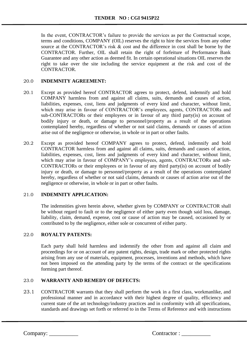In the event, CONTRACTOR's failure to provide the services as per the Contractual scope, terms and conditions, COMPANY (OIL) reserves the right to hire the services from any other source at the CONTRACTOR's risk & cost and the difference in cost shall be borne by the CONTRACTOR. Further, OIL shall retain the right of forfeiture of Performance Bank Guarantee and any other action as deemed fit. In certain operational situations OIL reserves the right to take over the site including the service equipment at the risk and cost of the CONTRACTOR.

#### 20.0 **INDEMNITY AGREEMENT:**

- 20.1 Except as provided hereof CONTRACTOR agrees to protect, defend, indemnify and hold COMPANY harmless from and against all claims, suits, demands and causes of action, liabilities, expenses, cost, liens and judgments of every kind and character, without limit, which may arise in favour of CONTRACTOR's employees, agents, CONTRACTORs and sub-CONTRACTORs or their employees or in favour of any third party(is) on account of bodily injury or death, or damage to personnel/property as a result of the operations contemplated hereby, regardless of whether or not said claims, demands or causes of action arise out of the negligence or otherwise, in whole or in part or other faults.
- 20.2 Except as provided hereof COMPANY agrees to protect, defend, indemnify and hold CONTRACTOR harmless from and against all claims, suits, demands and causes of action, liabilities, expenses, cost, liens and judgments of every kind and character, without limit, which may arise in favour of COMPANY's employees, agents, CONTRACTORs and sub-CONTRACTORs or their employees or in favour of any third party(is) on account of bodily injury or death, or damage to personnel/property as a result of the operations contemplated hereby, regardless of whether or not said claims, demands or causes of action arise out of the negligence or otherwise, in whole or in part or other faults.

# 21.0 **INDEMNITY APPLICATION:**

The indemnities given herein above, whether given by COMPANY or CONTRACTOR shall be without regard to fault or to the negligence of either party even though said loss, damage, liability, claim, demand, expense, cost or cause of action may be caused, occasioned by or contributed to by the negligence, either sole or concurrent of either party.

# 22.0 **ROYALTY PATENTS:**

Each party shall hold harmless and indemnify the other from and against all claim and proceedings for or on account of any patent rights, design, trade mark or other protected rights arising from any use of materials, equipment, processes, inventions and methods, which have not been imposed on the attending party by the terms of the contract or the specifications forming part thereof.

# 23.0 **WARRANTY AND REMEDY OF DEFECTS:**

23.1 CONTRACTOR warrants that they shall perform the work in a first class, workmanlike, and professional manner and in accordance with their highest degree of quality, efficiency and current state of the art technology/industry practices and in conformity with all specifications, standards and drawings set forth or referred to in the Terms of Reference and with instructions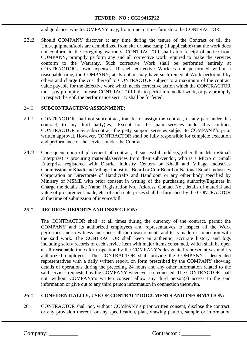and guidance, which COMPANY may, from time to time, furnish to the CONTRACTOR.

23.2 Should COMPANY discover at any time during the tenure of the Contract or till the Unit/equipment/tools are demobilized from site or base camp (if applicable) that the work does not conform to the foregoing warranty, CONTRACTOR shall after receipt of notice from COMPANY, promptly perform any and all corrective work required to make the services conform to the Warranty. Such corrective Work shall be performed entirely at CONTRACTOR's own expenses. If such corrective Work is not performed within a reasonable time, the COMPANY, at its option may have such remedial Work performed by others and charge the cost thereof to CONTRACTOR subject to a maximum of the contract value payable for the defective work which needs corrective action which the CONTRACTOR must pay promptly. In case CONTRACTOR fails to perform remedial work, or pay promptly in respect thereof, the performance security shall be forfeited.

# 24.0 **SUBCONTRACTING/ASSIGNMENT:**

- 24.1 CONTRACTOR shall not subcontract, transfer or assign the contract, or any part under this contract, to any third party(ies). Except for the main services under this contract, CONTRACTOR may sub-contract the petty support services subject to COMPANY's prior written approval. However, CONTRACTOR shall be fully responsible for complete execution and performance of the services under the Contract.
- 24.2 Consequent upon of placement of contract, if successful bidder(s)(other than Micro/Small Enterprise) is procuring materials/services from their sub-vendor, who is a Micro or Small Enterprise registered with District Industry Centers or Khadi and Village Industries Commission or Khadi and Village Industries Board or Coir Board or National Small Industries Corporation or Directorate of Handicrafts and Handloom or any other body specified by Ministry of MSME with prior consent in writing of the purchasing authority/Engineer in Charge the details like Name, Registration No., Address, Contact No., details of material and value of procurement made, etc. of such enterprises shall be furnished by the CONTRACTOR at the time of submission of invoice/bill.

# 25.0 **RECORDS, REPORTS AND INSPECTION:**

The CONTRACTOR shall, at all times during the currency of the contract, permit the COMPANY and its authorized employees and representatives to inspect all the Work performed and to witness and check all the measurements and tests made in connection with the said work. The CONTRACTOR shall keep an authentic, accurate history and logs including safety records of each service item with major items consumed, which shall be open at all reasonable times for inspection by the COMPANY's designated representatives and its authorized employees. The CONTRACTOR shall provide the COMPANY's designated representatives with a daily written report, on form prescribed by the COMPANY showing details of operations during the preceding 24 hours and any other information related to the said services requested by the COMPANY whenever so requested. The CONTRACTOR shall not, without COMPANY's written consent allow any third person(s) access to the said information or give out to any third person information in connection therewith.

# 26.0 **CONFIDENTIALITY, USE OF CONTRACT DOCUMENTS AND INFORMATION:**

26.1 CONTRACTOR shall not, without COMPANY's prior written consent, disclose the contract, or any provision thereof, or any specification, plan, drawing pattern, sample or information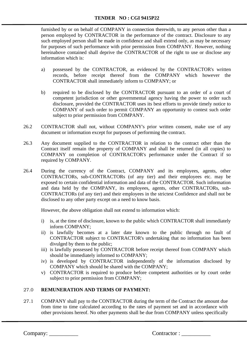furnished by or on behalf of COMPANY in connection therewith, to any person other than a person employed by CONTRACTOR in the performance of the contract. Disclosure to any such employed person shall be made in confidence and shall extend only, as may be necessary for purposes of such performance with prior permission from COMPANY. However, nothing hereinabove contained shall deprive the CONTRACTOR of the right to use or disclose any information which is:

- a) possessed by the CONTRACTOR, as evidenced by the CONTRACTOR's written records, before receipt thereof from the COMPANY which however the CONTRACTOR shall immediately inform to COMPANY; or
- b) required to be disclosed by the CONTRACTOR pursuant to an order of a court of competent jurisdiction or other governmental agency having the power to order such disclosure, provided the CONTRACTOR uses its best efforts to provide timely notice to COMPANY of such order to permit COMPANY an opportunity to contest such order subject to prior permission from COMPANY.
- 26.2 CONTRACTOR shall not, without COMPANY's prior written consent, make use of any document or information except for purposes of performing the contract.
- 26.3 Any document supplied to the CONTRACTOR in relation to the contract other than the Contract itself remain the property of COMPANY and shall be returned (in all copies) to COMPANY on completion of CONTRACTOR's performance under the Contract if so required by COMPANY.
- 26.4 During the currency of the Contract, COMPANY and its employees, agents, other CONTRACTORs, sub-CONTRACTORs (of any tier) and their employees etc. may be exposed to certain confidential information and data of the CONTRACTOR. Such information and data held by the COMPANY, its employees, agents, other CONTRACTORs, sub-CONTRACTORs (of any tier) and their employees in the strictest Confidence and shall not be disclosed to any other party except on a need to know basis.

However, the above obligation shall not extend to information which:

- i) is, at the time of disclosure, known to the public which CONTRACTOR shall immediately inform COMPANY;
- ii) is lawfully becomes at a later date known to the public through no fault of CONTRACTOR subject to CONTRACTOR's undertaking that no information has been divulged by them to the public;
- iii) is lawfully possessed by CONTRACTOR before receipt thereof from COMPANY which should be immediately informed to COMPANY;
- iv) is developed by CONTRACTOR independently of the information disclosed by COMPANY which should be shared with the COMPANY;
- v) CONTRACTOR is required to produce before competent authorities or by court order subject to prior permission from COMPANY;

# 27.0 **REMUNERATION AND TERMS OF PAYMENT:**

27.1 COMPANY shall pay to the CONTRACTOR during the term of the Contract the amount due from time to time calculated according to the rates of payment set and in accordance with other provisions hereof. No other payments shall be due from COMPANY unless specifically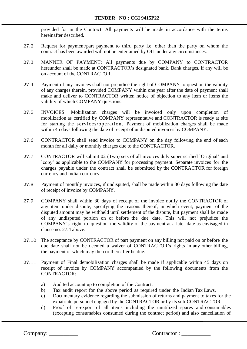provided for in the Contract. All payments will be made in accordance with the terms hereinafter described.

- 27.2 Request for payment/part payment to third party i.e. other than the party on whom the contract has been awarded will not be entertained by OIL under any circumstances.
- 27.3 MANNER OF PAYMENT: All payments due by COMPANY to CONTRACTOR hereunder shall be made at CONTRACTOR's designated bank. Bank charges, if any will be on account of the CONTRACTOR.
- 27.4 Payment of any invoices shall not prejudice the right of COMPANY to question the validity of any charges therein, provided COMPANY within one year after the date of payment shall make and deliver to CONTRACTOR written notice of objection to any item or items the validity of which COMPANY questions.
- 27.5 INVOICES: Mobilization charges will be invoiced only upon completion of mobilization as certified by COMPANY representative and CONTRACTOR is ready at site for starting the servic es/operation. Payment of mobilization charges shall be made within 45 days following the date of receipt of undisputed invoices by COMPANY.
- 27.6 CONTRACTOR shall send invoice to COMPANY on the day following the end of each month for all daily or monthly charges due to the CONTRACTOR.
- 27.7 CONTRACTOR will submit 02 (Two) sets of all invoices duly super scribed `Original' and `copy' as applicable to the COMPANY for processing payment. Separate invoices for the charges payable under the contract shall be submitted by the CONTRACTOR for foreign currency and Indian currency.
- 27.8 Payment of monthly invoices, if undisputed, shall be made within 30 days following the date of receipt of invoice by COMPANY.
- 27.9 COMPANY shall within 30 days of receipt of the invoice notify the CONTRACTOR of any item under dispute, specifying the reasons thereof, in which event, payment of the disputed amount may be withheld until settlement of the dispute, but payment shall be made of any undisputed portion on or before the due date. This will not prejudice the COMPANY's right to question the validity of the payment at a later date as envisaged in clause no. 27.4 above.
- 27.10 The acceptance by CONTRACTOR of part payment on any billing not paid on or before the due date shall not be deemed a waiver of CONTRACTOR's rights in any other billing, the payment of which may then or thereafter be due.
- 27.11 Payment of Final demobilization charges shall be made if applicable within 45 days on receipt of invoice by COMPANY accompanied by the following documents from the CONTRACTOR:
	- a) Audited account up to completion of the Contract.
	- b) Tax audit report for the above period as required under the Indian Tax Laws.
	- c) Documentary evidence regarding the submission of returns and payment to taxes for the expatriate personnel engaged by the CONTRACTOR or by its sub-CONTRACTOR.
	- d) Proof of re-export of all items including the unutilized spares and consumables (excepting consumables consumed during the contract period) and also cancellation of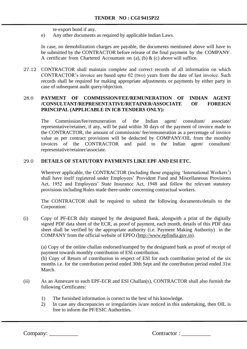re-export bond if any.

e) Any other documents as required by applicable Indian Laws.

In case, no demobilization charges are payable, the documents mentioned above will have to be submitted by the CONTRACTOR before release of the final payment by the COMPANY. A certificate from Chartered Accountant on (a), (b)  $\&$  (c) above will suffice.

27.12 CONTRACTOR shall maintain complete and correct records of all information on which CONTRACTOR's invoice are based upto 02 (two) years from the date of last invoice. Such records shall be required for making appropriate adjustments or payments by either party in case of subsequent audit query/objection.

# 28.0 **PAYMENT OF COMMISSION/FEE/REMUNERATION OF INDIAN AGENT /CONSULTANT/REPRESENTATIVE/RETAINER/ASSOCIATE OF FOREIGN PRINCIPAL (APPLICABLE IN ICB TENDERS ONLY):**

The Commission/fee/remuneration of the Indian agent/ consultant/ associate/ representative/retainer, if any, will be paid within 30 days of the payment of invoice made to the CONTRACTOR, the amount of commission/ fee/remuneration as a percentage of invoice value as per contract provisions will be deducted by COMPANY/OIL from the monthly invoices of the CONTRACTOR and paid to the Indian agent/ consultant/ representative/retainer/associate.

# 29.0 **DETAILS OF STATUTORY PAYMENTS LIKE EPF AND ESI ETC.**

Wherever applicable, the CONTRACTOR (including those engaging 'International Workers') shall have itself registered under Employees' Provident Fund and Miscellaneous Provisions Act, 1952 and Employees' State Insurance Act, 1948 and follow the relevant statutory provisions including Rules made there-under concerning contractual workers.

The CONTRACTOR shall be required to submit the following documents/details to the Corporation:

(i) Copy of PF-ECR duly stamped by the designated Bank, alongwith a print of the digitally signed PDF data sheet of the ECR, as proof of payment, each month, details of this PDF data sheet shall be verified by the appropriate authority (i.e. Payment Making Authority) in the COMPANY from the official website of EPFO [\(http://www.epfindia.gov.in\)](http://www.epfindia.gov.in/).

(a) Copy of the online challan endorsed/stamped by the designated bank as proof of receipt of payment towards monthly contribution of ESI contribution.

(b) Copy of Return of contribution in respect of ESI for each contribution period of the six months i.e. for the contribution period ended 30th Sept and the contribution period ended 31st March.

- (ii) As an Annexure to each EPF-ECR and ESI Challan(s), CONTRACTOR shall also furnish the following Certificates:
	- 1) The furnished information is correct to the best of his knowledge.
	- 2) In case any discrepancies or irregularities is/are noticed in this undertaking, then OIL is free to inform the PF/ESIC Authorities.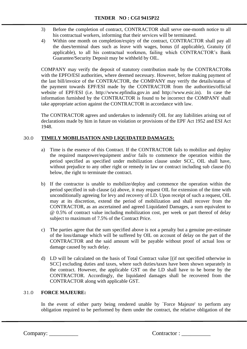- 3) Before the completion of contract, CONTRACTOR shall serve one-month notice to all his contractual workers, informing that their services will be terminated.
- 4) Within one month on completion/expiry of the contract, CONTRACTOR shall pay all the dues/terminal dues such as leave with wages, bonus (if applicable), Gratuity (if applicable), to all his contractual workmen, failing which CONTRACTOR's Bank Guarantee/Security Deposit may be withheld by OIL.

COMPANY may verify the deposit of statutory contribution made by the CONTRACTORs with the EPFO/ESI authorities, where deemed necessary. However, before making payment of the last bill/invoice of the CONTRACTOR, the COMPANY may verify the details/status of the payment towards EPF/ESI made by the CONTRACTOR from the authorities/official website of EPF/ESI (i.e. http://www.epfindia.gov.in and http://www.esic.in). In case the information furnished by the CONTRACTOR is found to be incorrect the COMPANY shall take appropriate action against the CONTRACTOR in accordance with law.

The CONTRACTOR agrees and undertakes to indemnify OIL for any liabilities arising out of declarations made by him in future on violation or provisions of the EPF Act 1952 and ESI Act 1948.

# 30.0 **TIMELY MOBILISATION AND LIQUIDATED DAMAGES:**

- a) Time is the essence of this Contract. If the CONTRACTOR fails to mobilize and deploy the required manpower/equipment and/or fails to commence the operation within the period specified as specified under mobilization clause under SCC, OIL shall have, without prejudice to any other right or remedy in law or contract including sub clause (b) below, the right to terminate the contract.
- b) If the contractor is unable to mobilize/deploy and commence the operation within the period specified in sub clause (a) above, it may request OIL for extension of the time with unconditionally agreeing for levy and recovery of LD. Upon receipt of such a request, OIL may at its discretion, extend the period of mobilization and shall recover from the CONTRACTOR, as an ascertained and agreed Liquidated Damages, a sum equivalent to @ 0.5% of contract value including mobilization cost, per week or part thereof of delay subject to maximum of 7.5% of the Contract Price.
- c) The parties agree that the sum specified above is not a penalty but a genuine pre-estimate of the loss/damage which will be suffered by OIL on account of delay on the part of the CONTRACTOR and the said amount will be payable without proof of actual loss or damage caused by such delay.
- d) LD will be calculated on the basis of Total Contract value [(if not specified otherwise in SCC] excluding duties and taxes, where such duties/taxes have been shown separately in the contract. However, the applicable GST on the LD shall have to be borne by the CONTRACTOR. Accordingly, the liquidated damages shall be recovered from the CONTRACTOR along with applicable GST.

# 31.0 **FORCE MAJEURE:**

In the event of either party being rendered unable by `Force Majeure' to perform any obligation required to be performed by them under the contract, the relative obligation of the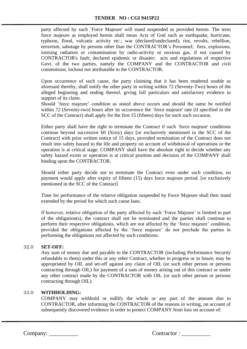party affected by such `Force Majeure' will stand suspended as provided herein. The term force majeure as employed herein shall mean Acts of God such as earthquake, hurricane, typhoon, flood, volcanic activity etc.; war (declared/undeclared); riot, revolts, rebellion, terrorism, sabotage by persons other than the CONTRACTOR's Personnel; fires, explosions, ionising radiation or contamination by radio-activity or noxious gas, if not caused by CONTRACTOR's fault; declared epidemic or disaster; acts and regulations of respective Govt. of the two parties, namely the COMPANY and the CONTRACTOR and civil commotions, lockout not attributable to the CONTRACTOR.

Upon occurrence of such cause, the party claiming that it has been rendered unable as aforesaid thereby, shall notify the other party in writing within 72 (Seventy-Two) hours of the alleged beginning and ending thereof, giving full particulars and satisfactory evidence in support of its claim.

Should 'force majeure' condition as stated above occurs and should the same be notified within 72 (Seventy-two) hours after its occurrence the 'force majeure' rate (if specified in the SCC of the Contract) shall apply for the first 15 (fifteen) days for each such occasion*.* 

Either party shall have the right to terminate the Contract if such `force majeure' conditions continue beyond successive 60 (Sixty) days [or exclusively mentioned in the SCC of the Contract] with prior written notice of 15 days, provided termination of the Contract does not result into safety hazard to the life and property on account of withdrawal of operations or the operation is at critical stage. COMPANY shall have the absolute right to decide whether any safety hazard exists or operation is at critical position and decision of the COMPANY shall binding upon the CONTRACTOR.

Should either party decide not to terminate the Contract even under such condition, no payment would apply after expiry of fifteen (15) days force majeure period*.* [or exclusively mentioned in the SCC of the Contract]

Time for performance of the relative obligation suspended by Force Majeure shall then stand extended by the period for which such cause lasts.

If however, relative obligation of the party affected by such 'Force Majeure' is limited to part of the obligation(s), the contract shall not be terminated and the parties shall continue to perform their respective obligations, which are not affected by the 'force majeure' condition, provided the obligations affected by the 'force majeure' do not preclude the parties in performing the obligations not affected by such conditions.

# 32.0 **SET-OFF:**

Any sum of money due and payable to the CONTRACTOR (including Performance Security refundable to them) under this or any other Contract, whether in progress or in future, may be appropriated by OIL and set-off against any claim of OIL (or such other person or persons contracting through OIL) for payment of a sum of money arising out of this contract or under any other contract made by the CONTRACTOR with OIL (or such other person or persons contracting through OIL).

### 33.0 **WITHHOLDING:**

COMPANY may withhold or nullify the whole or any part of the amount due to CONTRACTOR, after informing the CONTRACTOR of the reasons in writing, on account of subsequently discovered evidence in order to protect COMPANY from loss on account of: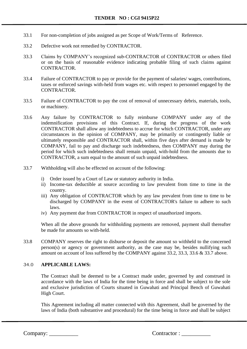- 33.1 For non-completion of jobs assigned as per Scope of Work/Terms of Reference.
- 33.2 Defective work not remedied by CONTRACTOR.
- 33.3 Claims by COMPANY's recognized sub-CONTRACTOR of CONTRACTOR or others filed or on the basis of reasonable evidence indicating probable filing of such claims against CONTRACTOR.
- 33.4 Failure of CONTRACTOR to pay or provide for the payment of salaries/ wages, contributions, taxes or enforced savings with-held from wages etc. with respect to personnel engaged by the CONTRACTOR.
- 33.5 Failure of CONTRACTOR to pay the cost of removal of unnecessary debris, materials, tools, or machinery.
- 33.6 Any failure by CONTRACTOR to fully reimburse COMPANY under any of the indemnification provisions of this Contract. If, during the progress of the work CONTRACTOR shall allow any indebtedness to accrue for which CONTRACTOR, under any circumstances in the opinion of COMPANY, may be primarily or contingently liable or ultimately responsible and CONTRACTOR shall, within five days after demand is made by COMPANY, fail to pay and discharge such indebtedness, then COMPANY may during the period for which such indebtedness shall remain unpaid, with-hold from the amounts due to CONTRACTOR, a sum equal to the amount of such unpaid indebtedness.
- 33.7 Withholding will also be effected on account of the following:
	- i) Order issued by a Court of Law or statutory authority in India.
	- ii) Income-tax deductible at source according to law prevalent from time to time in the country.
	- iii) Any obligation of CONTRACTOR which by any law prevalent from time to time to be discharged by COMPANY in the event of CONTRACTOR's failure to adhere to such laws.
	- iv) Any payment due from CONTRACTOR in respect of unauthorized imports.

When all the above grounds for withholding payments are removed, payment shall thereafter be made for amounts so with-held.

33.8 COMPANY reserves the right to disburse or deposit the amount so withheld to the concerned person(s) or agency or government authority, as the case may be, besides nullifying such amount on account of loss suffered by the COMPANY against 33.2, 33.3, 33.6 & 33.7 above.

# 34.0 **APPLICABLE LAWS:**

The Contract shall be deemed to be a Contract made under, governed by and construed in accordance with the laws of India for the time being in force and shall be subject to the sole and exclusive jurisdiction of Courts situated in Guwahati and Principal Bench of Guwahati High Court.

This Agreement including all matter connected with this Agreement, shall be governed by the laws of India (both substantive and procedural) for the time being in force and shall be subject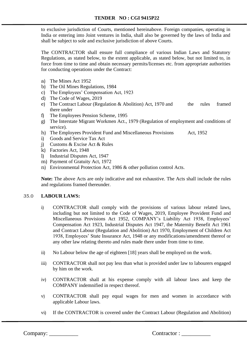to exclusive jurisdiction of Courts, mentioned hereinabove. Foreign companies, operating in India or entering into Joint ventures in India, shall also be governed by the laws of India and shall be subject to sole and exclusive jurisdiction of above Courts.

The CONTRACTOR shall ensure full compliance of various Indian Laws and Statutory Regulations, as stated below, to the extent applicable, as stated below, but not limited to, in force from time to time and obtain necessary permits/licenses etc. from appropriate authorities for conducting operations under the Contract:

- a) The Mines Act 1952
- b) The Oil Mines Regulations, 1984
- c) The Employees' Compensation Act, 1923
- d) The Code of Wages, 2019
- e) The Contract Labour (Regulation & Abolition) Act, 1970 and the rules framed there under
- f) The Employees Pension Scheme, 1995
- g) The Interstate Migrant Workmen Act., 1979 (Regulation of employment and conditions of service).
- h) The Employees Provident Fund and Miscellaneous Provisions Act, 1952
- i) Goods and Service Tax Act
- j) Customs & Excise Act & Rules
- k) Factories Act, 1948
- l) Industrial Disputes Act, 1947
- m) Payment of Gratuity Act, 1972
- n) Environmental Protection Act, 1986 & other pollution control Acts.

**Note:** The above Acts are only indicative and not exhaustive. The Acts shall include the rules and regulations framed thereunder.

#### 35.0 **LABOUR LAWS:**

- i) CONTRACTOR shall comply with the provisions of various labour related laws, including but not limited to the Code of Wages, 2019, Employee Provident Fund and Miscellaneous Provisions Act 1952, COMPANY's Liability Act 1938, Employees' Compensation Act 1923, Industrial Disputes Act 1947, the Maternity Benefit Act 1961 and Contract Labour (Regulation and Abolition) Act 1970, Employment of Children Act 1938, Employees' State Insurance Act, 1948 or any modifications/amendment thereof or any other law relating thereto and rules made there under from time to time.
- ii) No Labour below the age of eighteen [18] years shall be employed on the work.
- iii) CONTRACTOR shall not pay less than what is provided under law to labourers engaged by him on the work.
- iv) CONTRACTOR shall at his expense comply with all labour laws and keep the COMPANY indemnified in respect thereof.
- v) CONTRACTOR shall pay equal wages for men and women in accordance with applicable Labour laws.
- vi) If the CONTRACTOR is covered under the Contract Labour (Regulation and Abolition)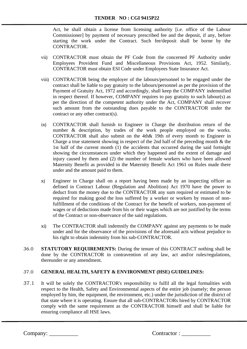Act, he shall obtain a license from licensing authority [i.e. office of the Labour Commissioner] by payment of necessary prescribed fee and the deposit, if any, before starting the work under the Contract. Such fee/deposit shall be borne by the CONTRACTOR.

- vii) CONTRACTOR must obtain the PF Code from the concerned PF Authority under Employees Provident Fund and Miscellaneous Provisions Act, 1952. Similarly, CONTRACTOR must obtain ESI Code under Employees State Insurance Act.
- viii) CONTRACTOR being the employer of the labours/personnel to be engaged under the contract shall be liable to pay gratuity to the labours/personnel as per the provision of the Payment of Gratuity Act, 1972 and accordingly, shall keep the COMPANY indemnified in respect thereof. If however, COMPANY requires to pay gratuity to such labour(s) as per the direction of the competent authority under the Act, COMPANY shall recover such amount from the outstanding dues payable to the CONTRACTOR under the contract or any other contract(s).
- ix) CONTRACTOR shall furnish to Engineer in Charge the distribution return of the number & description, by trades of the work people employed on the works. CONTRACTOR shall also submit on the 4th& 19th of every month to Engineer in Charge a true statement showing in respect of the 2nd half of the preceding month & the 1st half of the current month (1) the accidents that occurred during the said fortnight showing the circumstances under which they happened and the extent of damage and injury caused by them and (2) the number of female workers who have been allowed Maternity Benefit as provided in the Maternity Benefit Act 1961 on Rules made there under and the amount paid to them.
- x) Engineer in Charge shall on a report having been made by an inspecting officer as defined in Contract Labour (Regulation and Abolition) Act 1970 have the power to deduct from the money due to the CONTRACTOR any sum required or estimated to be required for making good the loss suffered by a worker or workers by reason of nonfulfillment of the conditions of the Contract for the benefit of workers, non-payment of wages or of deductions made from his or their wages which are not justified by the terms of the Contract or non-observance of the said regulations.
- xi) The CONTRACTOR shall indemnify the COMPANY against any payments to be made under and for the observance of the provisions of the aforesaid acts without prejudice to his right to obtain indemnity from his sub-CONTRACTOR.
- 36.0 **STATUTORY REQUIREMENTS:** During the tenure of this CONTRACT nothing shall be done by the CONTRACTOR in contravention of any law, act and/or rules/regulations, thereunder or any amendment.

# 37.0 **GENERAL HEALTH, SAFETY & ENVIRONMENT (HSE) GUIDELINES:**

37.1 It will be solely the CONTRACTOR's responsibility to fulfil all the legal formalities with respect to the Health, Safety and Environmental aspects of the entire job (namely; the person employed by him, the equipment, the environment, etc.) under the jurisdiction of the district of that state where it is operating. Ensure that all sub-CONTRACTORs hired by CONTRACTOR comply with the same requirement as the CONTRACTOR himself and shall be liable for ensuring compliance all HSE laws.

 $Comparing: \_\_$ 

| Contractor: |  |
|-------------|--|
|-------------|--|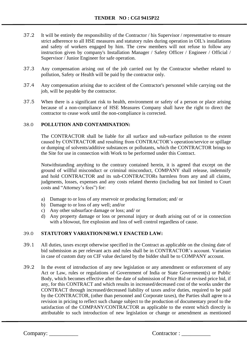- 37.2 It will be entirely the responsibility of the Contractor / his Supervisor / representative to ensure strict adherence to all HSE measures and statutory rules during operation in OIL's installations and safety of workers engaged by him. The crew members will not refuse to follow any instruction given by company's Installation Manager / Safety Officer / Engineer / Official / Supervisor / Junior Engineer for safe operation.
- 37.3 Any compensation arising out of the job carried out by the Contractor whether related to pollution, Safety or Health will be paid by the contractor only.
- 37.4 Any compensation arising due to accident of the Contractor's personnel while carrying out the job, will be payable by the contractor.
- 37.5 When there is a significant risk to health, environment or safety of a person or place arising because of a non-compliance of HSE Measures Company shall have the right to direct the contractor to cease work until the non-compliance is corrected.

### 38.0 **POLLUTION AND CONTAMINATION:**

The CONTRACTOR shall be liable for all surface and sub-surface pollution to the extent caused by CONTRACTOR and resulting from CONTRACTOR's operation/service or spillage or dumping of solvents/additive substances or pollutants, which the CONTRACTOR brings to the Site for use in connection with Work to be performed under this Contract.

Notwithstanding anything to the contrary contained herein, it is agreed that except on the ground of willful misconduct or criminal misconduct, COMPANY shall release, indemnify and hold CONTRACTOR and its sub-CONTRACTORs harmless from any and all claims, judgments, losses, expenses and any costs related thereto (including but not limited to Court costs and "Attorney's fees") for:

- a) Damage to or loss of any reservoir or producing formation; and/ or
- b) Damage to or loss of any well; and/or
- c) Any other subsurface damage or loss; and/ or
- d) Any property damage or loss or personal injury or death arising out of or in connection with a blowout, fire explosion and loss of well control regardless of cause.

# 39.0 **STATUTORY VARIATION/NEWLY ENACTED LAW:**

- 39.1 All duties, taxes except otherwise specified in the Contract as applicable on the closing date of bid submission as per relevant acts and rules shall be in CONTRACTOR's account. Variation in case of custom duty on CIF value declared by the bidder shall be to COMPANY account.
- 39.2 In the event of introduction of any new legislation or any amendment or enforcement of any Act or Law, rules or regulations of Government of India or State Government(s) or Public Body, which becomes effective after the date of submission of Price Bid or revised price bid, if any, for this CONTRACT and which results in increased/decreased cost of the works under the CONTRACT through increased/decreased liability of taxes and/or duties, required to be paid by the CONTRACTOR, (other than personnel and Corporate taxes), the Parties shall agree to a revision in pricing to reflect such change subject to the production of documentary proof to the satisfaction of the COMPANY/CONTRACTOR as applicable to the extent which directly is attributable to such introduction of new legislation or change or amendment as mentioned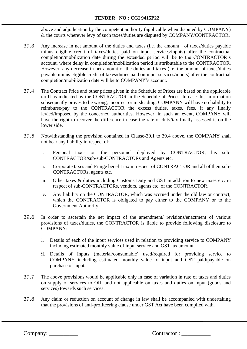above and adjudication by the competent authority (applicable when disputed by COMPANY) & the courts wherever levy of such taxes/duties are disputed by COMPANY/CONTRACTOR.

- 39.3 Any increase in net amount of the duties and taxes (i.e. the amount of taxes/duties payable minus eligible credit of taxes/duties paid on input services/inputs) after the contractual completion/mobilization date during the extended period will be to the CONTRACTOR's account, where delay in completion/mobilization period is attributable to the CONTRACTOR. However, any decrease in net amount of the duties and taxes (i.e. the amount of taxes/duties payable minus eligible credit of taxes/duties paid on input services/inputs) after the contractual completion/mobilization date will be to COMPANY's account.
- 39.4 The Contract Price and other prices given in the Schedule of Prices are based on the applicable tariff as indicated by the CONTRACTOR in the Schedule of Prices. In case this information subsequently proves to be wrong, incorrect or misleading, COMPANY will have no liability to reimburse/pay to the CONTRACTOR the excess duties, taxes, fees, if any finally levied/imposed by the concerned authorities. However, in such an event, COMPANY will have the right to recover the difference in case the rate of duty/tax finally assessed is on the lower side.
- 39.5 Notwithstanding the provision contained in Clause-39.1 to 39.4 above, the COMPANY shall not bear any liability in respect of:
	- i. Personal taxes on the personnel deployed by CONTRACTOR, his sub-CONTRACTOR/sub-sub-CONTRACTORs and Agents etc.
	- ii. Corporate taxes and Fringe benefit tax in respect of CONTRACTOR and all of their sub-CONTRACTORs, agents etc.
	- iii. Other taxes & duties including Customs Duty and GST in addition to new taxes etc. in respect of sub-CONTRACTORs, vendors, agents etc. of the CONTRACTOR.
	- iv. Any liability on the CONTRACTOR, which was accrued under the old law or contract, which the CONTRACTOR is obligated to pay either to the COMPANY or to the Government Authority.
- 39.6 In order to ascertain the net impact of the amendment/ revisions/enactment of various provisions of taxes/duties, the CONTRACTOR is liable to provide following disclosure to COMPANY:
	- i. Details of each of the input services used in relation to providing service to COMPANY including estimated monthly value of input service and GST tax amount.
	- ii. Details of Inputs (material/consumable) used/required for providing service to COMPANY including estimated monthly value of input and GST paid/payable on purchase of inputs.
- 39.7 The above provisions would be applicable only in case of variation in rate of taxes and duties on supply of services to OIL and not applicable on taxes and duties on input (goods and services) towards such services.
- 39.8 Any claim or reduction on account of change in law shall be accompanied with undertaking that the provisions of anti-profiteering clause under GST Act have been complied with.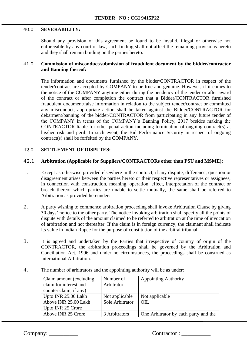### 40.0 **SEVERABILITY:**

Should any provision of this agreement be found to be invalid, illegal or otherwise not enforceable by any court of law, such finding shall not affect the remaining provisions hereto and they shall remain binding on the parties hereto.

#### 41.0 **Commission of misconduct/submission of fraudulent document by the bidder/contractor and Banning thereof:**

The information and documents furnished by the bidder/CONTRACTOR in respect of the tender/contract are accepted by COMPANY to be true and genuine. However, if it comes to the notice of the COMPANY anytime either during the pendency of the tender or after award of the contract or after completion the contract that a Bidder/CONTRACTOR furnished fraudulent document/false information in relation to the subject tender/contract or committed any misconduct, appropriate action shall be taken against the Bidder/CONTRACTOR for debarment/banning of the bidder/CONTRACTOR from participating in any future tender of the COMPANY in terms of the COMPANY's Banning Policy, 2017 besides making the CONTRACTOR liable for other penal action including termination of ongoing contract(s) at his/her risk and peril. In such event, the Bid Performance Security in respect of ongoing contract(s) shall be forfeited by the COMPANY.

### 42.0 **SETTLEMENT OF DISPUTES:**

#### 42.1 **Arbitration (Applicable for Suppliers/CONTRACTORs other than PSU and MSME):**

- 1. Except as otherwise provided elsewhere in the contract, if any dispute, difference, question or disagreement arises between the parties hereto or their respective representatives or assignees, in connection with construction, meaning, operation, effect, interpretation of the contract or breach thereof which parties are unable to settle mutually, the same shall be referred to Arbitration as provided hereunder:
- 2. A party wishing to commence arbitration proceeding shall invoke Arbitration Clause by giving 30 days' notice to the other party. The notice invoking arbitration shall specify all the points of dispute with details of the amount claimed to be referred to arbitration at the time of invocation of arbitration and not thereafter. If the claim is in foreign currency, the claimant shall indicate its value in Indian Rupee for the purpose of constitution of the arbitral tribunal.
- 3. It is agreed and undertaken by the Parties that irrespective of country of origin of the CONTRACTOR, the arbitration proceedings shall be governed by the Arbitration and Conciliation Act, 1996 and under no circumstances, the proceedings shall be construed as International Arbitration.
- 4. The number of arbitrators and the appointing authority will be as under:

| Claim amount (excluding) | Number of       | <b>Appointing Authority</b>          |
|--------------------------|-----------------|--------------------------------------|
| claim for interest and   | Arbitrator      |                                      |
| counter claim, if any)   |                 |                                      |
| Upto INR 25.00 Lakh      | Not applicable  | Not applicable                       |
| Above INR 25.00 Lakh     | Sole Arbitrator | O <sub>II</sub>                      |
| Upto INR 25 Crore        |                 |                                      |
| Above INR 25 Crore       | 3 Arbitrators   | One Arbitrator by each party and the |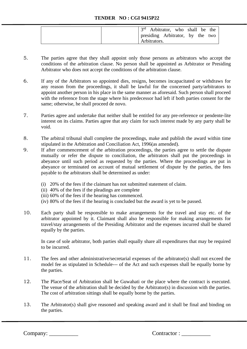| $3rd$ Arbitrator, who shall be the |  |
|------------------------------------|--|
| presiding Arbitrator, by the two   |  |
| Arbitrators.                       |  |

- 5. The parties agree that they shall appoint only those persons as arbitrators who accept the conditions of the arbitration clause. No person shall be appointed as Arbitrator or Presiding Arbitrator who does not accept the conditions of the arbitration clause.
- 6. If any of the Arbitrators so appointed dies, resigns, becomes incapacitated or withdraws for any reason from the proceedings, it shall be lawful for the concerned party/arbitrators to appoint another person in his place in the same manner as aforesaid. Such person shall proceed with the reference from the stage where his predecessor had left if both parties consent for the same; otherwise, he shall proceed de novo.
- 7. Parties agree and undertake that neither shall be entitled for any pre-reference or pendente-lite interest on its claims. Parties agree that any claim for such interest made by any party shall be void.
- 8. The arbitral tribunal shall complete the proceedings, make and publish the award within time stipulated in the Arbitration and Conciliation Act, 1996(as amended).
- 9. If after commencement of the arbitration proceedings, the parties agree to settle the dispute mutually or refer the dispute to conciliation, the arbitrators shall put the proceedings in abeyance until such period as requested by the parties. Where the proceedings are put in abeyance or terminated on account of mutual settlement of dispute by the parties, the fees payable to the arbitrators shall be determined as under:
	- (i) 20% of the fees if the claimant has not submitted statement of claim.
	- (ii) 40% of the fees if the pleadings are complete
	- (iii) 60% of the fees if the hearing has commenced.
	- (iv) 80% of the fees if the hearing is concluded but the award is yet to be passed.
- 10. Each party shall be responsible to make arrangements for the travel and stay etc. of the arbitrator appointed by it. Claimant shall also be responsible for making arrangements for travel/stay arrangements of the Presiding Arbitrator and the expenses incurred shall be shared equally by the parties.

In case of sole arbitrator, both parties shall equally share all expenditures that may be required to be incurred.

- 11. The fees and other administrative/secretarial expenses of the arbitrator(s) shall not exceed the model fee as stipulated in Schedule--- of the Act and such expenses shall be equally borne by the parties.
- 12. The Place/Seat of Arbitration shall be Guwahati or the place where the contract is executed. The venue of the arbitration shall be decided by the Arbitrator(s) in discussion with the parties. The cost of arbitration sittings shall be equally borne by the parties.
- 13. The Arbitrator(s) shall give reasoned and speaking award and it shall be final and binding on the parties.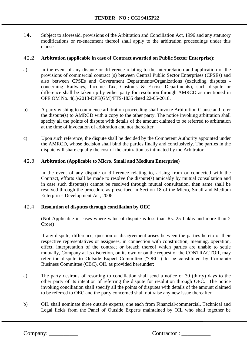14. Subject to aforesaid, provisions of the Arbitration and Conciliation Act, 1996 and any statutory modifications or re-enactment thereof shall apply to the arbitration proceedings under this clause.

#### 42.2 **Arbitration (applicable in case of Contract awarded on Public Sector Enterprise):**

- a) In the event of any dispute or difference relating to the interpretation and application of the provisions of commercial contract (s) between Central Public Sector Enterprises (CPSEs) and also between CPSEs and Government Departments/Organizations (excluding disputes concerning Railways, Income Tax, Customs & Excise Departments), such dispute or difference shall be taken up by either party for resolution through AMRCD as mentioned in OPE OM No. 4(1)/2013-DPE(GM)/FTS-1835 dated 22-05-2018.
- b) A party wishing to commence arbitration proceeding shall invoke Arbitration Clause and refer the dispute(s) to AMRCD with a copy to the other party. The notice invoking arbitration shall specify all the points of dispute with details of the amount claimed to be referred to arbitration at the time of invocation of arbitration and not thereafter.
- c) Upon such reference, the dispute shall be decided by the Competent Authority appointed under the AMRCD, whose decision shall bind the parties finally and conclusively. The parties in the dispute will share equally the cost of the arbitration as intimated by the Arbitrator.

#### 42.3 **Arbitration (Applicable to Micro, Small and Medium Enterprise)**

In the event of any dispute or difference relating to, arising from or connected with the Contract, efforts shall be made to resolve the dispute(s) amicably by mutual consultation and in case such dispute(s) cannot be resolved through mutual consultation, then same shall be resolved through the procedure as prescribed in Section-18 of the Micro, Small and Medium Enterprises Development Act, 2006.

#### 42.4 **Resolution of disputes through conciliation by OEC**

(Not Applicable in cases where value of dispute is less than Rs. 25 Lakhs and more than 2 Crore)

If any dispute, difference, question or disagreement arises between the parties hereto or their respective representatives or assignees, in connection with construction, meaning, operation, effect, interpretation of the contract or breach thereof which parties are unable to settle mutually, Company at its discretion, on its own or on the request of the CONTRACTOR, may refer the dispute to Outside Expert Committee ("OEC") to be constituted by Corporate Business Committee (CBC), OIL as provided hereunder:

- a) The party desirous of resorting to conciliation shall send a notice of 30 (thirty) days to the other party of its intention of referring the dispute for resolution through OEC. The notice invoking conciliation shall specify all the points of disputes with details of the amount claimed to be referred to OEC and the party concerned shall not raise any new issue thereafter.
- b) OIL shall nominate three outside experts, one each from Financial/commercial, Technical and Legal fields from the Panel of Outside Experts maintained by OIL who shall together be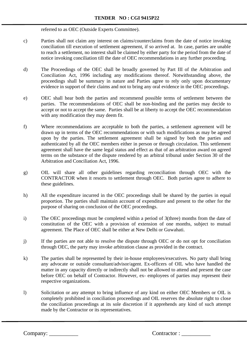referred to as OEC (Outside Experts Committee).

- c) Parties shall not claim any interest on claims/counterclaims from the date of notice invoking conciliation till execution of settlement agreement, if so arrived at. In case, parties are unable to reach a settlement, no interest shall be claimed by either party for the period from the date of notice invoking conciliation till the date of OEC recommendations in any further proceeding.
- d) The Proceedings of the OEC shall be broadly governed by Part III of the Arbitration and Conciliation Act, 1996 including any modifications thereof. Notwithstanding above, the proceedings shall be summary in nature and Parties agree to rely only upon documentary evidence in support of their claims and not to bring any oral evidence in the OEC proceedings.
- e) OEC shall hear both the parties and recommend possible terms of settlement between the parties. The recommendations of OEC shall be non-binding and the parties may decide to accept or not to accept the same. Parties shall be at liberty to accept the OEC recommendation with any modification they may deem fit.
- f) Where recommendations are acceptable to both the parties, a settlement agreement will be drawn up in terms of the OEC recommendations or with such modifications as may be agreed upon by the parties. The settlement agreement shall be signed by both the parties and authenticated by all the OEC members either in person or through circulation. This settlement agreement shall have the same legal status and effect as that of an arbitration award on agreed terms on the substance of the dispute rendered by an arbitral tribunal under Section 30 of the Arbitration and Conciliation Act, 1996.
- g) OIL will share all other guidelines regarding reconciliation through OEC with the CONTRACTOR when it resorts to settlement through OEC. Both parties agree to adhere to these guidelines.
- h) All the expenditure incurred in the OEC proceedings shall be shared by the parties in equal proportion. The parties shall maintain account of expenditure and present to the other for the purpose of sharing on conclusion of the OEC proceedings.
- i) The OEC proceedings must be completed within a period of 3(three) months from the date of constitution of the OEC with a provision of extension of one months, subject to mutual agreement. The Place of OEC shall be either at New Delhi or Guwahati.
- j) If the parties are not able to resolve the dispute through OEC or do not opt for conciliation through OEC, the party may invoke arbitration clause as provided in the contract.
- k) The parties shall be represented by their in-house employees/executives. No party shall bring any advocate or outside consultant/advisor/agent. Ex-officers of OIL who have handled the matter in any capacity directly or indirectly shall not be allowed to attend and present the case before OEC on behalf of Contractor. However, ex- employees of parties may represent their respective organizations.
- l) Solicitation or any attempt to bring influence of any kind on either OEC Members or OIL is completely prohibited in conciliation proceedings and OIL reserves the absolute right to close the conciliation proceedings at its sole discretion if it apprehends any kind of such attempt made by the Contractor or its representatives.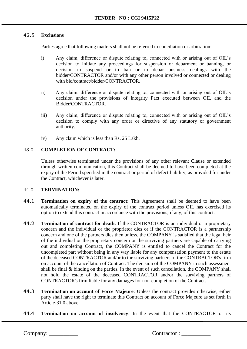#### 42.5 **Exclusions**

Parties agree that following matters shall not be referred to conciliation or arbitration:

- i) Any claim, difference or dispute relating to, connected with or arising out of OIL's decision to initiate any proceedings for suspension or debarment or banning, or decision to suspend or to ban or to debar business dealings with the bidder/CONTRACTOR and/or with any other person involved or connected or dealing with bid/contract/bidder/CONTRACTOR.
- ii) Any claim, difference or dispute relating to, connected with or arising out of OIL's decision under the provisions of Integrity Pact executed between OIL and the Bidder/CONTRACTOR.
- iii) Any claim, difference or dispute relating to, connected with or arising out of OIL's decision to comply with any order or directive of any statutory or government authority.
- iv) Any claim which is less than Rs. 25 Lakh.

# 43.0 **COMPLETION OF CONTRACT:**

Unless otherwise terminated under the provisions of any other relevant Clause or extended through written communication, this Contract shall be deemed to have been completed at the expiry of the Period specified in the contract or period of defect liability, as provided for under the Contract, whichever is later.

#### 44.0 **TERMINATION:**

- 44.1 **Termination on expiry of the contract**: This Agreement shall be deemed to have been automatically terminated on the expiry of the contract period unless OIL has exercised its option to extend this contract in accordance with the provisions, if any, of this contract.
- 44.2 **Termination of contract for death**: If the CONTRACTOR is an individual or a proprietary concern and the individual or the proprietor dies or if the CONTRACTOR is a partnership concern and one of the partners dies then unless, the COMPANY is satisfied that the legal heir of the individual or the proprietary concern or the surviving partners are capable of carrying out and completing Contract, the COMPANY is entitled to cancel the Contract for the uncompleted part without being in any way liable for any compensation payment to the estate of the deceased CONTRACTOR and/or to the surviving partners of the CONTRACTOR's firm on account of the cancellation of Contract. The decision of the COMPANY in such assessment shall be final & binding on the parties. In the event of such cancellation, the COMPANY shall not hold the estate of the deceased CONTRACTOR and/or the surviving partners of CONTRACTOR's firm liable for any damages for non-completion of the Contract.
- 44.3 **Termination on account of Force Majeure**: Unless the contract provides otherwise, either party shall have the right to terminate this Contract on account of Force Majeure as set forth in Article-31.0 above.
- 44.4 **Termination on account of insolvency**: In the event that the CONTRACTOR or its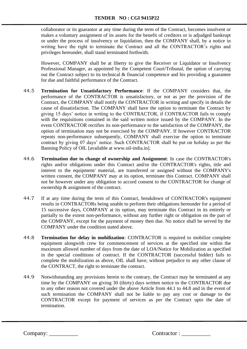collaborator or its guarantor at any time during the term of the Contract, becomes insolvent or makes a voluntary assignment of its assets for the benefit of creditors or is adjudged bankrupt or under the process of insolvency or liquidation, then the COMPANY shall, by a notice in writing have the right to terminate the Contract and all the CONTRACTOR's rights and privileges hereunder, shall stand terminated forthwith.

However, COMPANY shall be at liberty to give the Receiver or Liquidator or Insolvency Professional Manager, as appointed by the Competent Court/Tribunal, the option of carrying out the Contract subject to its technical & financial competence and his providing a guarantee for due and faithful performance of the Contract.

- 44.5 **Termination for Unsatisfactory Performance**: If the COMPANY considers that, the performance of the CONTRACTOR is unsatisfactory, or not as per the provision of the Contract, the COMPANY shall notify the CONTRACTOR in writing and specify in details the cause of dissatisfaction. The COMPANY shall have the option to terminate the Contract by giving 15 days' notice in writing to the CONTRACTOR, if CONTRACTOR fails to comply with the requisitions contained in the said written notice issued by the COMPANY. In the event CONTRACTOR rectifies its non-performance to the satisfaction of the COMPANY, the option of termination may not be exercised by the COMPANY. If however CONTRACTOR repeats non-performance subsequently, COMPANY shall exercise the option to terminate contract by giving 07 days' notice. Such CONTRACTOR shall be put on holiday as per the Banning Policy of OIL [available at [www.oil-india.in\]](http://www.oil-india.in/).
- 44.6 **Termination due to change of ownership and Assignment**: In case the CONTRACTOR's rights and/or obligations under this Contract and/or the CONTRACTOR's rights, title and interest to the equipment/ material, are transferred or assigned without the COMPANY's written consent, the COMPANY may at its option, terminate this Contract. COMPANY shall not be however under any obligation to accord consent to the CONTRACTOR for change of ownership & assignment of the contract.
- 44.7 If at any time during the term of this Contract, breakdown of CONTRACTOR's equipment results in CONTRACTORs being unable to perform their obligations hereunder for a period of 15 successive days, COMPANY at its option, may terminate this Contract in its entirely or partially to the extent non-performance, without any further right or obligation on the part of the COMPANY, except for the payment of money then due. No notice shall be served by the COMPANY under the condition stated above.
- 44.8 **Termination for delay in mobilization**: CONTRACTOR is required to mobilize complete equipment alongwith crew for commencement of services at the specified site within the maximum allowed number of days from the date of LOA/Notice for Mobilization as specified in the special conditions of contract. If the CONTRACTOR (successful bidder) fails to complete the mobilization as above, OIL shall have, without prejudice to any other clause of the CONTRACT, the right to terminate the contract.
- 44.9 Notwithstanding any provisions herein to the contrary, the Contract may be terminated at any time by the COMPANY on giving 30 (thirty) days written notice to the CONTRACTOR due to any other reason not covered under the above Article from 44.1 to 44.8 and in the event of such termination the COMPANY shall not be liable to pay any cost or damage to the CONTRACTOR except for payment of services as per the Contract upto the date of termination.

Company:

| Contractor: |  |
|-------------|--|
|             |  |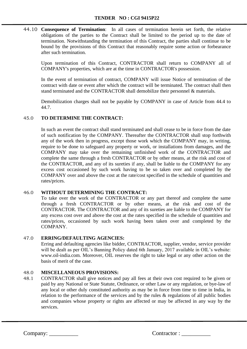44.10 **Consequence of Termination**: In all cases of termination herein set forth, the relative obligations of the parties to the Contract shall be limited to the period up to the date of termination. Notwithstanding the termination of this Contract, the parties shall continue to be bound by the provisions of this Contract that reasonably require some action or forbearance after such termination.

Upon termination of this Contract, CONTRACTOR shall return to COMPANY all of COMPANY's properties, which are at the time in CONTRACTOR's possession.

In the event of termination of contract, COMPANY will issue Notice of termination of the contract with date or event after which the contract will be terminated. The contract shall then stand terminated and the CONTRACTOR shall demobilize their personnel & materials.

Demobilization charges shall not be payable by COMPANY in case of Article from 44.4 to 44.7.

#### 45.0 **TO DETERMINE THE CONTRACT:**

In such an event the contract shall stand terminated and shall cease to be in force from the date of such notification by the COMPANY. Thereafter the CONTRACTOR shall stop forthwith any of the work then in progress, except those work which the COMPANY may, in writing, require to be done to safeguard any property or work, or installations from damages, and the COMPANY may take over the remaining unfinished work of the CONTRACTOR and complete the same through a fresh CONTRACTOR or by other means, at the risk and cost of the CONTRACTOR, and any of its sureties if any, shall be liable to the COMPANY for any excess cost occasioned by such work having to be so taken over and completed by the COMPANY over and above the cost at the rate/cost specified in the schedule of quantities and rates/prices.

#### 46.0 **WITHOUT DETERMINING THE CONTRACT:**

To take over the work of the CONTRACTOR or any part thereof and complete the same through a fresh CONTRACTOR or by other means, at the risk and cost of the CONTRACTOR. The CONTRACTOR and any of its sureties are liable to the COMPANY for any excess cost over and above the cost at the rates specified in the schedule of quantities and rates/prices, occasioned by such work having been taken over and completed by the COMPANY.

# 47.0 **ERRING/DEFAULTING AGENCIES:**

Erring and defaulting agencies like bidder, CONTRACTOR, supplier, vendor, service provider will be dealt as per OIL's Banning Policy dated 6th January, 2017 available in OIL's website: www.oil-india.com. Moreover, OIL reserves the right to take legal or any other action on the basis of merit of the case.

# 48.0 **MISCELLANEOUS PROVISIONS:**

48.1 CONTRACTOR shall give notices and pay all fees at their own cost required to be given or paid by any National or State Statute, Ordinance, or other Law or any regulation, or bye-law of any local or other duly constituted authority as may be in force from time to time in India, in relation to the performance of the services and by the rules & regulations of all public bodies and companies whose property or rights are affected or may be affected in any way by the services.

Company:

| Contractor: |  |  |
|-------------|--|--|
|-------------|--|--|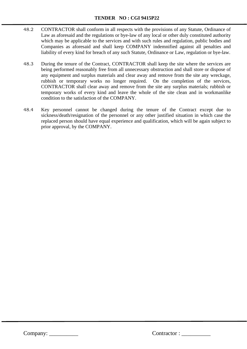- 48.2 CONTRACTOR shall conform in all respects with the provisions of any Statute, Ordinance of Law as aforesaid and the regulations or bye-law of any local or other duly constituted authority which may be applicable to the services and with such rules and regulation, public bodies and Companies as aforesaid and shall keep COMPANY indemnified against all penalties and liability of every kind for breach of any such Statute, Ordinance or Law, regulation or bye-law.
- 48.3 During the tenure of the Contract, CONTRACTOR shall keep the site where the services are being performed reasonably free from all unnecessary obstruction and shall store or dispose of any equipment and surplus materials and clear away and remove from the site any wreckage, rubbish or temporary works no longer required. On the completion of the services, CONTRACTOR shall clear away and remove from the site any surplus materials; rubbish or temporary works of every kind and leave the whole of the site clean and in workmanlike condition to the satisfaction of the COMPANY.
- 48.4 Key personnel cannot be changed during the tenure of the Contract except due to sickness/death/resignation of the personnel or any other justified situation in which case the replaced person should have equal experience and qualification, which will be again subject to prior approval, by the COMPANY.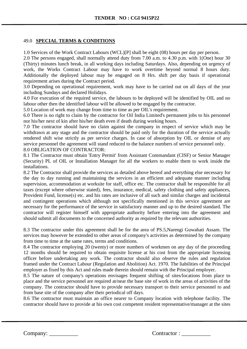# 49.0 **SPECIAL TERMS & CONDITIONS**

1.0 Services of the Work Contract Labours (WCL)[P] shall be eight (08) hours per day per person.

2.0 The persons engaged, shall normally attend duty from 7.00 a.m. to 4.30 p.m. with 1(One) hour 30 (Thirty) minutes lunch break, in all working days including Saturdays. Also, depending on urgency of work, the Works Contract Labour may have to work overtime beyond normal 8 hours duty. Additionally the deployed labour may be engaged on 8 Hrs. shift per day basis if operational requirement arises during the Contract period.

3.0 Depending on operational requirement, work may have to be carried out on all days of the year including Sundays and declared Holidays.

4.0 For execution of the required service, the labours to be deployed will be identified by OIL and no labour other then the identified labour will be allowed to be engaged by the contractor.

5.0 Location of work may change from time to time as per OIL's requirement.

6.0 There is no right to claim by the contractor for Oil India Limited's permanent jobs to his personnel nor his/her next of kin after his/her death even if death during working hours.

7.0 The contractor should have no claim against the company in respect of service which may be withdrawn at any stage and the contractor should be paid only for the duration of the service actually rendered shift wise strictly as per service charges. In case of absorption by OIL or demise of any service personnel the agreement will stand reduced to the balance numbers of service personnel only. 8.0 OBLIGATION OF CONTRACTOR:

8.1 The Contractor must obtain 'Entry Permit' from Assistant Commandant (CISF) or Senior Manager (Security) PL of OIL or Installation Manager for all the workers to enable them to work inside the installations.

8.2 The Contractor shall provide the services as detailed above hereof and everything else necessary for the day to day running and maintaining the services in an efficient and adequate manner including supervision, accommodation at worksite for staff, office etc. The contractor shall be responsible for all taxes (except where otherwise stated), fees, insurance, medical, safety clothing and safety appliances, Provident Fund, license(s) etc. and his rates are inclusive of all such and similar charges and incidental and contingent operations which although not specifically mentioned in this service agreement are necessary for the performance of the service in satisfactory manner and up to the desired standard. The contractor will register himself with appropriate authority before entering into the agreement and should submit all documents to the concerned authority as required by the relevant authorities.

8.3 The contractor under this agreement shall be for the area of PS.5,Narengi Guwahati Assam. The services may however be extended to other areas of company's activities as determined by the company from time to time at the same rates, terms and conditions.

8.4 The contractor employing 20 (twenty) or more numbers of workmen on any day of the proceeding 12 months should be required to obtain requisite license at his cost from the appropriate licensing officer before undertaking any work. The contractor should also observe the rules and regulation framed under the Contract Labour (Regulation and Abolition) Act. 1970. The liabilities of the Principal employer as fixed by this Act and rules made therein should remain with the Principal employer.

8.5 The nature of company's operations envisages frequent shifting of sites/locations from place to place and the service personnel are required at/near the base site of work in the areas of activities of the company. The contractor should have to provide necessary transport to their service personnel to and from base site of the company after their periodical off days.

8.6 The contractor must maintain an office nearer to Company location with telephone facility. The contractor should have to provide at his own cost competent resident representative/manager at the sites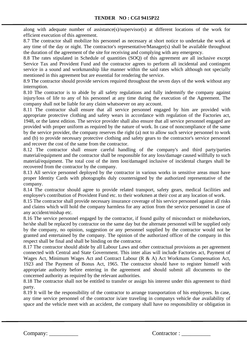along with adequate number of assistance(s)/supervisor(s) at different locations of the work for efficient execution of this agreement.

8.7 The contractor shall mobilize his personnel as necessary at short notice to undertake the work at any time of the day or night. The contractor's representative/Manager(s) shall be available throughout the duration of the agreement of the site for receiving and complying with any emergency.

8.8 The rates stipulated in Schedule of quantities (SOQ) of this agreement are all inclusive except Service Tax and Provident Fund and the contractor agrees to perform all incidental and contingent service in a sound and workmanship like manner within the said rates which although not specially mentioned in this agreement but are essential for rendering the service.

8.9 The contractor should provide services required throughout the seven days of the week without any interruption.

8.10 The contractor is to abide by all safety regulations and fully indemnify the company against injury/loss of life to any of his personnel at any time during the execution of the Agreement. The company shall not be liable for any claim whatsoever on any account.

8.11 The contractor shall ensure that all service personnel engaged by him are provided with appropriate protective clothing and safety wears in accordance with regulation of the Factories act, 1948, or the latest edition. The service provider shall also ensure that all service personnel engaged are provided with proper uniform as required by the nature of work. In case of noncompliance of the same by the service provider, the company reserves the right (a) not to allow such service personnel to work and (b) to provide necessary protective clothing and safety gears to the contractor's service personnel and recover the cost of the same from the contractor.

8.12 The contractor shall ensure careful handling of the company's and third party/parties material/equipment and the contractor shall be responsible for any loss/damage caused willfully to such material/equipment. The total cost of the item lost/damaged inclusive of incidental charges shall be recovered from the contractor by the company.

8.13 All service personnel deployed by the contractor in various works in sensitive areas must have proper Identity Cards with photographs duly countersigned by the authorized representative of the company.

8.14 The contractor should agree to provide related transport, safety gears, medical facilities and employee's contribution of Provident Fund etc. to their workmen at their cost at any location of work.

8.15 The contractor shall provide necessary insurance coverage of his service personnel against all risks and claims which will hold the company harmless for any action from the service personnel in case of any accident/mishap etc.

8.16 The service personnel engaged by the contractor, if found guilty of misconduct or misbehaviors, he/she shall be replaced by contractor on the same day but the alternate personnel will be supplied only by the company, no opinion, suggestion or any personnel supplied by the contractor would not be granted and entertained by the company. The opinion of the authorized officer of the company in this respect shall be final and shall be binding on the contractor.

8.17 The contractor should abide by all Labour Laws and other contractual provisions as per agreement connected with Central and State Government. This inter alias will include Factories act, Payment of Wages Act, Minimum Wages Act and Contract Labour (R & A) Act Workmans Compensation Act, 1923 and The Payment of Bonus Act, 1965. The contractor should have to register himself with appropriate authority before entering in the agreement and should submit all documents to the concerned authority as required by the relevant authorities.

8.18 The contractor shall not be entitled to transfer or assign his interest under this agreement to third party.

8.19 It will be the responsibility of the contractor to arrange transportation of his employees. In case, any time service personnel of the contractor is/are traveling in companys vehicle due availability of space and the vehicle meet with an accident, the company shall have no responsibility or obligation in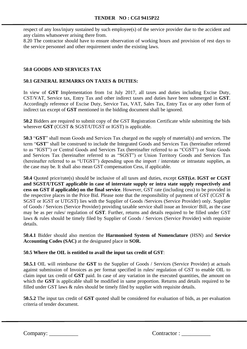respect of any loss/injury sustained by such employee(s) of the service provider due to the accident and any claims whatsoever arising there from.

8.20 The contractor should have to ensure observation of working hours and provision of rest days to the service personnel and other requirement under the existing laws.

# **50.0 GOODS AND SERVICES TAX**

#### **50.1 GENERAL REMARKS ON TAXES & DUTIES:**

In view of **GST** Implementation from 1st July 2017, all taxes and duties including Excise Duty, CST/VAT, Service tax, Entry Tax and other indirect taxes and duties have been submerged in **GST**. Accordingly reference of Excise Duty, Service Tax, VAT, Sales Tax, Entry Tax or any other form of indirect tax except of **GST** mentioned in the bidding document shall be ignored.

**50.2** Bidders are required to submit copy of the GST Registration Certificate while submitting the bids wherever **GST** (CGST & SGST/UTGST or IGST) is applicable.

**50.3** "**GST**" shall mean Goods and Services Tax charged on the supply of material(s) and services. The term "**GST**" shall be construed to include the Integrated Goods and Services Tax (hereinafter referred to as "IGST") or Central Goods and Services Tax (hereinafter referred to as "CGST") or State Goods and Services Tax (hereinafter referred to as "SGST") or Union Territory Goods and Services Tax (hereinafter referred to as "UTGST") depending upon the import / interstate or intrastate supplies, as the case may be. It shall also mean GST compensation Cess, if applicable.

**50.4** Quoted price/rate(s) should be inclusive of all taxes and duties, except **GST(i.e. IGST or CGST and SGST/UTGST applicable in case of interstate supply or intra state supply respectively and cess on GST if applicable) on the final service**. However, GST rate (including cess) to be provided in the respective places in the Price Bid. Please note that the responsibility of payment of GST (CGST & SGST or IGST or UTGST) lies with the Supplier of Goods /Services (Service Provider) only. Supplier of Goods / Services (Service Provider) providing taxable service shall issue an Invoice/ Bill, as the case may be as per rules/ regulation of **GST**. Further, returns and details required to be filled under GST laws & rules should be timely filed by Supplier of Goods / Services (Service Provider) with requisite details.

**50.4.1** Bidder should also mention the **Harmonised System of Nomenclature** (HSN) and **Service Accounting Codes (SAC)** at the designated place in **SOR.**

#### **50.5 Where the OIL is entitled to avail the input tax credit of GST**:

**50.5.1** OIL will reimburse the **GST** to the Supplier of Goods / Services (Service Provider) at actuals against submission of Invoices as per format specified in rules/ regulation of GST to enable OIL to claim input tax credit of **GST** paid. In case of any variation in the executed quantities, the amount on which the **GST** is applicable shall be modified in same proportion. Returns and details required to be filled under GST laws & rules should be timely filed by supplier with requisite details.

**50.5.2** The input tax credit of **GST** quoted shall be considered for evaluation of bids, as per evaluation criteria of tender document.

 $Comparing: \_\_$ 

| Contractor: |  |  |
|-------------|--|--|
|-------------|--|--|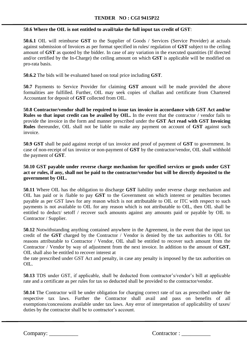# **50.6 Where the OIL is not entitled to avail/take the full input tax credit of GST**:

**50.6.1** OIL will reimburse **GST** to the Supplier of Goods / Services (Service Provider) at actuals against submission of Invoices as per format specified in rules/ regulation of **GST** subject to the ceiling amount of **GST** as quoted by the bidder. In case of any variation in the executed quantities (If directed and/or certified by the In-Charge) the ceiling amount on which **GST** is applicable will be modified on pro-rata basis.

**50.6.2** The bids will be evaluated based on total price including **GST**.

**50.7** Payments to Service Provider for claiming **GST** amount will be made provided the above formalities are fulfilled. Further, OIL may seek copies of challan and certificate from Chartered Accountant for deposit of **GST** collected from OIL.

**50.8 Contractor/vendor shall be required to issue tax invoice in accordance with GST Act and/or Rules so that input credit can be availed by OIL.** In the event that the contractor / vendor fails to provide the invoice in the form and manner prescribed under the **GST Act read with GST Invoicing Rules** thereunder, OIL shall not be liable to make any payment on account of **GST** against such invoice.

**50.9 GST** shall be paid against receipt of tax invoice and proof of payment of **GST** to government. In case of non-receipt of tax invoice or non-payment of **GST** by the contractor/vendor, OIL shall withhold the payment of **GST**.

# **50.10 GST payable under reverse charge mechanism for specified services or goods under GST act or rules, if any, shall not be paid to the contractor/vendor but will be directly deposited to the government by OIL.**

**50.11** Where OIL has the obligation to discharge **GST** liability under reverse charge mechanism and OIL has paid or is /liable to pay **GST** to the Government on which interest or penalties becomes payable as per GST laws for any reason which is not attributable to OIL or ITC with respect to such payments is not available to OIL for any reason which is not attributable to OIL, then OIL shall be entitled to deduct/ setoff / recover such amounts against any amounts paid or payable by OIL to Contractor / Supplier.

**50.12** Notwithstanding anything contained anywhere in the Agreement, in the event that the input tax credit of the **GST** charged by the Contractor / Vendor is denied by the tax authorities to OIL for reasons attributable to Contractor / Vendor, OIL shall be entitled to recover such amount from the Contractor / Vendor by way of adjustment from the next invoice. In addition to the amount of **GST**, OIL shall also be entitled to recover interest at

the rate prescribed under GST Act and penalty, in case any penalty is imposed by the tax authorities on OIL.

**50.13** TDS under GST, if applicable, shall be deducted from contractor's/vendor's bill at applicable rate and a certificate as per rules for tax so deducted shall be provided to the contractor/vendor.

**50.14** The Contractor will be under obligation for charging correct rate of tax as prescribed under the respective tax laws. Further the Contractor shall avail and pass on benefits of all exemptions/concessions available under tax laws. Any error of interpretation of applicability of taxes/ duties by the contractor shall be to contractor's account.

| Contractor : |  |  |
|--------------|--|--|
|--------------|--|--|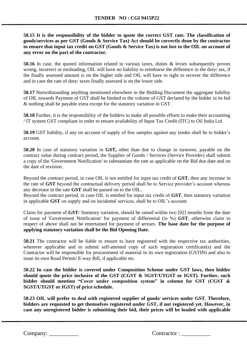**50.15 It is the responsibility of the bidder to quote the correct GST rate. The classification of goods/services as per GST (Goods & Service Tax) Act should be correctly done by the contractor to ensure that input tax credit on GST (Goods & Service Tax) is not lost to the OIL on account of any error on the part of the contractor.** 

**50.16** In case, the quoted information related to various taxes, duties & levies subsequently proves wrong, incorrect or misleading, OIL will have no liability to reimburse the difference in the duty/ tax, if the finally assessed amount is on the higher side and OIL will have to right to recover the difference and in case the rate of duty/ taxes finally assessed is on the lower side.

**50.17** Notwithstanding anything mentioned elsewhere in the Bidding Document the aggregate liability of OIL towards Payment of GST shall be limited to the volume of GST declared by the bidder in its bid & nothing shall be payable extra except for the statutory variation in GST.

**50.18** Further, it is the responsibility of the bidders to make all possible efforts to make their accounting / IT system GST compliant in order to ensure availability of Input Tax Credit (ITC) to Oil India Ltd

**50.19** GST liability, if any on account of supply of free samples against any tender shall be to bidder's account.

**50.20** In case of statutory variation in **GST,** other than due to change in turnover, payable on the contract value during contract period, the Supplier of Goods / Services (Service Provider) shall submit a copy of the 'Government Notification' to substantiate the rate as applicable on the Bid due date and on the date of revision.

Beyond the contract period, in case OIL is not entitled for input tax credit of **GST**, then any increase in the rate of **GST** beyond the contractual delivery period shall be to Service provider's account whereas any decrease in the rate **GST** shall be passed on to the OIL.

Beyond the contract period, in case OIL is entitled for input tax credit of **GST**, then statutory variation in applicable **GST** on supply and on incidental services, shall be to OIL's account.

Claim for payment of **GST**/ Statutory variation, should be raised within two [02] months from the date of issue of 'Government Notification' for payment of differential (in %) **GST**, otherwise claim in respect of above shall not be entertained for payment of arrears. **The base date for the purpose of applying statutory variation shall be the Bid Opening Date.**

**50.21** The contractor will be liable to ensure to have registered with the respective tax authorities, wherever applicable and to submit self-attested copy of such registration certificate(s) and the Contractor will be responsible for procurement of material in its own registration (GSTIN) and also to issue its own Road Permit/ E-way Bill, if applicable etc.

**50.22 In case the bidder is covered under Composition Scheme under GST laws, then bidder should quote the price inclusive of the GST (CGST & SGST/UTGST or IGST). Further, such bidder should mention "Cover under composition system" in column for GST (CGST & SGST/UTGST or IGST) of price schedule.** 

**50.23 OIL will prefer to deal with registered supplier of goods/ services under GST. Therefore, bidders are requested to get themselves registered under GST, if not registered yet. However, in case any unregistered bidder is submitting their bid, their prices will be loaded with applicable**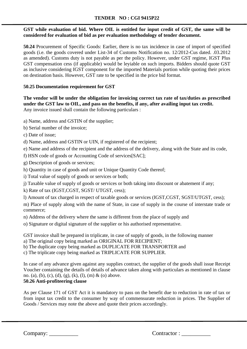# **GST while evaluation of bid. Where OIL is entitled for input credit of GST, the same will be considered for evaluation of bid as per evaluation methodology of tender document.**

**50.24** Procurement of Specific Goods: Earlier, there is no tax incidence in case of import of specified goods (i.e. the goods covered under List-34 of Customs Notification no. 12/2012-Cus dated. .03.2012 as amended). Customs duty is not payable as per the policy. However, under GST regime, IGST Plus GST compensation cess (if applicable) would be leyiable on such imports. Bidders should quote GST as inclusive considering IGST component for the imported Materials portion while quoting their prices on destination basis. However, GST rate to be specified in the price bid format.

# **50.25 Documentation requirement for GST**

**The vendor will be under the obligation for invoicing correct tax rate of tax/duties as prescribed under the GST law to OIL, and pass on the benefits, if any, after availing input tax credit.**  Any invoice issued shall contain the following particulars :

- a) Name, address and GSTIN of the supplier;
- b) Serial number of the invoice;
- c) Date of issue;
- d) Name, address and GSTIN or UIN, if registered of the recipient;
- e) Name and address of the recipient and the address of the delivery, along with the State and its code,
- f) HSN code of goods or Accounting Code of services[SAC];
- g) Description of goods or services;
- h) Quantity in case of goods and unit or Unique Quantity Code thereof;
- i) Total value of supply of goods or services or both;
- j) Taxable value of supply of goods or services or both taking into discount or abatement if any;
- k) Rate of tax (IGST,CGST, SGST/ UTGST, cess);
- l) Amount of tax charged in respect of taxable goods or services (IGST,CGST, SGST/UTGST, cess);

m) Place of supply along with the name of State, in case of supply in the course of interstate trade or commerce;

- n) Address of the delivery where the same is different from the place of supply and
- o) Signature or digital signature of the supplier or his authorised representative.

GST invoice shall be prepared in triplicate, in case of supply of goods, in the following manner a) The original copy being marked as ORIGINAL FOR RECIPIENT;

- b) The duplicate copy being marked as DUPLICATE FOR TRANSPORTER and
- c) The triplicate copy being marked as TRIPLICATE FOR SUPPLIER.

In case of any advance given against any supplies contract, the supplier of the goods shall issue Receipt Voucher containing the details of details of advance taken along with particulars as mentioned in clause no. (a), (b), (c), (d), (g), (k), (l), (m) & (o) above. **50.26 Anti-profiteering clause**

# As per Clause 171 of GST Act it is mandatory to pass on the benefit due to reduction in rate of tax or from input tax credit to the consumer by way of commensurate reduction in prices. The Supplier of Goods / Services may note the above and quote their prices accordingly.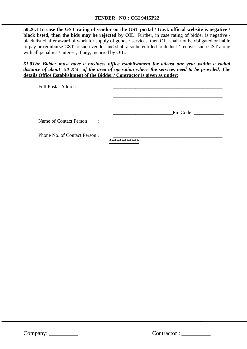**50.26.1 In case the GST rating of vendor on the GST portal / Govt. official website is negative / black listed, then the bids may be rejected by OIL.** Further, in case rating of bidder is negative / black listed after award of work for supply of goods / services, then OIL shall not be obligated or liable to pay or reimburse GST to such vendor and shall also be entitled to deduct / recover such GST along with all penalties / interest, if any, incurred by OIL.

*51.0The Bidder must have a business office establishment for atleast one year within a radial distance of about 50 KM of the area of operation where the services need to be provided.* **The details Office Establishment of the Bidder / Contractor is given as under:**

| <b>Full Postal Address</b>   |                        |              |
|------------------------------|------------------------|--------------|
|                              |                        |              |
|                              |                        |              |
|                              |                        | Pin Code:    |
| Name of Contact Person       | $\ddot{\phantom{1}}$ : |              |
| Phone No. of Contact Person: |                        |              |
|                              |                        | ************ |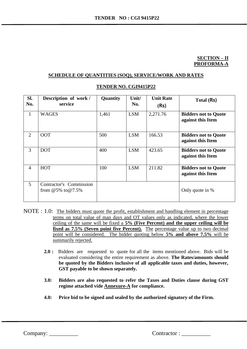#### **SECTION – II PROFORMA-A**

### **SCHEDULE OF QUANTITIES (SOQ), SERVICE/WORK AND RATES**

#### **TENDER NO. CGI9415P22**

| SI.<br>No.     | Description of work /<br>service             | Quantity | Unit/<br>No. | <b>Unit Rate</b><br>(Rs) | Total (Rs)                                       |
|----------------|----------------------------------------------|----------|--------------|--------------------------|--------------------------------------------------|
| $\mathbf{1}$   | <b>WAGES</b>                                 | 1,461    | <b>LSM</b>   | 2,271.76                 | <b>Bidders not to Quote</b><br>against this Item |
| $\overline{2}$ | <b>OOT</b>                                   | 500      | <b>LSM</b>   | 166.53                   | <b>Bidders not to Quote</b><br>against this Item |
| 3              | <b>DOT</b>                                   | 400      | <b>LSM</b>   | 423.65                   | <b>Bidders not to Quote</b><br>against this Item |
| 4              | <b>HOT</b>                                   | 100      | <b>LSM</b>   | 211.82                   | <b>Bidders not to Quote</b><br>against this Item |
| 5              | Contractor's Commission<br>from @5% to @7.5% |          |              |                          | Only quote in %                                  |

- NOTE : 1.0: The bidders must quote the profit, establishment and handling element in percentage terms on total value of man days and OT values only as indicated, where the lower ceiling of the same will be fixed a **5% (Five Percent) and the upper ceiling will be fixed as 7.5% (Seven point five Percent).** The percentage value up to two decimal point will be considered. The bidder quoting below **5% and above 7.5%** will be summarily rejected.
	- 2.0 : Bidders are requested to quote for all the items mentioned above. Bids will be evaluated considering the entire requirement as above. **The Rates/amounts should be quoted by the Bidders inclusive of all applicable taxes and duties, however, GST payable to be shown separately.**
	- **3.0: Bidders are also requested to refer the Taxes and Duties clause during GST regime attached vide Annexure-A for compliance.**
	- **4.0: Price bid to be signed and sealed by the authorized signatory of the Firm.**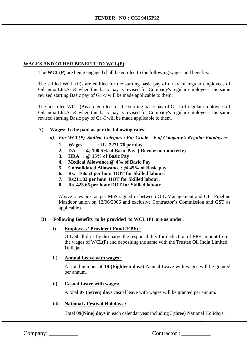### **WAGES AND OTHER BENEFIT TO WCL(P):**

The **WCL(P)** are being engaged shall be entitled to the following wages and benefits:

The skilled WCL (P)s are entitled for the starting basic pay of Gr.-V of regular employees of Oil India Ltd.As & when this basic pay is revised for Company's regular employees, the same revised starting Basic pay of Gr.-v will be made applicable to them.

The unskilled WCL (P)s are entitled for the starting basic pay of Gr.-I of regular employees of Oil India Ltd.As & when this basic pay is revised for Company's regular employees, the same revised starting Basic pay of Gr.-I will be made applicable to them.

### A) **Wages: To be paid as per the following rates:**

- *a) For WCL(P) Skilled Category : For Grade – V of Company's Regular Employees*
	- **1. Wages : Rs. 2271.76 per day**
	- **2. DA : @ 100.5% of Basic Pay ( Review on quarterly)**
	- **3. HRA : @ 15% of Basic Pay**
	- **4. Medical Allowance @ 4% of Basic Pay**
	- **5. Consolidated Allowance : @ 45% of Basic pay**
	- **6. Rs. 166.53 per hour OOT for Skilled labour.**
	- **7. Rs211.82 per hour HOT for Skilled labour.**
	- **8. Rs. 423.65 per hour DOT for Skilled labour.**

Above rates are as per MoS signed in between OIL Management and OIL Pipeline Mazdoor union on 12/06/2006 and exclusive Contractor's Commission and GST as applicable).

#### **B) Following Benefits to be provided to WCL (P) are as under:**

#### i) **Employees' Provident Fund (EPF) :**

OIL Shall directly discharge the responsibility for deduction of EPF amount from the wages of WCL(P) and depositing the same with the Trustee Oil India Limited, Duliajan.

#### ii) **Annual Leave with wages :**

A total number of **18 (Eighteen days)** Annual Leave with wages will be granted per annum.

#### **ii) Casual Leave with wages:**

A total **07 (Seven) days** casual leave with wages will be granted per annum.

# **iii) National / Festival Holidays :**

Total **09(Nine) days** in each calendar year including 3(three) National Holidays.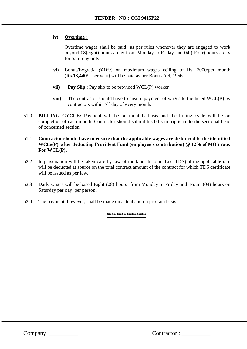# **iv) Overtime :**

Overtime wages shall be paid as per rules whenever they are engaged to work beyond 08(eight) hours a day from Monday to Friday and 04 ( Four) hours a day for Saturday only.

- vi) Bonus/Exgratia @16% on maximum wages ceiling of Rs. 7000/per month (**Rs.13,440/-** per year) will be paid as per Bonus Act, 1956.
- **vii) Pay Slip** : Pay slip to be provided WCL(P) worker
- **viii)** The contractor should have to ensure payment of wages to the listed WCL(P) by contractors within  $7<sup>th</sup>$  day of every month.
- 51.0 **BILLING CYCLE:** Payment will be on monthly basis and the billing cycle will be on completion of each month. Contractor should submit his bills in triplicate to the sectional head of concerned section.

### 51.1 **Contractor should have to ensure that the applicable wages are disbursed to the identified WCLs(P) after deducting Provident Fund (employee's contribution) @ 12% of MOS rate. For WCL(P).**

- 52.2 Impersonation will be taken care by law of the land. Income Tax (TDS) at the applicable rate will be deducted at source on the total contract amount of the contract for which TDS certificate will be issued as per law.
- 53.3 Daily wages will be based Eight (08) hours from Monday to Friday and Four (04) hours on Saturday per day per person.
- 53.4 The payment, however, shall be made on actual and on pro-rata basis.

#### **\*\*\*\*\*\*\*\*\*\*\*\*\*\*\*\***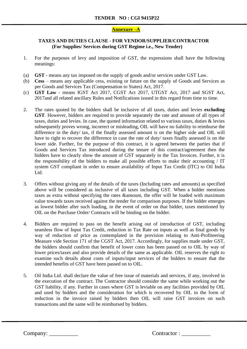# **Annexure –A**

### **TAXES AND DUTIES CLAUSE - FOR VENDOR/SUPPLIER/CONTRACTOR (For Supplies/ Services during GST Regime i.e., New Tender)**

- 1. For the purposes of levy and imposition of GST, the expressions shall have the following meanings:
- (a) **GST** means any tax imposed on the supply of goods and/or services under GST Law.
- (b) **Cess** means any applicable cess, existing or future on the supply of Goods and Services as per Goods and Services Tax (Compensation to States) Act, 2017.
- (c) **GST Law** means IGST Act 2017, CGST Act 2017, UTGST Act, 2017 and SGST Act, 2017and all related ancillary Rules and Notifications issued in this regard from time to time.
- 2. The rates quoted by the bidders shall be inclusive of all taxes, duties and levies **excluding GST**. However, bidders are required to provide separately the rate and amount of all types of taxes, duties and levies. In case, the quoted information related to various taxes, duties & levies subsequently proves wrong, incorrect or misleading, OIL will have no liability to reimburse the difference in the duty/ tax, if the finally assessed amount is on the higher side and OIL will have to right to recover the difference in case the rate of duty/ taxes finally assessed is on the lower side. Further, for the purpose of this contract, it is agreed between the parties that if Goods and Services Tax introduced during the tenure of this contract/agreement then the bidders have to clearly show the amount of GST separately in the Tax Invoices. Further, it is the responsibility of the bidders to make all possible efforts to make their accounting / IT system GST compliant in order to ensure availability of Input Tax Credit (ITC) to Oil India Ltd.
- 3. Offers without giving any of the details of the taxes (Including rates and amounts) as specified above will be considered as inclusive of all taxes including GST. When a bidder mentions taxes as extra without specifying the rates &amount, the offer will be loaded with maximum value towards taxes received against the tender for comparison purposes. If the bidder emerges as lowest bidder after such loading, in the event of order on that bidder, taxes mentioned by OIL on the Purchase Order/ Contracts will be binding on the bidder.
- 4. Bidders are required to pass on the benefit arising out of introduction of GST, including seamless flow of Input Tax Credit, reduction in Tax Rate on inputs as well as final goods by way of reduction of price as contemplated in the provision relating to Anti-Profiteering Measure vide Section 171 of the CGST Act, 2017. Accordingly, for supplies made under GST, the bidders should confirm that benefit of lower costs has been passed on to OIL by way of lower prices/taxes and also provide details of the same as applicable. OIL reserves the right to examine such details about costs of inputs/input services of the bidders to ensure that the intended benefits of GST have been passed on to OIL.
- 5. Oil India Ltd. shall declare the value of free issue of materials and services, if any, involved in the execution of the contract. The Contractor should consider the same while working out the GST liability, if any. Further in cases where GST is leviable on any facilities provided by OIL and used by bidders and the consideration for which is recovered by OIL in the form of reduction in the invoice raised by bidders then OIL will raise GST invoices on such transactions and the same will be reimbursed by bidders.

 $Comparly:$ 

| Contractor: |  |
|-------------|--|
|             |  |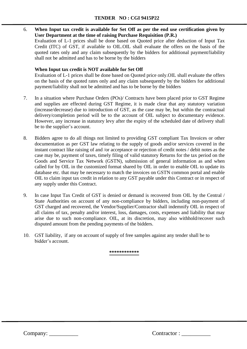6. **When Input tax credit is available for Set Off as per the end use certification given by User Department at the time of raising Purchase Requisition (P.R.)**

Evaluation of L-1 prices shall be done based on Quoted price after deduction of Input Tax Credit (ITC) of GST, if available to OIL.OIL shall evaluate the offers on the basis of the quoted rates only and any claim subsequently by the bidders for additional payment/liability shall not be admitted and has to be borne by the bidders

## **When Input tax credit is NOT available for Set Off**

Evaluation of L-1 prices shall be done based on Quoted price only.OIL shall evaluate the offers on the basis of the quoted rates only and any claim subsequently by the bidders for additional payment/liability shall not be admitted and has to be borne by the bidders

- 7. In a situation where Purchase Orders (POs)/ Contracts have been placed prior to GST Regime and supplies are effected during GST Regime, it is made clear that any statutory variation (increase/decrease) due to introduction of GST, as the case may be, but within the contractual delivery/completion period will be to the account of OIL subject to documentary evidence. However, any increase in statutory levy after the expiry of the scheduled date of delivery shall be to the supplier's account.
- 8. Bidders agree to do all things not limited to providing GST compliant Tax Invoices or other documentation as per GST law relating to the supply of goods and/or services covered in the instant contract like raising of and /or acceptance or rejection of credit notes / debit notes as the case may be, payment of taxes, timely filing of valid statutory Returns for the tax period on the Goods and Service Tax Network (GSTN), submission of general information as and when called for by OIL in the customized format shared by OIL in order to enable OIL to update its database etc. that may be necessary to match the invoices on GSTN common portal and enable OIL to claim input tax credit in relation to any GST payable under this Contract or in respect of any supply under this Contract.
- 9. In case Input Tax Credit of GST is denied or demand is recovered from OIL by the Central / State Authorities on account of any non-compliance by bidders, including non-payment of GST charged and recovered, the Vendor/Supplier/Contractor shall indemnify OIL in respect of all claims of tax, penalty and/or interest, loss, damages, costs, expenses and liability that may arise due to such non-compliance. OIL, at its discretion, may also withhold/recover such disputed amount from the pending payments of the bidders.
- 10. GST liability, if any on account of supply of free samples against any tender shall be to bidder's account.

#### **\*\*\*\*\*\*\*\*\*\*\*\***

Company: \_\_\_\_\_\_\_\_\_\_ Contractor : \_\_\_\_\_\_\_\_\_\_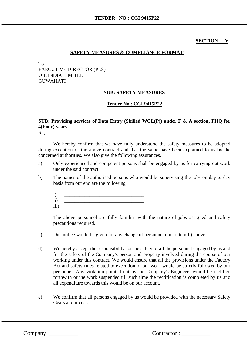## **SECTION – IV**

## **SAFETY MEASURES & COMPLIANCE FORMAT**

To

 EXECUTIVE DIRECTOR (PLS) OIL INDIA LIMITED GUWAHATI

#### **SUB: SAFETY MEASURES**

## **Tender No : CGI 9415P22**

# **SUB: Providing services of Data Entry (Skilled WCL(P)) under F & A section, PHQ for 4(Four) years**

Sir,

We hereby confirm that we have fully understood the safety measures to be adopted during execution of the above contract and that the same have been explained to us by the concerned authorities. We also give the following assurances.

- a) Only experienced and competent persons shall be engaged by us for carrying out work under the said contract.
- b) The names of the authorised persons who would be supervising the jobs on day to day basis from our end are the following
	- $i)$   $\qquad \qquad$  $ii)$
	- iii) \_\_\_\_\_\_\_\_\_\_\_\_\_\_\_\_\_\_\_\_\_\_\_\_\_\_\_\_\_\_\_\_

The above personnel are fully familiar with the nature of jobs assigned and safety precautions required.

- c) Due notice would be given for any change of personnel under item(b) above.
- d) We hereby accept the responsibility for the safety of all the personnel engaged by us and for the safety of the Company's person and property involved during the course of our working under this contract. We would ensure that all the provisions under the Factory Act and safety rules related to execution of our work would be strictly followed by our personnel. Any violation pointed out by the Company's Engineers would be rectified forthwith or the work suspended till such time the rectification is completed by us and all expenditure towards this would be on our account.
- e) We confirm that all persons engaged by us would be provided with the necessary Safety Gears at our cost.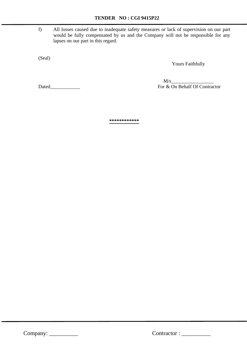f) All losses caused due to inadequate safety measures or lack of supervision on our part would be fully compensated by us and the Company will not be responsible for any lapses on our part in this regard.

(Seal)

Yours Faithfully

 $M/s$ Dated<br>Dated<br>Tor & On Behalf Of Contractor

**\*\*\*\*\*\*\*\*\*\*\*\***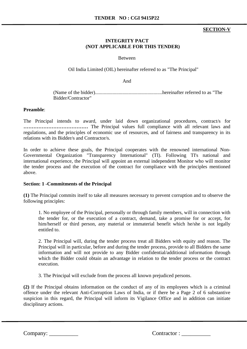## **SECTION-V**

## **INTEGRITY PACT (NOT APPLICABLE FOR THIS TENDER)**

Between

Oil India Limited (OIL) hereinafter referred to as "The Principal"

And

(Name of the bidder)......................................................hereinafter referred to as "The Bidder/Contractor"

#### **Preamble**:

The Principal intends to award, under laid down organizational procedures, contract/s for **…………………………………** The Principal values full compliance with all relevant laws and regulations, and the principles of economic use of resources, and of fairness and transparency in its relations with its Bidder/s and Contractor/s.

In order to achieve these goals, the Principal cooperates with the renowned international Non-Governmental Organization "Transparency International" (TI). Following TI's national and international experience, the Principal will appoint an external independent Monitor who will monitor the tender process and the execution of the contract for compliance with the principles mentioned above.

### **Section: 1 -Commitments of the Principal**

**(1)** The Principal commits itself to take all measures necessary to prevent corruption and to observe the following principles:

1. No employee of the Principal, personally or through family members, will in connection with the tender for, or the execution of a contract, demand, take a promise for or accept, for him/herself or third person, any material or immaterial benefit which he/she is not legally entitled to.

2. The Principal will, during the tender process treat all Bidders with equity and reason. The Principal will in particular, before and during the tender process, provide to all Bidders the same information and will not provide to any Bidder confidential/additional information through which the Bidder could obtain an advantage in relation to the tender process or the contract execution.

3. The Principal will exclude from the process all known prejudiced persons.

**(2)** If the Principal obtains information on the conduct of any of its employees which is a criminal offence under the relevant Anti-Corruption Laws of India, or if there be a Page 2 of 6 substantive suspicion in this regard, the Principal will inform its Vigilance Office and in addition can initiate disciplinary actions.

Company:

| Contractor: |  |
|-------------|--|
|-------------|--|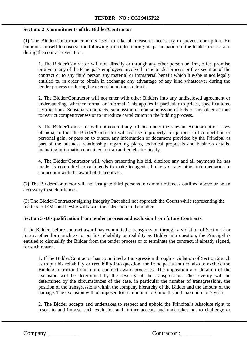## **Section: 2 -Commitments of the Bidder/Contractor**

**(1)** The Bidder/Contractor commits itself to take all measures necessary to prevent corruption. He commits himself to observe the following principles during his participation in the tender process and during the contract execution.

1. The Bidder/Contractor will not, directly or through any other person or firm, offer, promise or give to any of the Principal's employees involved in the tender process or the execution of the contract or to any third person any material or immaterial benefit which h e/she is not legally entitled to, in order to obtain in exchange any advantage of any kind whatsoever during the tender process or during the execution of the contract.

2. The Bidder/Contractor will not enter with other Bidders into any undisclosed agreement or understanding, whether formal or informal. This applies in particular to prices, specifications, certifications, Subsidiary contracts, submission or non-submission of bids or any other actions to restrict competitiveness or to introduce cartelization in the bidding process.

3. The Bidder/Contractor will not commit any offence under the relevant Anticorruption Laws of India; further the Bidder/Contractor will not use improperly, for purposes of competition or personal gain, or pass on to others, any information or document provided by the Principal as part of the business relationship, regarding plans, technical proposals and business details, including information contained or transmitted electronically.

4. The Bidder/Contractor will, when presenting his bid, disclose any and all payments he has made, is committed to or intends to make to agents, brokers or any other intermediaries in connection with the award of the contract.

**(2)** The Bidder/Contractor will not instigate third persons to commit offences outlined above or be an accessory to such offences.

(3) The Bidder/Contractor signing Integrity Pact shall not approach the Courts while representing the matters to IEMs and he/she will await their decision in the matter.

## **Section 3 -Disqualification from tender process and exclusion from future Contracts**

If the Bidder, before contract award has committed a transgression through a violation of Section 2 or in any other form such as to put his reliability or risibility as Bidder into question, the Principal is entitled to disqualify the Bidder from the tender process or to terminate the contract, if already signed, for such reason.

1. If the Bidder/Contractor has committed a transgression through a violation of Section 2 such as to put his reliability or credibility into question, the Principal is entitled also to exclude the Bidder/Contractor from future contract award processes. The imposition and duration of the exclusion will be determined by the severity of the transgression. The severity will be determined by the circumstances of the case, in particular the number of transgressions, the position of the transgressions within the company hierarchy of the Bidder and the amount of the damage. The exclusion will be imposed for a minimum of 6 months and maximum of 3 years.

2. The Bidder accepts and undertakes to respect and uphold the Principal's Absolute right to resort to and impose such exclusion and further accepts and undertakes not to challenge or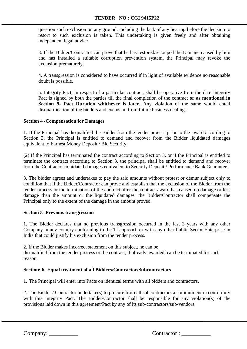question such exclusion on any ground, including the lack of any hearing before the decision to resort to such exclusion is taken. This undertaking is given freely and after obtaining independent legal advice.

3. If the Bidder/Contractor can prove that he has restored/recouped the Damage caused by him and has installed a suitable corruption prevention system, the Principal may revoke the exclusion prematurely.

4. A transgression is considered to have occurred if in light of available evidence no reasonable doubt is possible.

5. Integrity Pact, in respect of a particular contract, shall be operative from the date Integrity Pact is signed by both the parties till the final completion of the contract **or as mentioned in Section 9- Pact Duration whichever is later**. Any violation of the same would entail disqualification of the bidders and exclusion from future business dealings

## **Section 4 -Compensation for Damages**

1. If the Principal has disqualified the Bidder from the tender process prior to the award according to Section 3, the Principal is entitled to demand and recover from the Bidder liquidated damages equivalent to Earnest Money Deposit / Bid Security.

(2) If the Principal has terminated the contract according to Section 3, or if the Principal is entitled to terminate the contract according to Section 3, the principal shall be entitled to demand and recover from the Contractor liquidated damages equivalent to Security Deposit / Performance Bank Guarantee.

3. The bidder agrees and undertakes to pay the said amounts without protest or demur subject only to condition that if the Bidder/Contractor can prove and establish that the exclusion of the Bidder from the tender process or the termination of the contract after the contract award has caused no damage or less damage than the amount or the liquidated damages, the Bidder/Contractor shall compensate the Principal only to the extent of the damage in the amount proved.

### **Section 5 -Previous transgression**

1. The Bidder declares that no previous transgression occurred in the last 3 years with any other Company in any country conforming to the TI approach or with any other Public Sector Enterprise in India that could justify his exclusion from the tender process.

2. If the Bidder makes incorrect statement on this subject, he can be disqualified from the tender process or the contract, if already awarded, can be terminated for such reason.

## **Section: 6 -Equal treatment of all Bidders/Contractor/Subcontractors**

1. The Principal will enter into Pacts on identical terms with all bidders and contractors.

2. The Bidder / Contractor undertake(s) to procure from all subcontractors a commitment in conformity with this Integrity Pact. The Bidder/Contractor shall be responsible for any violation(s) of the provisions laid down in this agreement/Pact by any of its sub-contractors/sub-vendors.

 $Comparly: \_\_$ 

| Contractor: |  |  |
|-------------|--|--|
|-------------|--|--|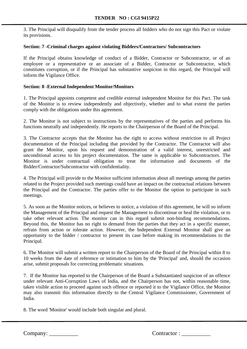3. The Principal will disqualify from the tender process all bidders who do not sign this Pact or violate its provisions.

## **Section: 7 -Criminal charges against violating Bidders/Contractors/ Subcontractors**

If the Principal obtains knowledge of conduct of a Bidder, Contractor or Subcontractor, or of an employee or a representative or an associate of a Bidder, Contractor or Subcontractor, which constitutes corruption, or if the Principal has substantive suspicion in this regard, the Principal will inform the Vigilance Office.

## **Section: 8 -External Independent Monitor/Monitors**

1. The Principal appoints competent and credible external independent Monitor for this Pact. The task of the Monitor is to review independently and objectively, whether and to what extent the parties comply with the obligations under this agreement.

2. The Monitor is not subject to instructions by the representatives of the parties and performs his functions neutrally and independently. He reports to the Chairperson of the Board of the Principal.

3. The Contractor accepts that the Monitor has the right to access without restriction to all Project documentation of the Principal including that provided by the Contractor. The Contractor will also grant the Monitor, upon his request and demonstration of a valid interest, unrestricted and unconditional access to his project documentation. The same is applicable to Subcontractors. The Monitor is under contractual obligation to treat the information and documents of the Bidder/Contractor/Subcontractor with confidentiality.

4. The Principal will provide to the Monitor sufficient information about all meetings among the parties related to the Project provided such meetings could have an impact on the contractual relations between the Principal and the Contractor. The parties offer to the Monitor the option to participate in such meetings.

5. As soon as the Monitor notices, or believes to notice, a violation of this agreement, he will so inform the Management of the Principal and request the Management to discontinue or heal the violation, or to take other relevant action. The monitor can in this regard submit non-binding recommendations. Beyond this, the Monitor has no right to demand from the parties that they act in a specific manner, refrain from action or tolerate action. However, the Independent External Monitor shall give an opportunity to the bidder / contractor to present its case before making its recommendations to the Principal.

6. The Monitor will submit a written report to the Chairperson of the Board of the Principal within 8 to 10 weeks from the date of reference or intimation to him by the 'Principal' and, should the occasion arise, submit proposals for correcting problematic situations.

7. If the Monitor has reported to the Chairperson of the Board a Substantiated suspicion of an offence under relevant Anti-Corruption Laws of India, and the Chairperson has not, within reasonable time, taken visible action to proceed against such offence or reported it to the Vigilance Office, the Monitor may also transmit this information directly to the Central Vigilance Commissioner, Government of India.

8. The word 'Monitor' would include both singular and plural.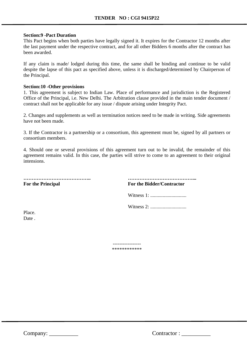#### **Section:9 -Pact Duration**

This Pact begins when both parties have legally signed it. It expires for the Contractor 12 months after the last payment under the respective contract, and for all other Bidders 6 months after the contract has been awarded.

If any claim is made/ lodged during this time, the same shall be binding and continue to be valid despite the lapse of this pact as specified above, unless it is discharged/determined by Chairperson of the Principal.

#### **Section:10 -Other provisions**

1. This agreement is subject to Indian Law. Place of performance and jurisdiction is the Registered Office of the Principal, i.e. New Delhi. The Arbitration clause provided in the main tender document / contract shall not be applicable for any issue / dispute arising under Integrity Pact.

2. Changes and supplements as well as termination notices need to be made in writing. Side agreements have not been made.

3. If the Contractor is a partnership or a consortium, this agreement must be, signed by all partners or consortium members.

4. Should one or several provisions of this agreement turn out to be invalid, the remainder of this agreement remains valid. In this case, the parties will strive to come to an agreement to their original intensions.

**For the Principal For the Bidder/Contractor**

**………………………………….. …………………………………...**

Witness 1: .............................

Witness 2: .............................

Place. Date .

> ----------------- \*\*\*\*\*\*\*\*\*\*\*\*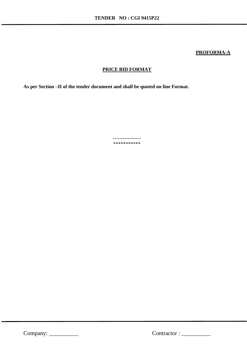## **PROFORMA-A**

## **PRICE BID FORMAT**

**As per Section –II of the tender document and shall be quoted on line Format.** 

----------------- \*\*\*\*\*\*\*\*\*\*\*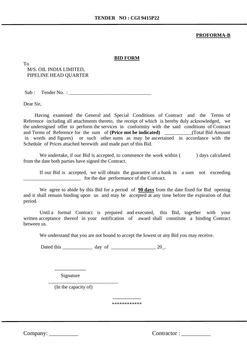#### **PROFORMA-B**

#### **BID FORM**

To M/S. OIL INDIA LIMITED, PIPELINE HEAD QUARTER

Sub : Tender No. : \_\_\_\_\_\_\_\_\_\_\_\_\_\_\_\_\_\_\_\_\_\_\_\_\_\_\_\_\_\_\_\_\_

Dear Sir,

Having examined the General and Special Conditions of Contract and the Terms of Reference including all attachments thereto, the receipt of which is hereby duly acknowledged, we the undersigned offer to perform the services in conformity with the said conditions of Contract and Terms of Reference for the sum of **(Price not be indicated)** \_\_\_\_\_\_\_\_\_\_\_(Total Bid Amount in words and figures) or such other sums as may be ascertained in accordance with the Schedule of Prices attached herewith and made part of this Bid.

We undertake, if our Bid is accepted, to commence the work within () days calculated from the date both parties have signed the Contract.

 If our Bid is accepted, we will obtain the guarantee of a bank in a sum not exceeding for the due performance of the Contract.

 We agree to abide by this Bid for a period of **90 days** from the date fixed for Bid opening and it shall remain binding upon us and may be accepted at any time before the expiration of that period.

 Until a formal Contract is prepared and executed, this Bid, together with your written acceptance thereof in your notification of award shall constitute a binding Contract between us.

We understand that you are not bound to accept the lowest or any Bid you may receive.

Dated this \_\_\_\_\_\_\_\_\_\_\_\_ day of \_\_\_\_\_\_\_\_\_\_\_\_\_\_\_\_\_\_ 20\_.

 Signature  $\frac{1}{2}$  ,  $\frac{1}{2}$  ,  $\frac{1}{2}$  ,  $\frac{1}{2}$  ,  $\frac{1}{2}$  ,  $\frac{1}{2}$  ,  $\frac{1}{2}$  ,  $\frac{1}{2}$  ,  $\frac{1}{2}$  ,  $\frac{1}{2}$  ,  $\frac{1}{2}$  ,  $\frac{1}{2}$  ,  $\frac{1}{2}$  ,  $\frac{1}{2}$  ,  $\frac{1}{2}$  ,  $\frac{1}{2}$  ,  $\frac{1}{2}$  ,  $\frac{1}{2}$  ,  $\frac{1$ 

(In the capacity of)

----------------- \*\*\*\*\*\*\*\*\*\*\*\*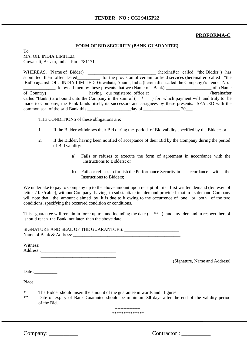### **PROFORMA-C**

#### **FORM OF BID SECURITY (BANK GUARANTEE)**

To M/s. OIL INDIA LIMITED, Guwahati, Assam, India, Pin - 781171.

WHEREAS, (Name of Bidder) \_\_\_\_\_\_\_\_\_\_\_\_\_\_\_\_\_\_\_\_\_\_\_\_\_\_\_\_(hereinafter called "the Bidder") has submitted their offer Dated\_\_\_\_\_\_\_\_\_\_ for the provision of certain oilfield services (hereinafter called "the Bid") against OIL INDIA LIMITED, Guwahati, Assam, India (hereinafter called the Company)'s tender No. : know all men by these presents that we (Name of Bank) of (Name of Country) having our registered office at (hereinafter called "Bank") are bound unto the Company in the sum of (<sup>\*</sup> ) for which payment will and truly to be made to Company, the Bank binds itself, its successors and assignees by these presents. SEALED with the common seal of the said Bank this  $\frac{1}{20}$  day of  $\frac{1}{20}$ .

THE CONDITIONS of these obligations are:

- 1. If the Bidder withdraws their Bid during the period of Bid validity specified by the Bidder; or
- 2. If the Bidder, having been notified of acceptance of their Bid by the Company during the period of Bid validity:
	- a) Fails or refuses to execute the form of agreement in accordance with the Instructions to Bidders; or
	- b) Fails or refuses to furnish the Performance Security in accordance with the Instructions to Bidders;

We undertake to pay to Company up to the above amount upon receipt of its first written demand (by way of letter / fax/cable), without Company having to substantiate its demand provided that in its demand Company will note that the amount claimed by it is due to it owing to the occurrence of one or both of the two conditions, specifying the occurred condition or conditions.

This guarantee will remain in force up to and including the date ( $**$ ) and any demand in respect thereof should reach the Bank not later than the above date.

SIGNATURE AND SEAL OF THE GUARANTORS: Name of Bank & Address:

Witness: \_\_\_\_\_\_\_\_\_\_\_\_\_\_\_\_\_\_\_\_\_\_\_\_\_\_\_\_\_\_\_\_ Address : \_\_\_\_\_\_\_\_\_\_\_\_\_\_\_\_\_\_\_\_\_\_\_\_\_\_\_\_\_\_\_\_\_

(Signature, Name and Address)

Date :\_\_\_\_\_\_\_\_\_\_

Place :

- \* The Bidder should insert the amount of the guarantee in words and figures.
- \*\* Date of expiry of Bank Guarantee should be minimum **30** days after the end of the validity period of the Bid.

----------------- \*\*\*\*\*\*\*\*\*\*\*\*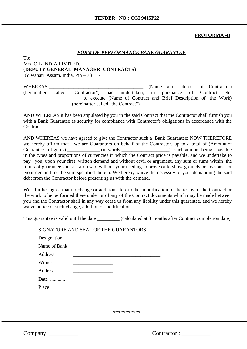#### **PROFORMA -D**

#### *FORM OF PERFORMANCE BANK GUARANTEE*

### To: M/s. OIL INDIA LIMITED, (**DEPUTY GENERAL MANAGER -CONTRACTS**) Guwahati Assam, India, Pin – 781 171

WHEREAS WHEREAS (Name and address of Contractor) (hereinafter called "Contractor") had undertaken, in pursuance of Contract No. \_\_\_\_\_\_\_\_\_\_\_\_\_\_\_\_\_\_\_\_\_\_\_ to execute (Name of Contract and Brief Description of the Work) \_\_\_\_\_\_\_\_\_\_\_\_\_\_\_\_\_\_\_ (hereinafter called "the Contract").

AND WHEREAS it has been stipulated by you in the said Contract that the Contractor shall furnish you with a Bank Guarantee as security for compliance with Contractor's obligations in accordance with the Contract.

AND WHEREAS we have agreed to give the Contractor such a Bank Guarantee; NOW THEREFORE we hereby affirm that we are Guarantors on behalf of the Contractor, up to a total of (Amount of Guarantee in figures)  $\qquad \qquad$  (in words  $\qquad \qquad$ ), such amount being payable in the types and proportions of currencies in which the Contract price is payable, and we undertake to pay you, upon your first written demand and without cavil or argument, any sum or sums within the limits of guarantee sum as aforesaid without your needing to prove or to show grounds or reasons for your demand for the sum specified therein. We hereby waive the necessity of your demanding the said debt from the Contractor before presenting us with the demand.

We further agree that no change or addition to or other modification of the terms of the Contract or the work to be performed there under or of any of the Contract documents which may be made between you and the Contractor shall in any way cease us from any liability under this guarantee, and we hereby waive notice of such change, addition or modification.

This guarantee is valid until the date \_\_\_\_\_\_\_\_\_ (calculated at **3** months after Contract completion date).

|                                                             | SIGNATURE AND SEAL OF THE GUARANTORS                                                                                |
|-------------------------------------------------------------|---------------------------------------------------------------------------------------------------------------------|
| Designation                                                 |                                                                                                                     |
| Name of Bank                                                |                                                                                                                     |
| Address                                                     | <u> 1989 - Johann John Stoff, deutscher Stoffen und der Stoffen und der Stoffen und der Stoffen und der Stoffen</u> |
| Witness                                                     |                                                                                                                     |
| Address<br>the control of the control of the control of the |                                                                                                                     |
|                                                             |                                                                                                                     |
| Place                                                       |                                                                                                                     |
|                                                             |                                                                                                                     |
|                                                             |                                                                                                                     |
|                                                             | ***********                                                                                                         |
|                                                             |                                                                                                                     |

Company: \_\_\_\_\_\_\_\_\_\_\_\_

| Contractor : |
|--------------|
|              |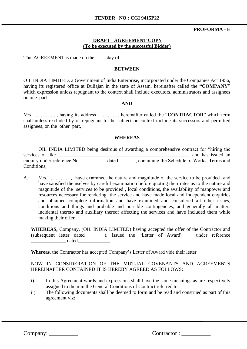## **PROFORMA - E**

## **DRAFT AGREEMENT COPY (To be executed by the successful Bidder)**

This AGREEMENT is made on the ….. day of ……..

#### **BETWEEN**

OIL INDIA LIMITED, a Government of India Enterprise, incorporated under the Companies Act 1956, having its registered office at Duliajan in the state of Assam, hereinafter called the **"COMPANY"** which expression unless repugnant to the context shall include executors, administrators and assignees on one part

#### **AND**

M/s. ………….., having its address ………… hereinafter called the "**CONTRACTOR**" which term shall unless excluded by or repugnant to the subject or context include its successors and permitted assignees, on the other part,

#### **WHEREAS**

OIL INDIA LIMITED being desirous of awarding a comprehensive contract for "hiring the services of like and has issued and has issued and has issued and has issued and has issued and has issued and has issued and has issued and has issued and has issued and has issued and has issued and has issued and has is enquiry under reference No…………….. dated ……….. containing the Schedule of Works, Terms and Conditions,

A. M/s. ………… , have examined the nature and magnitude of the service to be provided and have satisfied themselves by careful examination before quoting their rates as to the nature and magnitude of the services to be provided , local conditions, the availability of manpower and resources necessary for rendering the service and have made local and independent enquiries and obtained complete information and have examined and considered all other issues, conditions and things and probable and possible contingencies, and generally all matters incidental thereto and auxiliary thereof affecting the services and have included them while making their offer.

**WHEREAS,** Company, (OIL INDIA LIMITED) having accepted the offer of the Contractor and (subsequent letter dated\_\_\_\_\_\_\_\_), issued the "Letter of Award" under reference \_\_\_\_\_\_\_\_\_\_\_\_\_\_ dated\_\_\_\_\_\_\_\_\_\_\_\_\_.

Whereas, the Contractor has accepted Company's Letter of Award vide their letter

NOW IN CONSIDERATION OF THE MUTUAL COVENANTS AND AGREEMENTS HEREINAFTER CONTAINED IT IS HEREBY AGREED AS FOLLOWS:

- i) In this Agreement words and expressions shall have the same meanings as are respectively assigned to them in the General Conditions of Contract referred to.
- ii) The following documents shall be deemed to form and be read and construed as part of this agreement viz: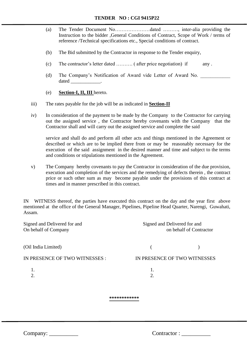- (a) The Tender Document No…………………dated ………, inter-alia providing the Instruction to the bidder ,General Conditions of Contract, Scope of Work / terms of reference /Technical specifications etc., Special conditions of contract.
- (b) The Bid submitted by the Contractor in response to the Tender enquiry,
- (c) The contractor's letter dated .......... (after price negotiation) if any .
- (d) The Company's Notification of Award vide Letter of Award No. dated in the control of the control of the control of the control of the control of the control of the control of the control of the control of the control of the control of the control of the control of the control of the
- (e) **Section-I, II, III** hereto.
- iii) The rates payable for the job will be as indicated in **Section-II**
- iv) In consideration of the payment to be made by the Company to the Contractor for carrying out the assigned service , the Contractor hereby covenants with the Company that the Contractor shall and will carry out the assigned service and complete the said

service and shall do and perform all other acts and things mentioned in the Agreement or described or which are to be implied there from or may be reasonably necessary for the execution of the said assignment in the desired manner and time and subject to the terms and conditions or stipulations mentioned in the Agreement.

v) The Company hereby covenants to pay the Contractor in consideration of the due provision, execution and completion of the services and the remedying of defects therein , the contract price or such other sum as may become payable under the provisions of this contract at times and in manner prescribed in this contract.

IN WITNESS thereof, the parties have executed this contract on the day and the year first above mentioned at the office of the General Manager, Pipelines, Pipeline Head Quarter, Narengi, Guwahati, Assam.

| Signed and Delivered for and<br>On behalf of Company | Signed and Delivered for and<br>on behalf of Contractor |  |
|------------------------------------------------------|---------------------------------------------------------|--|
| (Oil India Limited)                                  |                                                         |  |
| IN PRESENCE OF TWO WITNESSES :                       | IN PRESENCE OF TWO WITNESSES                            |  |
| 2.                                                   | 2.                                                      |  |
|                                                      | ************                                            |  |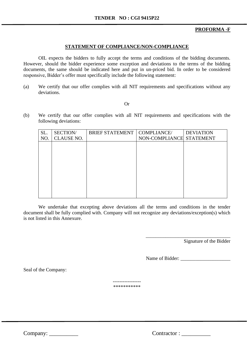## **PROFORMA -F**

#### **STATEMENT OF COMPLIANCE/NON-COMPLIANCE**

OIL expects the bidders to fully accept the terms and conditions of the bidding documents. However, should the bidder experience some exception and deviations to the terms of the bidding documents, the same should be indicated here and put in un-priced bid. In order to be considered responsive, Bidder's offer must specifically include the following statement:

(a) We certify that our offer complies with all NIT requirements and specifications without any deviations.

#### Or

(b) We certify that our offer complies with all NIT requirements and specifications with the following deviations:

| SL. | SECTION/   | <b>BRIEF STATEMENT</b> | COMPLIANCE/              | <b>DEVIATION</b> |
|-----|------------|------------------------|--------------------------|------------------|
| NO. | CLAUSE NO. |                        | NON-COMPLIANCE STATEMENT |                  |
|     |            |                        |                          |                  |
|     |            |                        |                          |                  |
|     |            |                        |                          |                  |
|     |            |                        |                          |                  |
|     |            |                        |                          |                  |
|     |            |                        |                          |                  |
|     |            |                        |                          |                  |
|     |            |                        |                          |                  |
|     |            |                        |                          |                  |
|     |            |                        |                          |                  |

We undertake that excepting above deviations all the terms and conditions in the tender document shall be fully complied with. Company will not recognize any deviations/exception(s) which is not listed in this Annexure.

Signature of the Bidder

Name of Bidder: \_\_\_\_\_\_\_\_\_\_\_\_\_\_\_\_\_\_\_\_

\_\_\_\_\_\_\_\_\_\_\_\_\_\_\_\_\_\_\_\_\_\_\_\_\_\_\_\_\_\_\_\_\_\_

Seal of the Company:

----------------- \*\*\*\*\*\*\*\*\*\*\*

| Contractor: |  |  |
|-------------|--|--|
|-------------|--|--|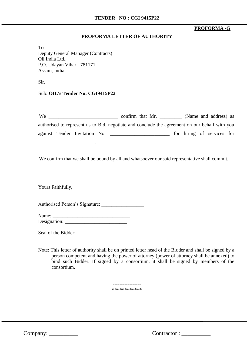## **PROFORMA -G**

## **PROFORMA LETTER OF AUTHORITY**

To Deputy General Manager (Contracts) Oil India Ltd., P.O. Udayan Vihar - 781171 Assam, India

Sir,

Sub: **OIL's Tender No: CGI9415P22**

\_\_\_\_\_\_\_\_\_\_\_\_\_\_\_\_\_\_\_\_\_\_\_.

| We |                               |                                                                                                | confirm that Mr. |  |  | (Name and address) as      |  |
|----|-------------------------------|------------------------------------------------------------------------------------------------|------------------|--|--|----------------------------|--|
|    |                               | authorised to represent us to Bid, negotiate and conclude the agreement on our behalf with you |                  |  |  |                            |  |
|    | against Tender Invitation No. |                                                                                                |                  |  |  | for hiring of services for |  |

We confirm that we shall be bound by all and whatsoever our said representative shall commit.

Yours Faithfully,

Authorised Person's Signature:

Name: \_\_\_\_\_\_\_\_\_\_\_\_\_\_\_\_\_\_\_\_\_\_\_\_\_\_\_\_\_\_\_ Designation: \_\_\_\_\_\_\_\_\_\_\_\_\_\_\_\_\_\_\_\_\_\_\_\_\_

Seal of the Bidder:

Note: This letter of authority shall be on printed letter head of the Bidder and shall be signed by a person competent and having the power of attorney (power of attorney shall be annexed) to bind such Bidder. If signed by a consortium, it shall be signed by members of the consortium.

> ----------------- \*\*\*\*\*\*\*\*\*\*\*\*

Company: \_\_\_\_\_\_\_\_\_\_ Contractor : \_\_\_\_\_\_\_\_\_\_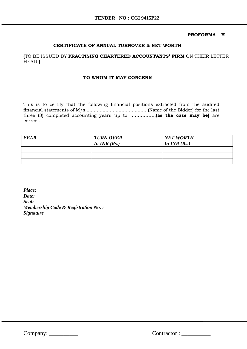### **PROFORMA – H**

#### **CERTIFICATE OF ANNUAL TURNOVER & NET WORTH**

### **(**TO BE ISSUED BY **PRACTISING CHARTERED ACCOUNTANTS' FIRM** ON THEIR LETTER HEAD **)**

#### **TO WHOM IT MAY CONCERN**

This is to certify that the following financial positions extracted from the audited financial statements of M/s.......................................... (Name of the Bidder) for the last three (3) completed accounting years up to ……………..**(as the case may be)** are correct.

| <b>YEAR</b> | <b>TURN OVER</b><br>In $INR(Rs.)$ | <b>NET WORTH</b><br>In $INR(Rs.)$ |
|-------------|-----------------------------------|-----------------------------------|
|             |                                   |                                   |
|             |                                   |                                   |
|             |                                   |                                   |

*Place: Date: Seal: Membership Code & Registration No. : Signature*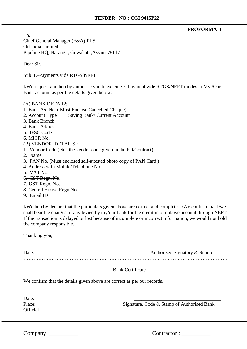## **PROFORMA -I**

To, Chief General Manager (F&A)-PLS Oil India Limited Pipeline HQ, Narangi , Guwahati ,Assam-781171

Dear Sir,

Sub: E–Payments vide RTGS/NEFT

I/We request and hereby authorise you to execute E-Payment vide RTGS/NEFT modes to My /Our Bank account as per the details given below:

## (A) BANK DETAILS

- 1. Bank A/c No. ( Must Enclose Cancelled Cheque)
- 2. Account Type Saving Bank/ Current Account
- 3. Bank Branch
- 4. Bank Address
- 5. IFSC Code
- 6. MICR No.
- (B) VENDOR DETAILS :
- 1. Vendor Code ( See the vendor code given in the PO/Contract)
- 2. Name
- 3. PAN No. (Must enclosed self-attested photo copy of PAN Card )
- 4. Address with Mobile/Telephone No.
- 5. VAT No.
- 6. CST Regn. No.
- 7. **GST** Regn. No.
- 8. Central Excise Regn.No.
- 9. Email ID

I/We hereby declare that the particulars given above are correct and complete. I/We confirm that I/we shall bear the charges, if any levied by my/our bank for the credit in our above account through NEFT. If the transaction is delayed or lost because of incomplete or incorrect information, we would not hold the company responsible.

Thanking you,

 \_\_\_\_\_\_\_\_\_\_\_\_\_\_\_\_\_\_\_\_\_\_\_\_\_\_\_ Date: Authorised Signatory & Stamp

### Bank Certificate

We confirm that the details given above are correct as per our records.

Date: **Official** 

Place: Signature, Code & Stamp of Authorised Bank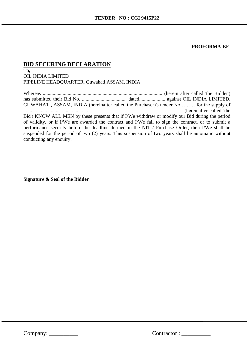## **PROFORMA-EE**

# **BID SECURING DECLARATION**

## To, OIL INDIA LIMITED PIPELINE HEADQUARTER, Guwahati,ASSAM, INDIA

Whereas ................................................................................................ (herein after called 'the Bidder') has submitted their Bid No. .................................... dated..................... against OIL INDIA LIMITED, GUWAHATI, ASSAM, INDIA (hereinafter called the Purchaser)'s tender No……… for the supply of ................................................................................…............................................ (hereinafter called 'the Bid') KNOW ALL MEN by these presents that if I/We withdraw or modify our Bid during the period of validity, or if I/We are awarded the contract and I/We fail to sign the contract, or to submit a performance security before the deadline defined in the NIT / Purchase Order, then I/We shall be suspended for the period of two (2) years. This suspension of two years shall be automatic without conducting any enquiry.

**Signature & Seal of the Bidder**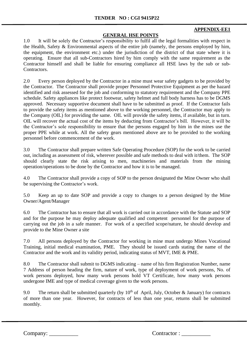## **APPENDIX-EE1**

#### **GENERAL HSE POINTS**

1.0 It will be solely the Contractor's responsibility to fulfil all the legal formalities with respect in the Health, Safety & Environmental aspects of the entire job (namely, the persons employed by him, the equipment, the environment etc.) under the jurisdiction of the district of that state where it is operating. Ensure that all sub-Contractors hired by him comply with the same requirement as the Contractor himself and shall be liable for ensuring compliance all HSE laws by the sub or sub-Contractors.

2.0 Every person deployed by the Contractor in a mine must wear safety gadgets to be provided by the Contractor. The Contractor shall provide proper Personnel Protective Equipment as per the hazard identified and risk assessed for the job and conforming to statutory requirement and the Company PPE schedule. Safety appliances like protect footwear, safety helmet and full body harness has to be DGMS approved. Necessary supportive document shall have to be submitted as proof. If the Contractor fails to provide the safety items as mentioned above to the working personnel, the Contractor may apply to the Company (OIL) for providing the same. OIL will provide the safety items, if available, but in turn. OIL will recover the actual cost of the items by deducting from Contractor's bill. However, it will be the Contractor's sole responsibility to ensure that the persons engaged by him in the mines use the proper PPE while at work. All the safety gears mentioned above are to be provided to the working personnel before commencement of the work.

3.0 The Contractor shall prepare written Safe Operating Procedure (SOP) for the work to be carried out, including as assessment of risk, wherever possible and safe methods to deal with it/them. The SOP should clearly state the risk arising to men, machineries and materials from the mining operation/operations to be done by the Contractor and how it is to be managed.

4.0 The Contractor shall provide a copy of SOP to the person designated the Mine Owner who shall be supervising the Contractor's work.

5.0 Keep an up to date SOP and provide a copy to changes to a person designed by the Mine Owner/Agent/Manager

6.0 The Contractor has to ensure that all work is carried out in accordance with the Statute and SOP and for the purpose he may deploy adequate qualified and competent personnel for the purpose of carrying out the job in a safe manner. For work of a specified scope/nature, he should develop and provide to the Mine Owner a site

7.0 All persons deployed by the Contractor for working in mine must undergo Mines Vocational Training, initial medical examination, PME. They should be issued cards stating the name of the Contractor and the work and its validity period, indicating status of MVT, IME & PME.

8.0 The Contractor shall submit to DGMS indicating – name of his firm Registration Number, name 7 Address of person heading the firm, nature of work, type of deployment of work persons, No. of work persons deployed, how many work persons hold VT Certificate, how many work persons undergone IME and type of medical coverage given to the work persons.

9.0 The return shall be submitted quarterly (by  $10^{th}$  of April, July, October & January) for contracts of more than one year. However, for contracts of less than one year, returns shall be submitted monthly.

Company:

| Contractor: |  |  |
|-------------|--|--|
|-------------|--|--|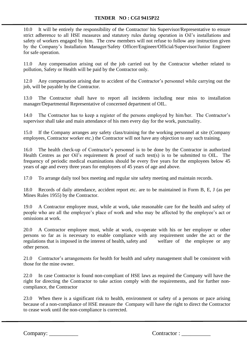10.0 It will be entirely the responsibility of the Contractor/ his Supervisor/Representative to ensure strict adherence to all HSE measures and statutory rules during operation in Oil's installations and safety of workers engaged by him. The crew members will not refuse to follow any instruction given by the Company's Installation Manager/Safety Officer/Engineer/Official/Supervisor/Junior Engineer for safe operation.

11.0 Any compensation arising out of the job carried out by the Contractor whether related to pollution, Safety or Health will be paid by the Contractor only.

12.0 Any compensation arising due to accident of the Contractor's personnel while carrying out the job, will be payable by the Contractor.

13.0 The Contractor shall have to report all incidents including near miss to installation manager/Departmental Representative of concerned department of OIL.

14.0 The Contractor has to keep a register of the persons employed by him/her. The Contractor's supervisor shall take and main attendance of his men every day for the work, punctuality.

15.0 If the Company arranges any safety class/training for the working personnel at site (Company employees, Contractor worker etc.) the Contractor will not have any objection to any such training.

16.0 The health check-up of Contractor's personnel is to be done by the Contractor in authorized Health Centres as per Oil's requirement  $\&$  proof of such test(s) is to be submitted to OIL. The frequency of periodic medical examinations should be every five years for the employees below 45 years of age and every three years for employees of 45 years of age and above.

17.0 To arrange daily tool box meeting and regular site safety meeting and maintain records.

18.0 Records of daily attendance, accident report etc. are to be maintained in Form B, E, J (as per Mines Rules 1955) by the Contractor.

19.0 A Contractor employee must, while at work, take reasonable care for the health and safety of people who are all the employee's place of work and who may be affected by the employee's act or omissions at work.

20.0 A Contractor employee must, while at work, co-operate with his or her employer or other persons so far as is necessary to enable compliance with any requirement under the act or the regulations that is imposed in the interest of health, safety and welfare of the employee or any other person.

21.0 Contractor's arrangements for health for health and safety management shall be consistent with those for the mine owner.

22.0 In case Contractor is found non-compliant of HSE laws as required the Company will have the right for directing the Contractor to take action comply with the requirements, and for further noncompliance, the Contractor

23.0 When there is a significant risk to health, environment or safety of a persons or pace arising because of a non-compliance of HSE measure the Company will have the right to direct the Contractor to cease work until the non-compliance is corrected.